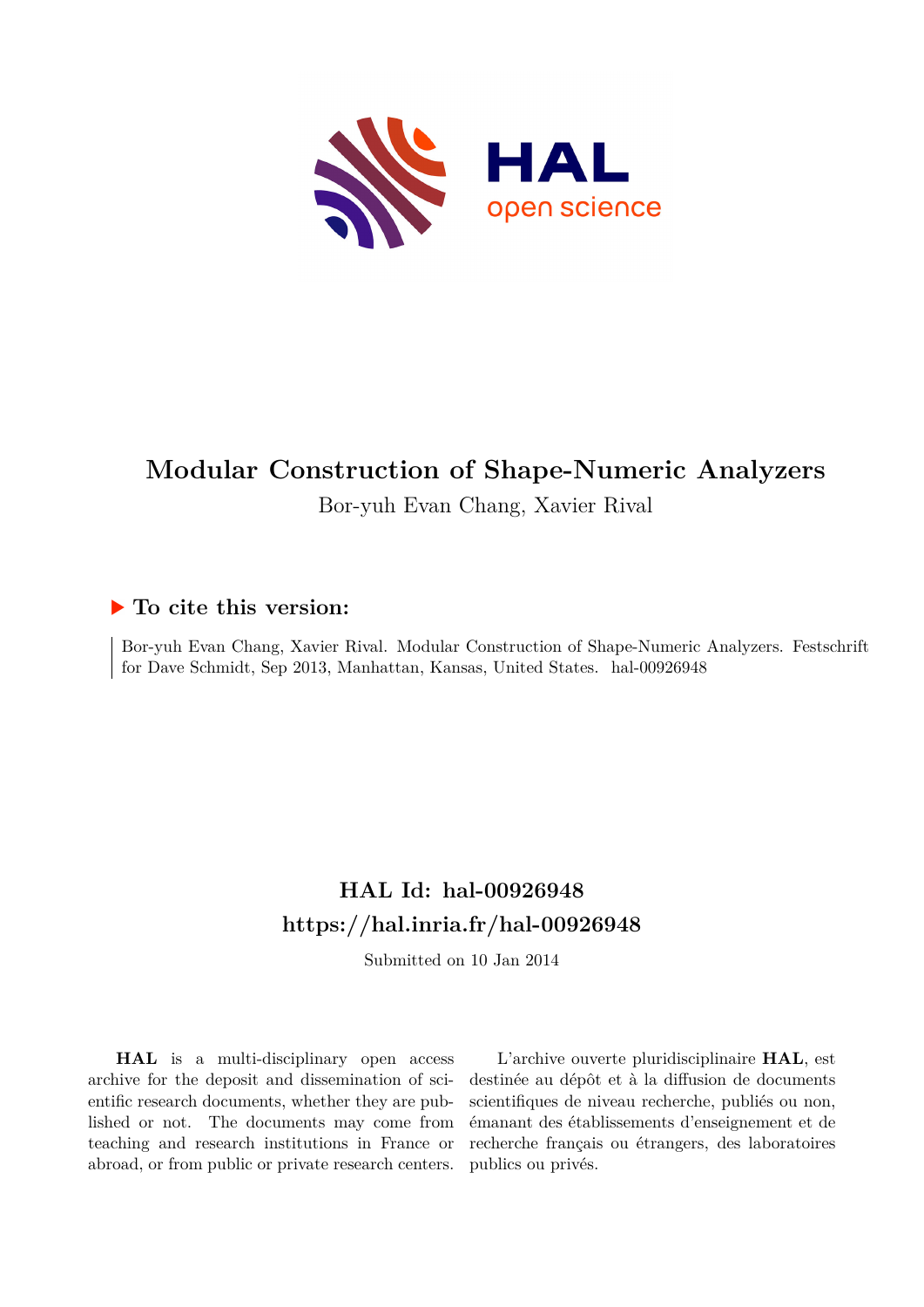

# **Modular Construction of Shape-Numeric Analyzers**

Bor-yuh Evan Chang, Xavier Rival

## **To cite this version:**

Bor-yuh Evan Chang, Xavier Rival. Modular Construction of Shape-Numeric Analyzers. Festschrift for Dave Schmidt, Sep 2013, Manhattan, Kansas, United States. hal-00926948

# **HAL Id: hal-00926948 <https://hal.inria.fr/hal-00926948>**

Submitted on 10 Jan 2014

**HAL** is a multi-disciplinary open access archive for the deposit and dissemination of scientific research documents, whether they are published or not. The documents may come from teaching and research institutions in France or abroad, or from public or private research centers.

L'archive ouverte pluridisciplinaire **HAL**, est destinée au dépôt et à la diffusion de documents scientifiques de niveau recherche, publiés ou non, émanant des établissements d'enseignement et de recherche français ou étrangers, des laboratoires publics ou privés.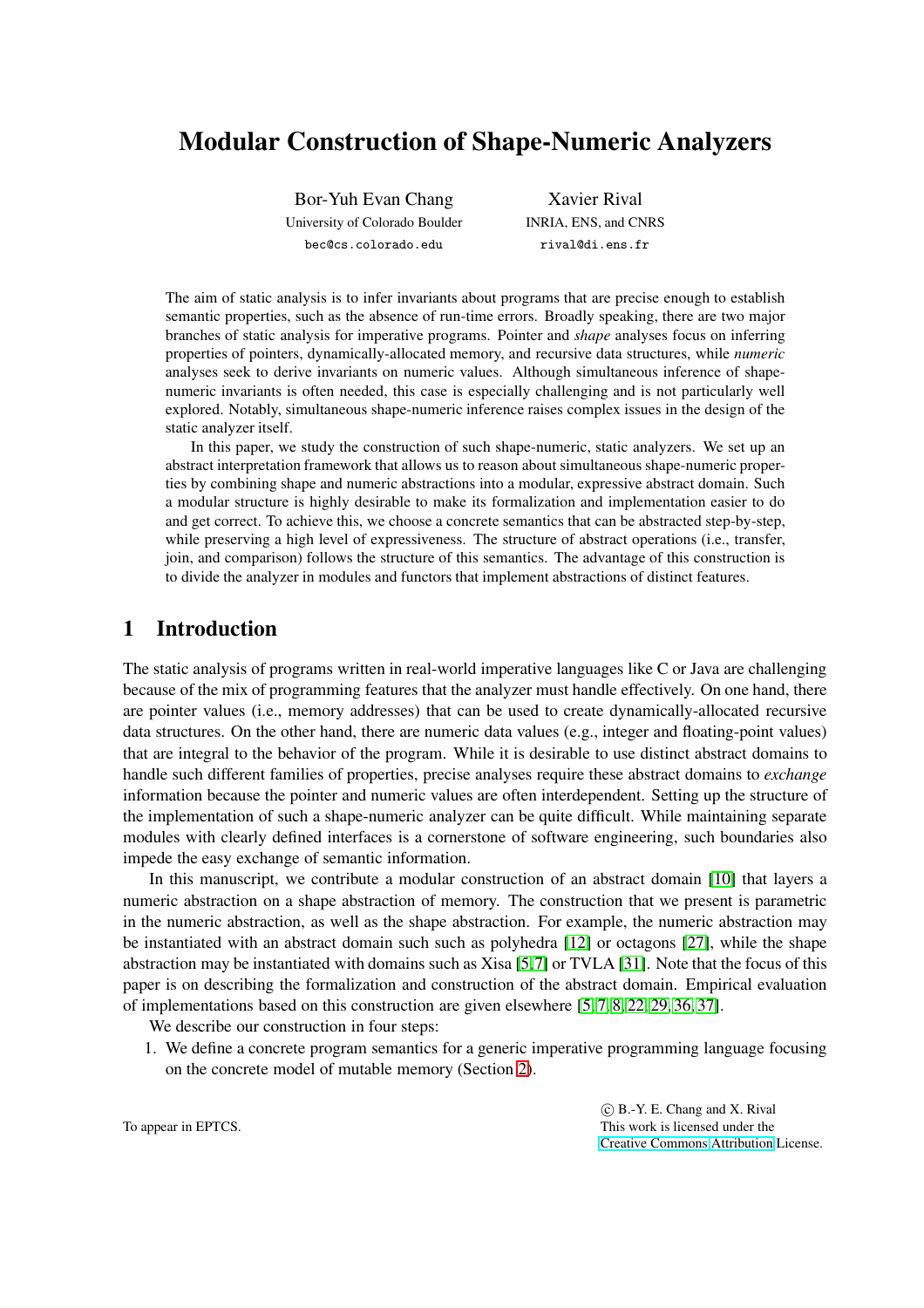## Modular Construction of Shape-Numeric Analyzers

Bor-Yuh Evan Chang University of Colorado Boulder bec@cs.colorado.edu

Xavier Rival INRIA, ENS, and CNRS rival@di.ens.fr

The aim of static analysis is to infer invariants about programs that are precise enough to establish semantic properties, such as the absence of run-time errors. Broadly speaking, there are two major branches of static analysis for imperative programs. Pointer and *shape* analyses focus on inferring properties of pointers, dynamically-allocated memory, and recursive data structures, while *numeric* analyses seek to derive invariants on numeric values. Although simultaneous inference of shapenumeric invariants is often needed, this case is especially challenging and is not particularly well explored. Notably, simultaneous shape-numeric inference raises complex issues in the design of the static analyzer itself.

In this paper, we study the construction of such shape-numeric, static analyzers. We set up an abstract interpretation framework that allows us to reason about simultaneous shape-numeric properties by combining shape and numeric abstractions into a modular, expressive abstract domain. Such a modular structure is highly desirable to make its formalization and implementation easier to do and get correct. To achieve this, we choose a concrete semantics that can be abstracted step-by-step, while preserving a high level of expressiveness. The structure of abstract operations (i.e., transfer, join, and comparison) follows the structure of this semantics. The advantage of this construction is to divide the analyzer in modules and functors that implement abstractions of distinct features.

## 1 Introduction

The static analysis of programs written in real-world imperative languages like C or Java are challenging because of the mix of programming features that the analyzer must handle effectively. On one hand, there are pointer values (i.e., memory addresses) that can be used to create dynamically-allocated recursive data structures. On the other hand, there are numeric data values (e.g., integer and floating-point values) that are integral to the behavior of the program. While it is desirable to use distinct abstract domains to handle such different families of properties, precise analyses require these abstract domains to *exchange* information because the pointer and numeric values are often interdependent. Setting up the structure of the implementation of such a shape-numeric analyzer can be quite difficult. While maintaining separate modules with clearly defined interfaces is a cornerstone of software engineering, such boundaries also impede the easy exchange of semantic information.

In this manuscript, we contribute a modular construction of an abstract domain [\[10\]](#page-24-0) that layers a numeric abstraction on a shape abstraction of memory. The construction that we present is parametric in the numeric abstraction, as well as the shape abstraction. For example, the numeric abstraction may be instantiated with an abstract domain such such as polyhedra [\[12\]](#page-24-1) or octagons [\[27\]](#page-25-0), while the shape abstraction may be instantiated with domains such as Xisa [\[5,](#page-24-2)[7\]](#page-24-3) or TVLA [\[31\]](#page-25-1). Note that the focus of this paper is on describing the formalization and construction of the abstract domain. Empirical evaluation of implementations based on this construction are given elsewhere [\[5,](#page-24-2) [7,](#page-24-3) [8,](#page-24-4) [22,](#page-25-2) [29,](#page-25-3) [36,](#page-25-4) [37\]](#page-25-5).

We describe our construction in four steps:

1. We define a concrete program semantics for a generic imperative programming language focusing on the concrete model of mutable memory (Section [2\)](#page-2-0).

> c B.-Y. E. Chang and X. Rival This work is licensed under the [Creative Commons](http://creativecommons.org) [Attribution](http://creativecommons.org/licenses/by/3.0/) License.

To appear in EPTCS.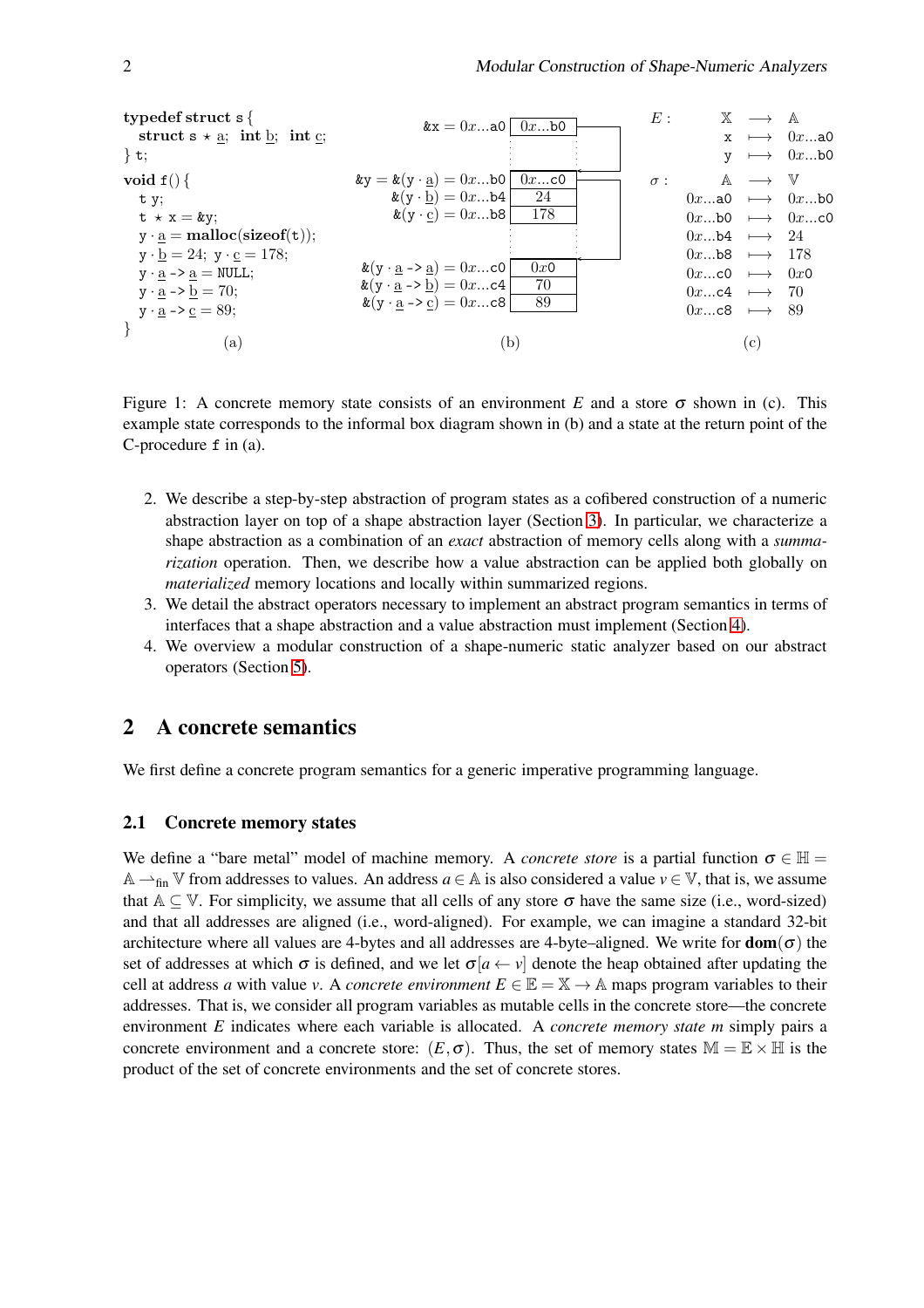

<span id="page-2-1"></span>Figure 1: A concrete memory state consists of an environment *E* and a store  $\sigma$  shown in (c). This example state corresponds to the informal box diagram shown in (b) and a state at the return point of the C-procedure f in (a).

- 2. We describe a step-by-step abstraction of program states as a cofibered construction of a numeric abstraction layer on top of a shape abstraction layer (Section [3\)](#page-5-0). In particular, we characterize a shape abstraction as a combination of an *exact* abstraction of memory cells along with a *summarization* operation. Then, we describe how a value abstraction can be applied both globally on *materialized* memory locations and locally within summarized regions.
- 3. We detail the abstract operators necessary to implement an abstract program semantics in terms of interfaces that a shape abstraction and a value abstraction must implement (Section [4\)](#page-12-0).
- 4. We overview a modular construction of a shape-numeric static analyzer based on our abstract operators (Section [5\)](#page-22-0).

## <span id="page-2-0"></span>2 A concrete semantics

We first define a concrete program semantics for a generic imperative programming language.

#### 2.1 Concrete memory states

We define a "bare metal" model of machine memory. A *concrete store* is a partial function  $\sigma \in \mathbb{H}$  = A  $\rightarrow$ <sub>fin</sub> V from addresses to values. An address *a* ∈ A is also considered a value *v* ∈ V, that is, we assume that  $A \subseteq V$ . For simplicity, we assume that all cells of any store  $\sigma$  have the same size (i.e., word-sized) and that all addresses are aligned (i.e., word-aligned). For example, we can imagine a standard 32-bit architecture where all values are 4-bytes and all addresses are 4-byte–aligned. We write for  $dom(\sigma)$  the set of addresses at which  $\sigma$  is defined, and we let  $\sigma[a \leftarrow y]$  denote the heap obtained after updating the cell at address *a* with value *v*. A *concrete environment*  $E \in \mathbb{E} = \mathbb{X} \to \mathbb{A}$  maps program variables to their addresses. That is, we consider all program variables as mutable cells in the concrete store—the concrete environment *E* indicates where each variable is allocated. A *concrete memory state m* simply pairs a concrete environment and a concrete store:  $(E, \sigma)$ . Thus, the set of memory states  $M = \mathbb{E} \times \mathbb{H}$  is the product of the set of concrete environments and the set of concrete stores.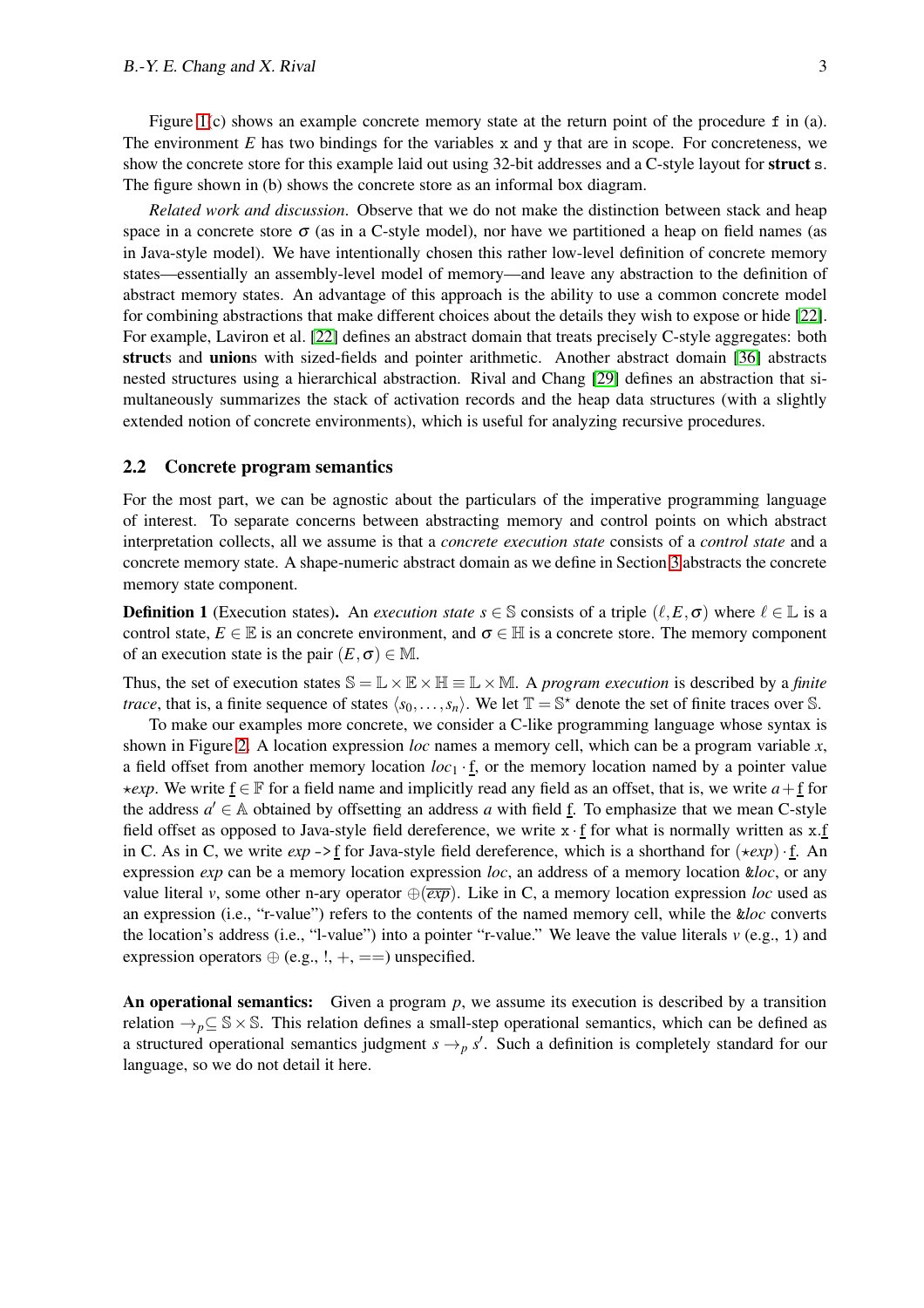Figure [1\(](#page-2-1)c) shows an example concrete memory state at the return point of the procedure f in (a). The environment  $E$  has two bindings for the variables  $x$  and  $y$  that are in scope. For concreteness, we show the concrete store for this example laid out using 32-bit addresses and a C-style layout for struct s. The figure shown in (b) shows the concrete store as an informal box diagram.

*Related work and discussion*. Observe that we do not make the distinction between stack and heap space in a concrete store  $\sigma$  (as in a C-style model), nor have we partitioned a heap on field names (as in Java-style model). We have intentionally chosen this rather low-level definition of concrete memory states—essentially an assembly-level model of memory—and leave any abstraction to the definition of abstract memory states. An advantage of this approach is the ability to use a common concrete model for combining abstractions that make different choices about the details they wish to expose or hide [\[22\]](#page-25-2). For example, Laviron et al. [\[22\]](#page-25-2) defines an abstract domain that treats precisely C-style aggregates: both structs and unions with sized-fields and pointer arithmetic. Another abstract domain [\[36\]](#page-25-4) abstracts nested structures using a hierarchical abstraction. Rival and Chang [\[29\]](#page-25-3) defines an abstraction that simultaneously summarizes the stack of activation records and the heap data structures (with a slightly extended notion of concrete environments), which is useful for analyzing recursive procedures.

#### <span id="page-3-0"></span>2.2 Concrete program semantics

For the most part, we can be agnostic about the particulars of the imperative programming language of interest. To separate concerns between abstracting memory and control points on which abstract interpretation collects, all we assume is that a *concrete execution state* consists of a *control state* and a concrete memory state. A shape-numeric abstract domain as we define in Section [3](#page-5-0) abstracts the concrete memory state component.

**Definition 1** (Execution states). An *execution state*  $s \in \mathbb{S}$  consists of a triple  $(\ell, E, \sigma)$  where  $\ell \in \mathbb{L}$  is a control state,  $E \in \mathbb{E}$  is an concrete environment, and  $\sigma \in \mathbb{H}$  is a concrete store. The memory component of an execution state is the pair  $(E, \sigma) \in M$ .

Thus, the set of execution states  $\mathbb{S} = \mathbb{L} \times \mathbb{R} \times \mathbb{H} \equiv \mathbb{L} \times \mathbb{M}$ . A *program execution* is described by a *finite trace*, that is, a finite sequence of states  $\langle s_0, \ldots, s_n \rangle$ . We let  $\mathbb{T} = \mathbb{S}^*$  denote the set of finite traces over S.

To make our examples more concrete, we consider a C-like programming language whose syntax is shown in Figure [2.](#page-4-0) A location expression *loc* names a memory cell, which can be a program variable *x*, a field offset from another memory location  $loc_1 \cdot \underline{f}$ , or the memory location named by a pointer value  $\star$ *exp*. We write f ∈ F for a field name and implicitly read any field as an offset, that is, we write *a* + f for the address  $a' \in A$  obtained by offsetting an address a with field  $\underline{f}$ . To emphasize that we mean C-style field offset as opposed to Java-style field dereference, we write  $x \cdot f$  for what is normally written as  $x.f$ in C. As in C, we write  $exp -\frac{1}{2}$  for Java-style field dereference, which is a shorthand for  $\star exp \cdot f$ . An expression *exp* can be a memory location expression *loc*, an address of a memory location &*loc*, or any value literal *v*, some other n-ary operator  $\bigoplus \overline{exp}$ . Like in C, a memory location expression *loc* used as an expression (i.e., "r-value") refers to the contents of the named memory cell, while the &*loc* converts the location's address (i.e., "l-value") into a pointer "r-value." We leave the value literals  $v$  (e.g., 1) and expression operators  $\oplus$  (e.g., !, +, ==) unspecified.

An operational semantics: Given a program p, we assume its execution is described by a transition relation  $\rightarrow_p \subseteq \mathbb{S} \times \mathbb{S}$ . This relation defines a small-step operational semantics, which can be defined as a structured operational semantics judgment  $s \rightarrow p s'$ . Such a definition is completely standard for our language, so we do not detail it here.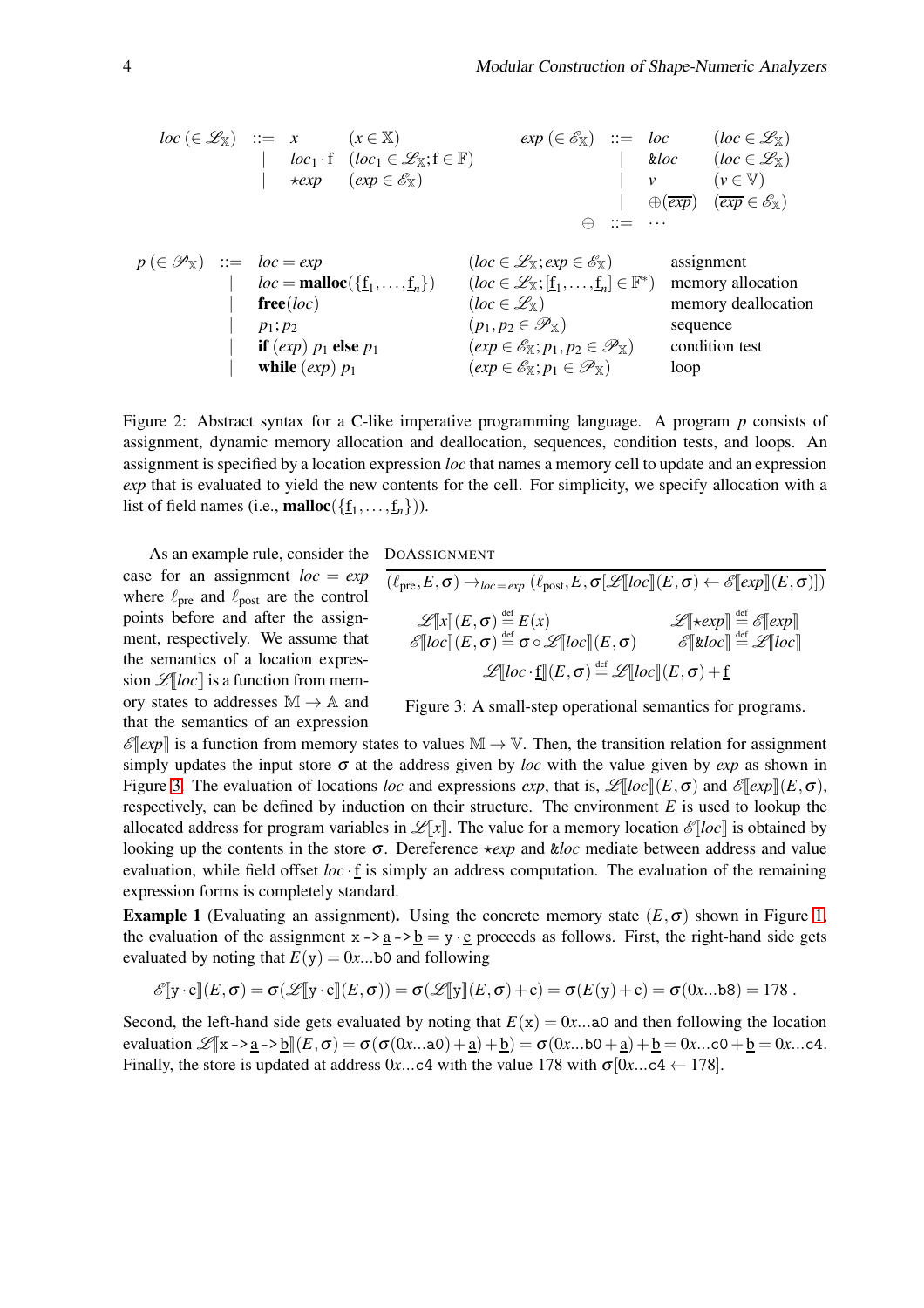$$
loc \ (\in \mathcal{L}_{\mathbb{X}}) \ :: = x \quad (x \in \mathbb{X}) \quad exp \ (\in \mathcal{E}_{\mathbb{X}}) \ :: = loc \quad (loc \in \mathcal{L}_{\mathbb{X}})
$$
\n
$$
| loc_1 \cdot f_1 (loc_1 \in \mathcal{L}_{\mathbb{X}}; f \in \mathbb{F}) \quad | etc. \quad (loc \in \mathcal{L}_{\mathbb{X}})
$$
\n
$$
| vec \in \mathcal{E}_{\mathbb{X}}) \quad | v \quad (v \in \mathbb{V})
$$
\n
$$
p (\in \mathcal{P}_{\mathbb{X}}) \ :: = loc = exp \quad (loc \in \mathcal{L}_{\mathbb{X}}; exp \in \mathcal{E}_{\mathbb{X}})
$$
\n
$$
p (\in \mathcal{P}_{\mathbb{X}}) \ :: = loc = exp \quad (loc \in \mathcal{L}_{\mathbb{X}}; exp \in \mathcal{E}_{\mathbb{X}})
$$
\n
$$
| loc = \text{malloc}(\{f_1, \ldots, f_n\}) \quad (loc \in \mathcal{L}_{\mathbb{X}}; [f_1, \ldots, f_n] \in \mathbb{F}^*) \quad \text{memory allocation}
$$
\n
$$
| \text{free}(loc) \quad (loc \in \mathcal{L}_{\mathbb{X}})
$$
\n
$$
| p_1, p_2 \quad (p_1, p_2 \in \mathcal{P}_{\mathbb{X}}) \quad \text{sequence}
$$
\n
$$
| \text{tri}(exp) p_1 \text{ else } p_1 \quad (exp \in \mathcal{E}_{\mathbb{X}}; p_1 \in \mathcal{P}_{\mathbb{X}}) \quad \text{condition test}
$$
\n
$$
| \text{while} (exp) p_1 \quad (exp \in \mathcal{E}_{\mathbb{X}}; p_1 \in \mathcal{P}_{\mathbb{X}}) \quad \text{loop}
$$

<span id="page-4-0"></span>Figure 2: Abstract syntax for a C-like imperative programming language. A program *p* consists of assignment, dynamic memory allocation and deallocation, sequences, condition tests, and loops. An assignment is specified by a location expression *loc* that names a memory cell to update and an expression *exp* that is evaluated to yield the new contents for the cell. For simplicity, we specify allocation with a list of field names (i.e., **malloc**( $\{\underline{f}_1, \ldots, \underline{f}_n\})$ ).

DOASSIGNMENT

As an example rule, consider the case for an assignment *loc* = *exp* where  $\ell_{\text{pre}}$  and  $\ell_{\text{post}}$  are the control points before and after the assignment, respectively. We assume that the semantics of a location expression  $\mathscr{L}[[\textit{loc}]]$  is a function from memory states to addresses  $M \rightarrow A$  and that the semantics of an expression

 $\overline{(\ell_{\text{pre}},E,\sigma) \rightarrow_{\text{loc}=exp} (\ell_{\text{post}},E,\sigma[\mathcal{L}[\text{loc}](E,\sigma) \leftarrow \mathscr{E}[\text{exp} \mathbb{I}(E,\sigma)] )}$  $\mathscr{L}[\![x]\!](E,\sigma) \stackrel{\text{def}}{=} E(x)$   $\mathscr{L}[\![\star exp]\!] \stackrel{\text{def}}{=} \mathscr{E}[\![exp]\!]$  $\mathscr{E}[\![loc]\!](E,\sigma) \stackrel{\text{def}}{=} \sigma \circ \mathscr{L}[\![loc]\!](E,\sigma) \qquad \mathscr{E}[\![\&loc]\!]\stackrel{\text{def}}{=} \mathscr{L}[\![loc]\!]$  $\mathscr{L}[\![loc\cdot \underline{\mathrm{f}}]\!](E,\sigma) \mathop{=}\limits^{ \mathrm{def}} \mathscr{L}[\![loc]\!](E,\sigma) + \underline{\mathrm{f}}$ 

<span id="page-4-1"></span>Figure 3: A small-step operational semantics for programs.

 $\mathscr{E}$ [*exp*] is a function from memory states to values  $\mathbb{M} \to \mathbb{V}$ . Then, the transition relation for assignment simply updates the input store  $\sigma$  at the address given by *loc* with the value given by *exp* as shown in Figure [3.](#page-4-1) The evaluation of locations *loc* and expressions *exp*, that is,  $\mathscr{L}[[\partial c]](E,\sigma)$  and  $\mathscr{E}[\exp](E,\sigma)$ , respectively, can be defined by induction on their structure. The environment *E* is used to lookup the allocated address for program variables in  $\mathcal{L}[x]$ . The value for a memory location  $\mathcal{E}[loc]$  is obtained by looking up the contents in the store σ. Dereference  $\star exp$  and *kloc* mediate between address and value evaluation, while field offset  $loc \cdot f$  is simply an address computation. The evaluation of the remaining expression forms is completely standard.

**Example 1** (Evaluating an assignment). Using the concrete memory state  $(E, \sigma)$  shown in Figure [1,](#page-2-1) the evaluation of the assignment  $x -\frac{a}{2} -\frac{b}{2} = y \cdot \frac{c}{2}$  proceeds as follows. First, the right-hand side gets evaluated by noting that  $E(y) = 0x$ ...b0 and following

$$
\mathscr{E}[\![\mathrm{y}\cdot \underline{\mathrm{c}}]\!](E,\sigma)=\sigma(\mathscr{L}[\![\mathrm{y}\cdot \underline{\mathrm{c}}]\!](E,\sigma))=\sigma(\mathscr{L}[\![\mathrm{y}]\!](E,\sigma)+\underline{\mathrm{c}})=\sigma(E(\mathrm{y})+\underline{\mathrm{c}})=\sigma(0x...\mathtt{b}\mathtt{8})=178.
$$

Second, the left-hand side gets evaluated by noting that  $E(x) = 0x$ ...a0 and then following the location evaluation  $\mathcal{L}[\![x - \geq a] \rightarrow b \Vert (E, \sigma) = \sigma(\sigma(0x \dots a0) + a) + b = \sigma(0x \dots b0 + a) + b = 0x \dots c0 + b = 0x \dots c4$ . Finally, the store is updated at address  $0x...c4$  with the value 178 with  $\sigma$ [ $0x...c4 \leftarrow 178$ ].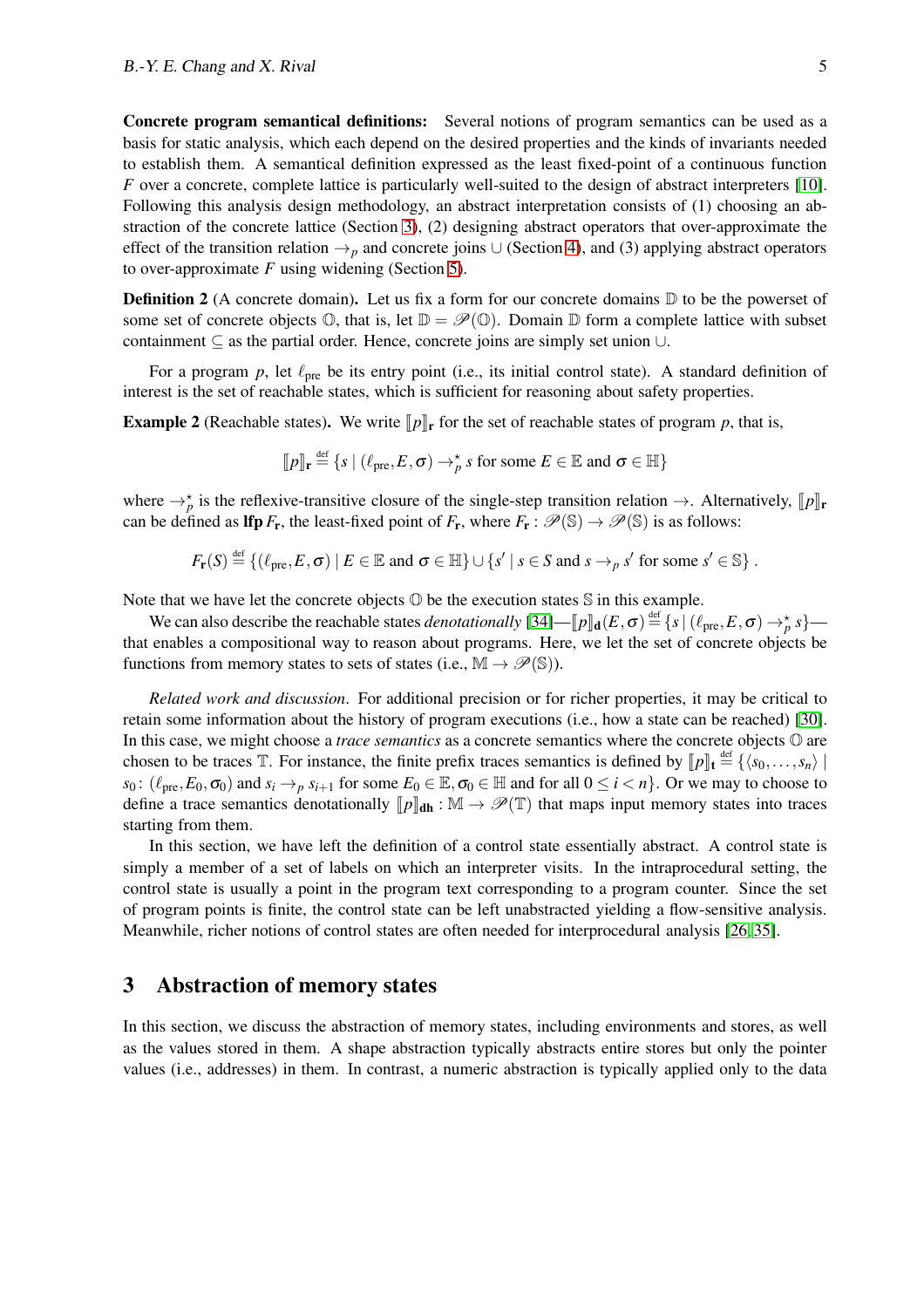Concrete program semantical definitions: Several notions of program semantics can be used as a basis for static analysis, which each depend on the desired properties and the kinds of invariants needed to establish them. A semantical definition expressed as the least fixed-point of a continuous function *F* over a concrete, complete lattice is particularly well-suited to the design of abstract interpreters [\[10\]](#page-24-0). Following this analysis design methodology, an abstract interpretation consists of (1) choosing an abstraction of the concrete lattice (Section [3\)](#page-5-0), (2) designing abstract operators that over-approximate the effect of the transition relation  $\rightarrow$ <sub>p</sub> and concrete joins  $\cup$  (Section [4\)](#page-12-0), and (3) applying abstract operators to over-approximate *F* using widening (Section [5\)](#page-22-0).

**Definition 2** (A concrete domain). Let us fix a form for our concrete domains  $\mathbb{D}$  to be the powerset of some set of concrete objects  $\mathbb{O}$ , that is, let  $\mathbb{D} = \mathscr{P}(\mathbb{O})$ . Domain  $\mathbb{D}$  form a complete lattice with subset containment  $\subseteq$  as the partial order. Hence, concrete joins are simply set union ∪.

For a program  $p$ , let  $\ell_{pre}$  be its entry point (i.e., its initial control state). A standard definition of interest is the set of reachable states, which is sufficient for reasoning about safety properties.

**Example 2** (Reachable states). We write  $\llbracket p \rrbracket_r$  for the set of reachable states of program p, that is,

$$
[\![p]\!]_{\mathbf{r}} \stackrel{\text{def}}{=} \{ s \mid (\ell_{\text{pre}}, E, \sigma) \rightarrow_p^* s \text{ for some } E \in \mathbb{E} \text{ and } \sigma \in \mathbb{H} \}
$$

where  $\rightarrow_p^*$  is the reflexive-transitive closure of the single-step transition relation  $\rightarrow$ . Alternatively,  $[\![p]\!]$ **r** can be defined as **lfp**  $F_r$ , the least-fixed point of  $F_r$ , where  $F_r : \mathcal{P}(\mathbb{S}) \to \mathcal{P}(\mathbb{S})$  is as follows:

$$
F_{\mathbf{r}}(S) \stackrel{\text{def}}{=} \{ (\ell_{\text{pre}}, E, \sigma) \mid E \in \mathbb{E} \text{ and } \sigma \in \mathbb{H} \} \cup \{ s' \mid s \in S \text{ and } s \rightarrow_{p} s' \text{ for some } s' \in \mathbb{S} \} .
$$

Note that we have let the concrete objects  $\mathbb O$  be the execution states  $\mathbb S$  in this example.

We can also describe the reachable states *denotationally*  $[34]$ — $[\![p]\!]_d(E,\sigma) \stackrel{\text{def}}{=} \{s \mid (\ell_{\text{pre}},E,\sigma) \rightarrow_p^* s\}$  that enables a compositional way to reason about programs. Here, we let the set of concrete objects be functions from memory states to sets of states (i.e.,  $\mathbb{M} \to \mathscr{P}(\mathbb{S})$ ).

*Related work and discussion*. For additional precision or for richer properties, it may be critical to retain some information about the history of program executions (i.e., how a state can be reached) [\[30\]](#page-25-7). In this case, we might choose a *trace semantics* as a concrete semantics where the concrete objects O are chosen to be traces  $\mathbb{T}$ . For instance, the finite prefix traces semantics is defined by  $[\![p]\!]_t \stackrel{\text{def}}{=} {\{\langle s_0, \ldots, s_n \rangle \mid \}}$ *s*<sub>0</sub>: ( $\ell_{pre}, E_0, \sigma_0$ ) and  $s_i \rightarrow_p s_{i+1}$  for some  $E_0 \in \mathbb{E}, \sigma_0 \in \mathbb{H}$  and for all  $0 \le i < n$ }. Or we may to choose to define a trace semantics denotationally  $[\![p]\!]_{\text{dh}} : \mathbb{M} \to \mathscr{P}(\mathbb{T})$  that maps input memory states into traces starting from them.

In this section, we have left the definition of a control state essentially abstract. A control state is simply a member of a set of labels on which an interpreter visits. In the intraprocedural setting, the control state is usually a point in the program text corresponding to a program counter. Since the set of program points is finite, the control state can be left unabstracted yielding a flow-sensitive analysis. Meanwhile, richer notions of control states are often needed for interprocedural analysis [\[26,](#page-25-8) [35\]](#page-25-9).

### <span id="page-5-0"></span>3 Abstraction of memory states

In this section, we discuss the abstraction of memory states, including environments and stores, as well as the values stored in them. A shape abstraction typically abstracts entire stores but only the pointer values (i.e., addresses) in them. In contrast, a numeric abstraction is typically applied only to the data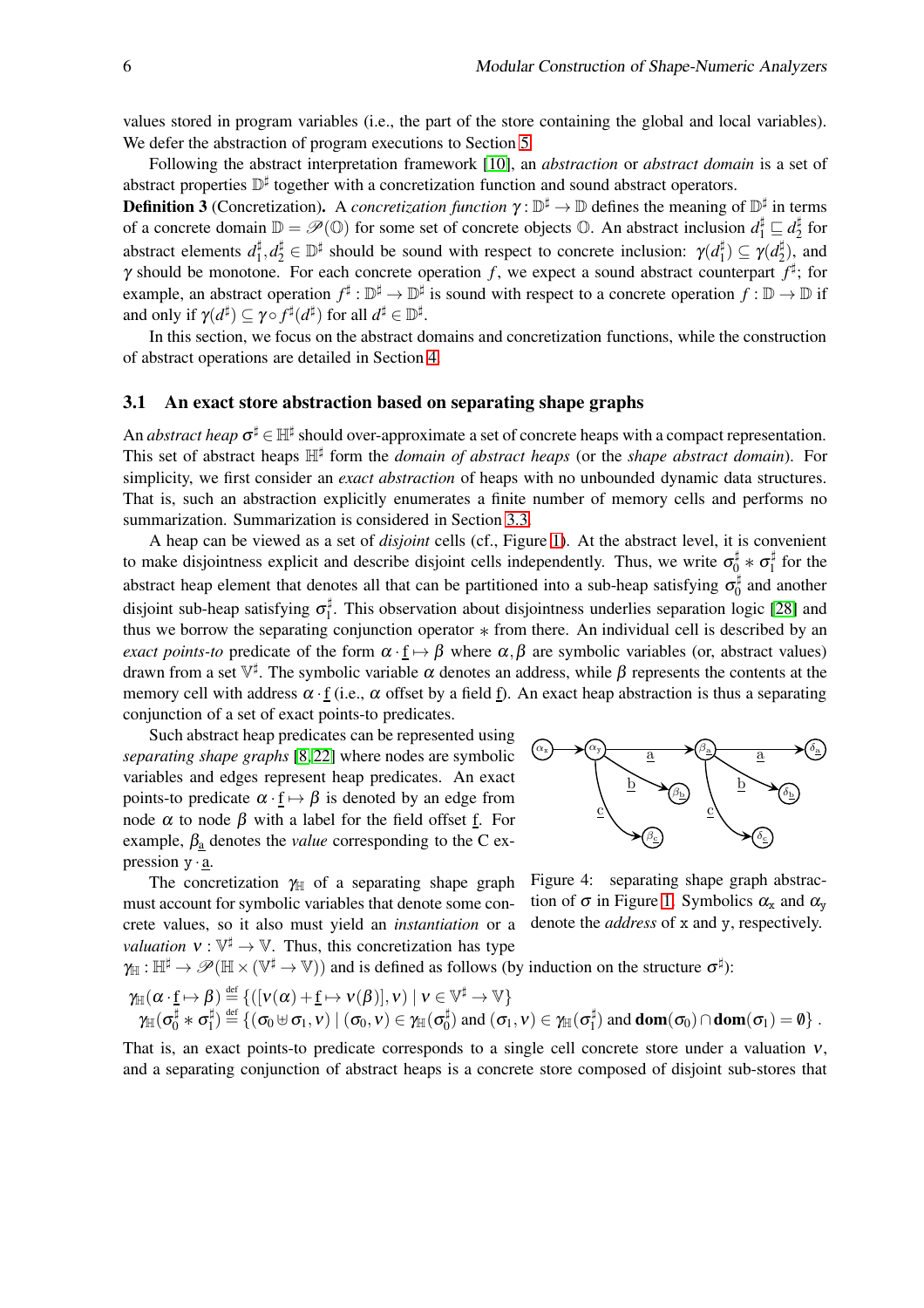values stored in program variables (i.e., the part of the store containing the global and local variables). We defer the abstraction of program executions to Section [5.](#page-22-0)

Following the abstract interpretation framework [\[10\]](#page-24-0), an *abstraction* or *abstract domain* is a set of abstract properties D<sup>‡</sup> together with a concretization function and sound abstract operators.

**Definition 3** (Concretization). A *concretization function*  $\gamma : \mathbb{D}^{\sharp} \to \mathbb{D}$  defines the meaning of  $\mathbb{D}^{\sharp}$  in terms of a concrete domain  $\mathbb{D} = \mathscr{P}(\mathbb{O})$  for some set of concrete objects  $\mathbb{O}$ . An abstract inclusion  $d_1^{\sharp} \sqsubseteq d_2^{\sharp}$  $\frac{1}{2}$  for abstract elements  $d_1^{\sharp}$  $\psi_1^{\sharp}, d_2^{\sharp} \in \mathbb{D}^{\sharp}$  should be sound with respect to concrete inclusion:  $\gamma(d_1^{\sharp})$  $\mathcal{U}_1^{\sharp}$ )  $\subseteq \gamma(d_2^{\sharp})$  $\binom{4}{2}$ , and  $\gamma$  should be monotone. For each concrete operation f, we expect a sound abstract counterpart  $f^{\sharp}$ ; for example, an abstract operation  $f^{\sharp}: \mathbb{D}^{\sharp} \to \mathbb{D}^{\sharp}$  is sound with respect to a concrete operation  $f: \mathbb{D} \to \mathbb{D}$  if and only if  $\gamma(d^\sharp)\subseteq \gamma\!\circ f^\sharp(d^\sharp)$  for all  $d^\sharp\in\mathbb{D}^\sharp.$ 

In this section, we focus on the abstract domains and concretization functions, while the construction of abstract operations are detailed in Section [4.](#page-12-0)

#### <span id="page-6-0"></span>3.1 An exact store abstraction based on separating shape graphs

An *abstract heap*  $\sigma^{\sharp} \in \mathbb{H}^{\sharp}$  should over-approximate a set of concrete heaps with a compact representation. This set of abstract heaps  $\mathbb{H}^{\sharp}$  form the *domain of abstract heaps* (or the *shape abstract domain*). For simplicity, we first consider an *exact abstraction* of heaps with no unbounded dynamic data structures. That is, such an abstraction explicitly enumerates a finite number of memory cells and performs no summarization. Summarization is considered in Section [3.3.](#page-10-0)

A heap can be viewed as a set of *disjoint* cells (cf., Figure [1\)](#page-2-1). At the abstract level, it is convenient to make disjointness explicit and describe disjoint cells independently. Thus, we write  $\sigma_0^{\sharp} * \sigma_1^{\sharp}$  $\frac{1}{1}$  for the abstract heap element that denotes all that can be partitioned into a sub-heap satisfying  $\sigma_0^{\sharp}$  $\frac{1}{0}$  and another disjoint sub-heap satisfying  $\sigma_1^{\sharp}$  $\frac{1}{1}$ . This observation about disjointness underlies separation logic [\[28\]](#page-25-10) and thus we borrow the separating conjunction operator ∗ from there. An individual cell is described by an *exact points-to* predicate of the form  $\alpha \cdot f \mapsto \beta$  where  $\alpha, \beta$  are symbolic variables (or, abstract values) drawn from a set  $\mathbb{V}^{\sharp}$ . The symbolic variable  $\alpha$  denotes an address, while  $\beta$  represents the contents at the memory cell with address  $\alpha \cdot f$  (i.e.,  $\alpha$  offset by a field f). An exact heap abstraction is thus a separating conjunction of a set of exact points-to predicates.

Such abstract heap predicates can be represented using *separating shape graphs* [\[8,](#page-24-4) [22\]](#page-25-2) where nodes are symbolic variables and edges represent heap predicates. An exact points-to predicate  $\alpha \cdot f \mapsto \beta$  is denoted by an edge from node  $\alpha$  to node  $\beta$  with a label for the field offset <u>f</u>. For example,  $\beta_a$  denotes the *value* corresponding to the C expression  $y \cdot a$ .



The concretization  $\gamma_{\parallel}$  of a separating shape graph must account for symbolic variables that denote some concrete values, so it also must yield an *instantiation* or a *valuation*  $v : \mathbb{V}^{\sharp} \to \mathbb{V}$ . Thus, this concretization has type

<span id="page-6-1"></span>Figure 4: separating shape graph abstraction of  $\sigma$  in Figure [1.](#page-2-1) Symbolics  $\alpha_x$  and  $\alpha_y$ denote the *address* of x and y, respectively.

 $\gamma_{\mathbb{H}} : \mathbb{H}^{\sharp} \to \mathscr{P}(\mathbb{H} \times (\mathbb{V}^{\sharp} \to \mathbb{V}))$  and is defined as follows (by induction on the structure  $\sigma^{\sharp}$ ):

$$
\gamma_{\mathbb{H}}(\alpha \cdot \underline{f} \mapsto \beta) \stackrel{\text{def}}{=} \{([\nu(\alpha) + \underline{f} \mapsto \nu(\beta)], \nu) \mid \nu \in \mathbb{V}^{\sharp} \to \mathbb{V}\}\n\\
\gamma_{\mathbb{H}}(\sigma_{0}^{\sharp} \ast \sigma_{1}^{\sharp}) \stackrel{\text{def}}{=} \{(\sigma_{0} \uplus \sigma_{1}, \nu) \mid (\sigma_{0}, \nu) \in \gamma_{\mathbb{H}}(\sigma_{0}^{\sharp}) \text{ and } (\sigma_{1}, \nu) \in \gamma_{\mathbb{H}}(\sigma_{1}^{\sharp}) \text{ and } \text{dom}(\sigma_{0}) \cap \text{dom}(\sigma_{1}) = \emptyset\}.
$$

That is, an exact points-to predicate corresponds to a single cell concrete store under a valuation  $v$ , and a separating conjunction of abstract heaps is a concrete store composed of disjoint sub-stores that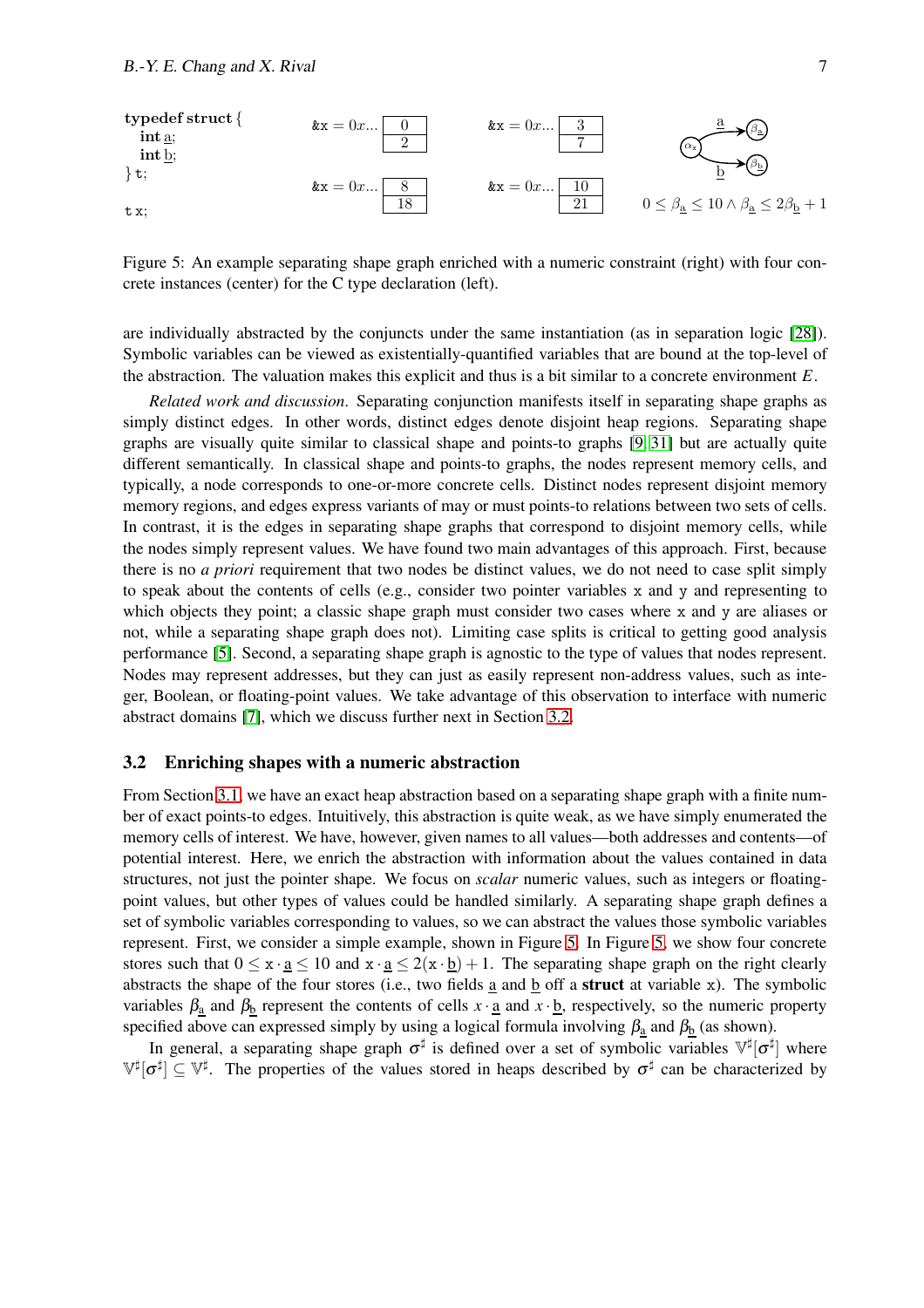

<span id="page-7-1"></span>Figure 5: An example separating shape graph enriched with a numeric constraint (right) with four concrete instances (center) for the C type declaration (left).

are individually abstracted by the conjuncts under the same instantiation (as in separation logic [\[28\]](#page-25-10)). Symbolic variables can be viewed as existentially-quantified variables that are bound at the top-level of the abstraction. The valuation makes this explicit and thus is a bit similar to a concrete environment *E*.

*Related work and discussion*. Separating conjunction manifests itself in separating shape graphs as simply distinct edges. In other words, distinct edges denote disjoint heap regions. Separating shape graphs are visually quite similar to classical shape and points-to graphs [\[9,](#page-24-5) [31\]](#page-25-1) but are actually quite different semantically. In classical shape and points-to graphs, the nodes represent memory cells, and typically, a node corresponds to one-or-more concrete cells. Distinct nodes represent disjoint memory memory regions, and edges express variants of may or must points-to relations between two sets of cells. In contrast, it is the edges in separating shape graphs that correspond to disjoint memory cells, while the nodes simply represent values. We have found two main advantages of this approach. First, because there is no *a priori* requirement that two nodes be distinct values, we do not need to case split simply to speak about the contents of cells (e.g., consider two pointer variables x and y and representing to which objects they point; a classic shape graph must consider two cases where x and y are aliases or not, while a separating shape graph does not). Limiting case splits is critical to getting good analysis performance [\[5\]](#page-24-2). Second, a separating shape graph is agnostic to the type of values that nodes represent. Nodes may represent addresses, but they can just as easily represent non-address values, such as integer, Boolean, or floating-point values. We take advantage of this observation to interface with numeric abstract domains [\[7\]](#page-24-3), which we discuss further next in Section [3.2.](#page-7-0)

#### <span id="page-7-0"></span>3.2 Enriching shapes with a numeric abstraction

From Section [3.1,](#page-6-0) we have an exact heap abstraction based on a separating shape graph with a finite number of exact points-to edges. Intuitively, this abstraction is quite weak, as we have simply enumerated the memory cells of interest. We have, however, given names to all values—both addresses and contents—of potential interest. Here, we enrich the abstraction with information about the values contained in data structures, not just the pointer shape. We focus on *scalar* numeric values, such as integers or floatingpoint values, but other types of values could be handled similarly. A separating shape graph defines a set of symbolic variables corresponding to values, so we can abstract the values those symbolic variables represent. First, we consider a simple example, shown in Figure [5.](#page-7-1) In Figure [5,](#page-7-1) we show four concrete stores such that  $0 \le x \cdot \underline{a} \le 10$  and  $x \cdot \underline{a} \le 2(x \cdot \underline{b}) + 1$ . The separating shape graph on the right clearly abstracts the shape of the four stores (i.e., two fields  $\underline{a}$  and  $\underline{b}$  off a struct at variable x). The symbolic variables  $\beta_a$  and  $\beta_b$  represent the contents of cells  $x \cdot \underline{a}$  and  $x \cdot \underline{b}$ , respectively, so the numeric property specified above can expressed simply by using a logical formula involving  $\beta_a$  and  $\beta_b$  (as shown).

In general, a separating shape graph  $\sigma^{\sharp}$  is defined over a set of symbolic variables  $\mathbb{V}^{\sharp}[\sigma^{\sharp}]$  where  $\mathbb{V}^{\sharp}[\sigma^{\sharp}] \subseteq \mathbb{V}^{\sharp}$ . The properties of the values stored in heaps described by  $\sigma^{\sharp}$  can be characterized by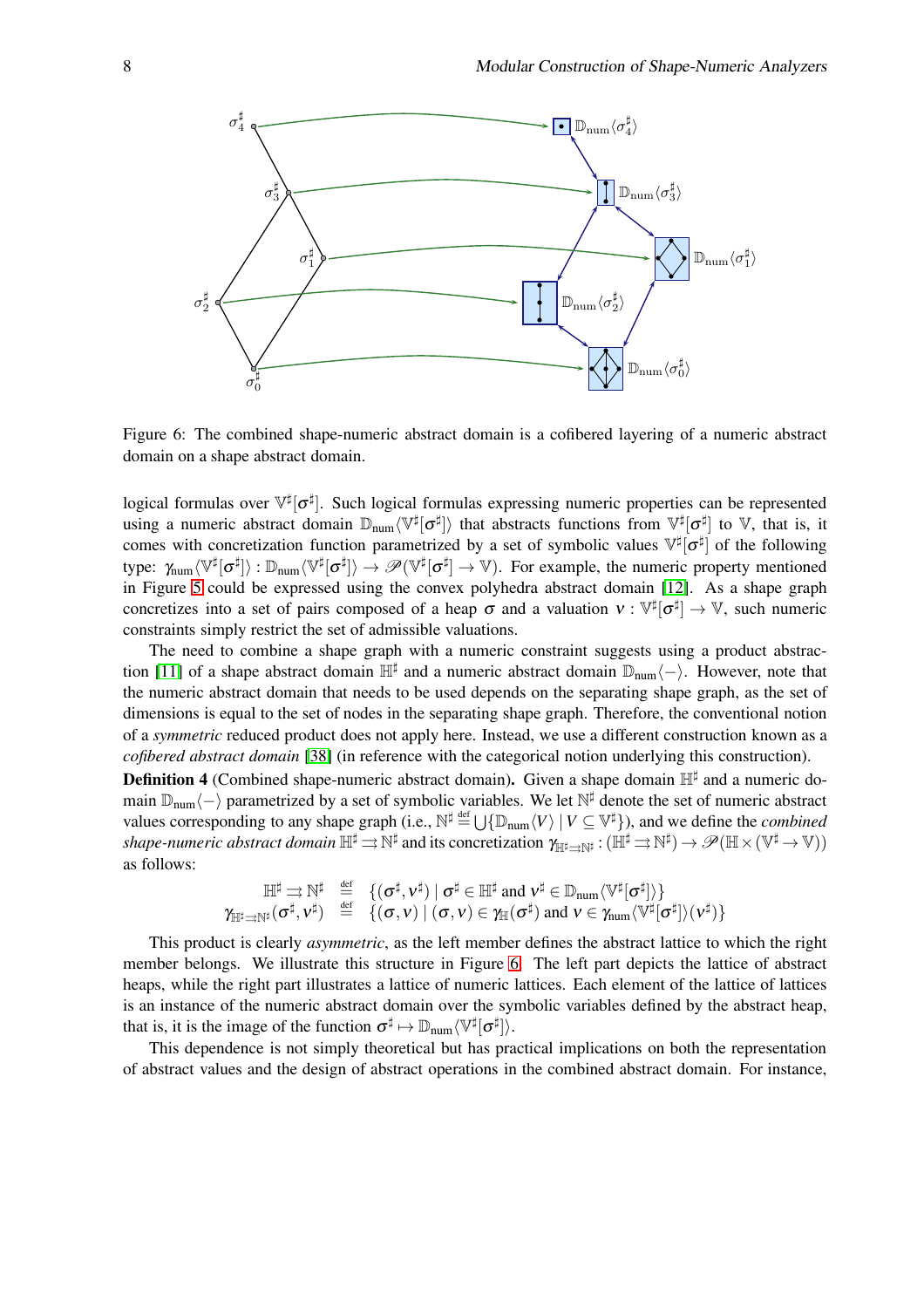

<span id="page-8-0"></span>Figure 6: The combined shape-numeric abstract domain is a cofibered layering of a numeric abstract domain on a shape abstract domain.

logical formulas over  $\mathbb{V}^{\sharp}[\sigma^{\sharp}]$ . Such logical formulas expressing numeric properties can be represented using a numeric abstract domain  $\mathbb{D}_{\text{num}}\langle\mathbb{V}^\sharp[\sigma^\sharp]\rangle$  that abstracts functions from  $\mathbb{V}^\sharp[\sigma^\sharp]$  to V, that is, it comes with concretization function parametrized by a set of symbolic values  $\mathbb{V}^{\sharp}[\sigma^{\sharp}]$  of the following type:  $\gamma_{\text{num}} \langle \mathbb{V}^{\sharp}[\sigma^{\sharp}] \rangle : \mathbb{D}_{\text{num}} \langle \mathbb{V}^{\sharp}[\sigma^{\sharp}] \rangle \to \mathscr{P}(\mathbb{V}^{\sharp}[\sigma^{\sharp}] \to \mathbb{V})$ . For example, the numeric property mentioned in Figure [5](#page-7-1) could be expressed using the convex polyhedra abstract domain [\[12\]](#page-24-1). As a shape graph concretizes into a set of pairs composed of a heap  $\sigma$  and a valuation  $v : \mathbb{V}^{\sharp}[\sigma^{\sharp}] \to \mathbb{V}$ , such numeric constraints simply restrict the set of admissible valuations.

The need to combine a shape graph with a numeric constraint suggests using a product abstrac-tion [\[11\]](#page-24-6) of a shape abstract domain  $\mathbb{H}^{\sharp}$  and a numeric abstract domain  $\mathbb{D}_{num}\langle-\rangle$ . However, note that the numeric abstract domain that needs to be used depends on the separating shape graph, as the set of dimensions is equal to the set of nodes in the separating shape graph. Therefore, the conventional notion of a *symmetric* reduced product does not apply here. Instead, we use a different construction known as a *cofibered abstract domain* [\[38\]](#page-25-11) (in reference with the categorical notion underlying this construction).

Definition 4 (Combined shape-numeric abstract domain). Given a shape domain  $\mathbb{H}^{\sharp}$  and a numeric domain  $\mathbb{D}_{num}\langle -\rangle$  parametrized by a set of symbolic variables. We let  $\mathbb{N}^{\sharp}$  denote the set of numeric abstract values corresponding to any shape graph (i.e.,  $\mathbb{N}^{\sharp} \stackrel{\text{def}}{=} \bigcup \{ \mathbb{D}_{num} \langle V \rangle \mid V \subseteq \mathbb{V}^{\sharp} \}$ ), and we define the *combined*  $shape\text{-}numeric abstract domain\ \mathbb{H}^\sharp \rightrightarrows \mathbb{N}^\sharp\ \text{and its concretization}\ \gamma_{\mathbb{H}^\sharp \rightrightarrows \mathbb{N}^\sharp}: (\mathbb{H}^\sharp \rightrightarrows \mathbb{N}^\sharp) \to \mathscr{P}(\mathbb{H} \times (\mathbb{V}^\sharp \to \mathbb{V}))$ as follows:

$$
\mathbb{H}^{\sharp} \rightrightarrows \mathbb{N}^{\sharp} \quad \stackrel{\text{def}}{=} \quad \{ (\sigma^{\sharp}, \nu^{\sharp}) \mid \sigma^{\sharp} \in \mathbb{H}^{\sharp} \text{ and } \nu^{\sharp} \in \mathbb{D}_{num} \langle \mathbb{V}^{\sharp} [\sigma^{\sharp}] \rangle \} \\ \gamma_{\mathbb{H}^{\sharp} \rightrightarrows \mathbb{N}^{\sharp} (\sigma^{\sharp}, \nu^{\sharp}) \quad \stackrel{\text{def}}{=} \quad \{ (\sigma, \nu) \mid (\sigma, \nu) \in \gamma_{\mathbb{H}} (\sigma^{\sharp}) \text{ and } \nu \in \gamma_{num} \langle \mathbb{V}^{\sharp} [\sigma^{\sharp}] \rangle (\nu^{\sharp}) \}
$$

This product is clearly *asymmetric*, as the left member defines the abstract lattice to which the right member belongs. We illustrate this structure in Figure [6.](#page-8-0) The left part depicts the lattice of abstract heaps, while the right part illustrates a lattice of numeric lattices. Each element of the lattice of lattices is an instance of the numeric abstract domain over the symbolic variables defined by the abstract heap, that is, it is the image of the function  $\sigma^{\sharp} \mapsto \mathbb{D}_{num} \langle \mathbb{V}^{\sharp}[\sigma^{\sharp}] \rangle$ .

This dependence is not simply theoretical but has practical implications on both the representation of abstract values and the design of abstract operations in the combined abstract domain. For instance,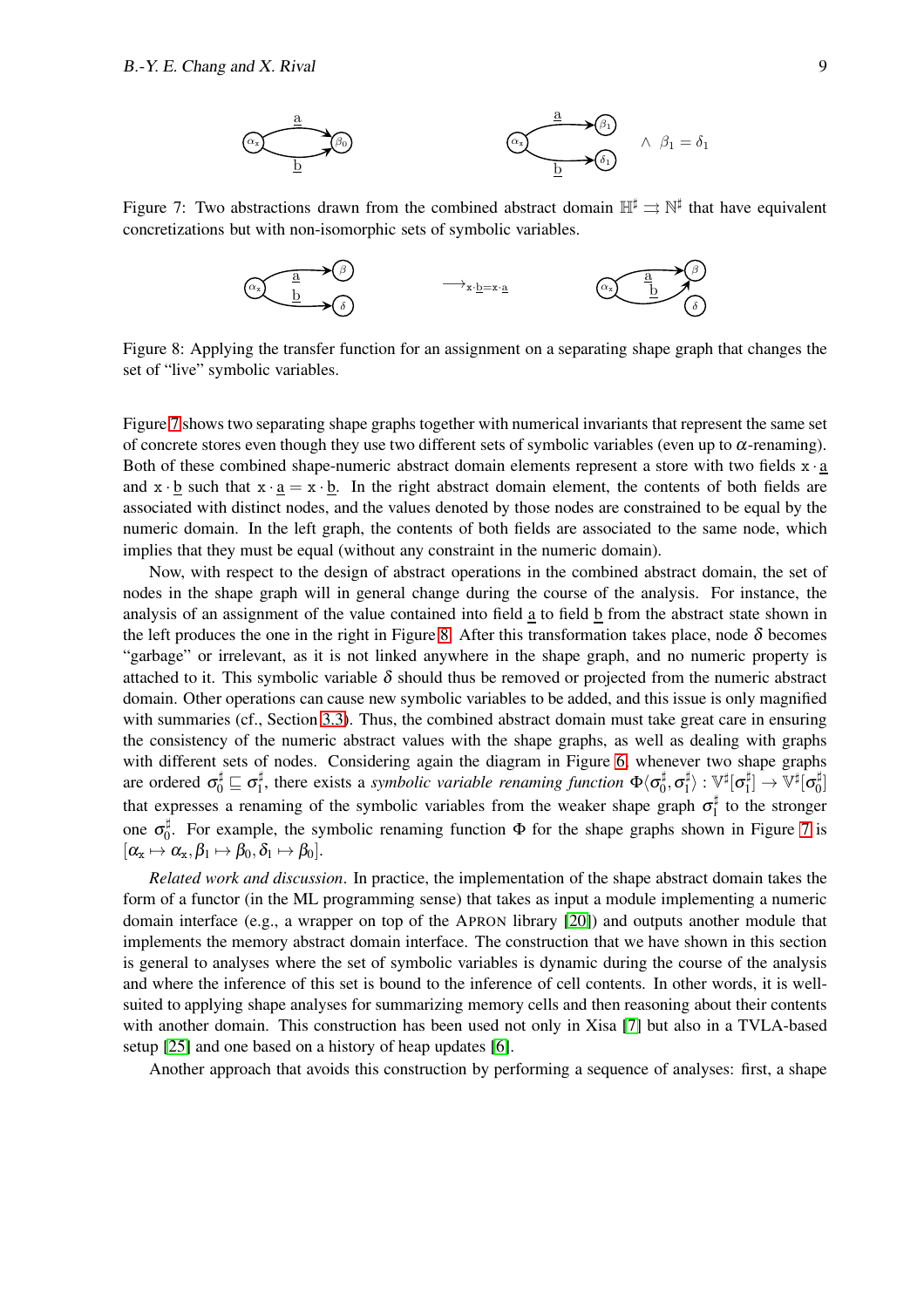

Figure 7: Two abstractions drawn from the combined abstract domain  $\mathbb{H}^{\sharp} \rightrightarrows \mathbb{N}^{\sharp}$  that have equivalent concretizations but with non-isomorphic sets of symbolic variables.

<span id="page-9-0"></span>

<span id="page-9-1"></span>Figure 8: Applying the transfer function for an assignment on a separating shape graph that changes the set of "live" symbolic variables.

Figure [7](#page-9-0) shows two separating shape graphs together with numerical invariants that represent the same set of concrete stores even though they use two different sets of symbolic variables (even up to  $\alpha$ -renaming). Both of these combined shape-numeric abstract domain elements represent a store with two fields  $x \cdot a$ and  $x \cdot b$  such that  $x \cdot a = x \cdot b$ . In the right abstract domain element, the contents of both fields are associated with distinct nodes, and the values denoted by those nodes are constrained to be equal by the numeric domain. In the left graph, the contents of both fields are associated to the same node, which implies that they must be equal (without any constraint in the numeric domain).

Now, with respect to the design of abstract operations in the combined abstract domain, the set of nodes in the shape graph will in general change during the course of the analysis. For instance, the analysis of an assignment of the value contained into field a to field b from the abstract state shown in the left produces the one in the right in Figure [8.](#page-9-1) After this transformation takes place, node  $\delta$  becomes "garbage" or irrelevant, as it is not linked anywhere in the shape graph, and no numeric property is attached to it. This symbolic variable  $\delta$  should thus be removed or projected from the numeric abstract domain. Other operations can cause new symbolic variables to be added, and this issue is only magnified with summaries (cf., Section [3.3\)](#page-10-0). Thus, the combined abstract domain must take great care in ensuring the consistency of the numeric abstract values with the shape graphs, as well as dealing with graphs with different sets of nodes. Considering again the diagram in Figure [6,](#page-8-0) whenever two shape graphs are ordered  $\sigma_0^{\sharp} \sqsubseteq \sigma_1^{\sharp}$  $\frac{1}{1}$ , there exists a *symbolic variable renaming function*  $\Phi(\sigma_0^{\sharp})$  $_0^\sharp, \sigma_1^\sharp$  $\ket{\frac{1}{1}}: \mathbb{V}^\sharp[\bm{\sigma}_1^\sharp]$  $\mathbb{E}^\sharp_1 \rightarrow \mathbb{V}^\sharp[\sigma_0^\sharp]$  $\begin{bmatrix} 1 \\ 0 \end{bmatrix}$ that expresses a renaming of the symbolic variables from the weaker shape graph  $\sigma_1^{\sharp}$  $t_1^{\dagger}$  to the stronger one  $\sigma_0^{\sharp}$  $\frac{1}{0}$ . For example, the symbolic renaming function  $\Phi$  for the shape graphs shown in Figure [7](#page-9-0) is  $[\alpha_x \mapsto \alpha_x, \beta_1 \mapsto \beta_0, \delta_1 \mapsto \beta_0].$ 

*Related work and discussion*. In practice, the implementation of the shape abstract domain takes the form of a functor (in the ML programming sense) that takes as input a module implementing a numeric domain interface (e.g., a wrapper on top of the APRON library [\[20\]](#page-25-12)) and outputs another module that implements the memory abstract domain interface. The construction that we have shown in this section is general to analyses where the set of symbolic variables is dynamic during the course of the analysis and where the inference of this set is bound to the inference of cell contents. In other words, it is wellsuited to applying shape analyses for summarizing memory cells and then reasoning about their contents with another domain. This construction has been used not only in Xisa [\[7\]](#page-24-3) but also in a TVLA-based setup [\[25\]](#page-25-13) and one based on a history of heap updates [\[6\]](#page-24-7).

Another approach that avoids this construction by performing a sequence of analyses: first, a shape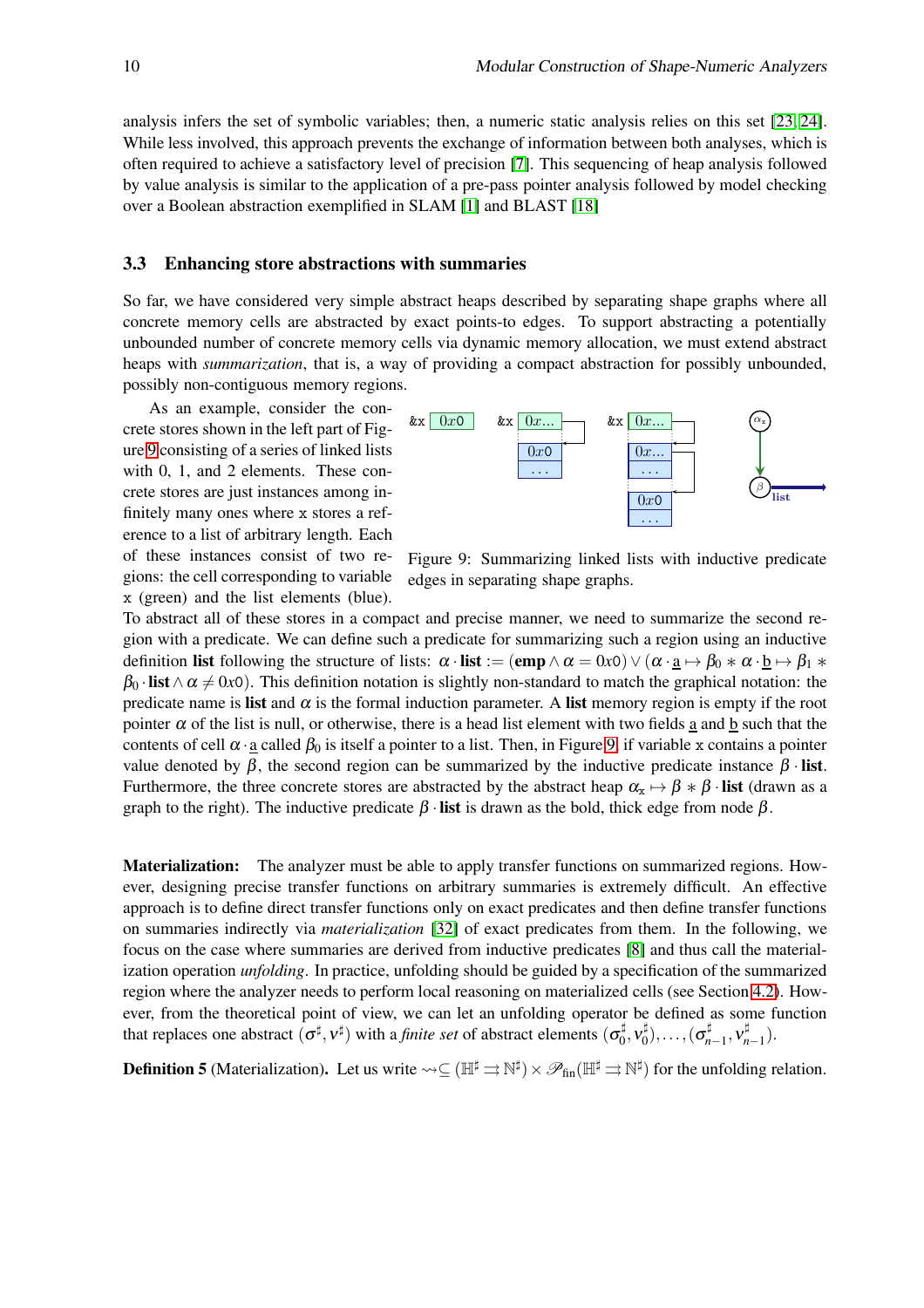analysis infers the set of symbolic variables; then, a numeric static analysis relies on this set [\[23,](#page-25-14) [24\]](#page-25-15). While less involved, this approach prevents the exchange of information between both analyses, which is often required to achieve a satisfactory level of precision [\[7\]](#page-24-3). This sequencing of heap analysis followed by value analysis is similar to the application of a pre-pass pointer analysis followed by model checking over a Boolean abstraction exemplified in SLAM [\[1\]](#page-24-8) and BLAST [\[18\]](#page-25-16)

#### <span id="page-10-0"></span>3.3 Enhancing store abstractions with summaries

So far, we have considered very simple abstract heaps described by separating shape graphs where all concrete memory cells are abstracted by exact points-to edges. To support abstracting a potentially unbounded number of concrete memory cells via dynamic memory allocation, we must extend abstract heaps with *summarization*, that is, a way of providing a compact abstraction for possibly unbounded, possibly non-contiguous memory regions.

As an example, consider the concrete stores shown in the left part of Figure [9](#page-10-1) consisting of a series of linked lists with 0, 1, and 2 elements. These concrete stores are just instances among infinitely many ones where x stores a reference to a list of arbitrary length. Each of these instances consist of two regions: the cell corresponding to variable x (green) and the list elements (blue).



<span id="page-10-1"></span>Figure 9: Summarizing linked lists with inductive predicate edges in separating shape graphs.

To abstract all of these stores in a compact and precise manner, we need to summarize the second region with a predicate. We can define such a predicate for summarizing such a region using an inductive definition list following the structure of lists:  $\alpha \cdot \textbf{list} := (\textbf{emp} \wedge \alpha = 0 \times 0) \vee (\alpha \cdot \underline{a} \mapsto \beta_0 * \alpha \cdot \underline{b} \mapsto \beta_1 * \alpha$  $\beta_0$  · list  $\wedge \alpha \neq 0x0$ ). This definition notation is slightly non-standard to match the graphical notation: the predicate name is list and  $\alpha$  is the formal induction parameter. A list memory region is empty if the root pointer  $\alpha$  of the list is null, or otherwise, there is a head list element with two fields a and b such that the contents of cell  $\alpha$  a called  $\beta_0$  is itself a pointer to a list. Then, in Figure [9,](#page-10-1) if variable x contains a pointer value denoted by  $\beta$ , the second region can be summarized by the inductive predicate instance  $\beta$  · list. Furthermore, the three concrete stores are abstracted by the abstract heap  $\alpha_x \mapsto \beta * \beta \cdot \textbf{list}$  (drawn as a graph to the right). The inductive predicate  $\beta$  · list is drawn as the bold, thick edge from node  $\beta$ .

**Materialization:** The analyzer must be able to apply transfer functions on summarized regions. However, designing precise transfer functions on arbitrary summaries is extremely difficult. An effective approach is to define direct transfer functions only on exact predicates and then define transfer functions on summaries indirectly via *materialization* [\[32\]](#page-25-17) of exact predicates from them. In the following, we focus on the case where summaries are derived from inductive predicates [\[8\]](#page-24-4) and thus call the materialization operation *unfolding*. In practice, unfolding should be guided by a specification of the summarized region where the analyzer needs to perform local reasoning on materialized cells (see Section [4.2\)](#page-16-0). However, from the theoretical point of view, we can let an unfolding operator be defined as some function that replaces one abstract  $(\sigma^{\sharp}, v^{\sharp})$  with a *finite set* of abstract elements  $(\sigma_0^{\sharp})$  $_0^\sharp, \nu_0^\sharp$  $\sigma_n^\sharp),\ldots,(\sigma_n^\sharp$ .‡<br>*n*−1</sub>,  $v_n^{\sharp}$ *n*−1 ).

**Definition 5** (Materialization). Let us write  $\leadsto \subseteq (\mathbb{H}^{\sharp} \rightrightarrows \mathbb{N}^{\sharp}) \times \mathscr{P}_{\text{fin}}(\mathbb{H}^{\sharp} \rightrightarrows \mathbb{N}^{\sharp})$  for the unfolding relation.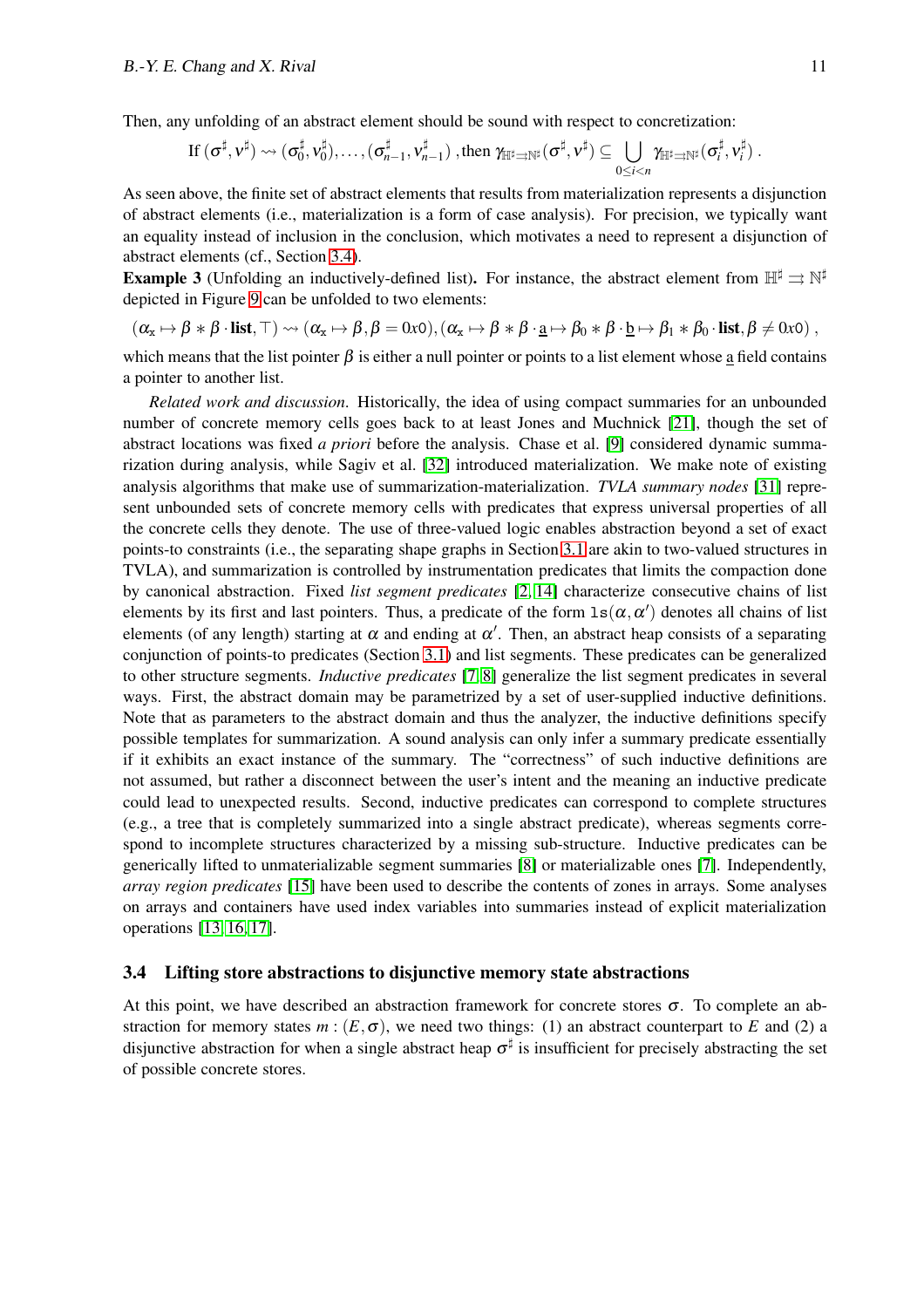Then, any unfolding of an abstract element should be sound with respect to concretization:

$$
\text{If }(\sigma^\sharp,\nu^\sharp)\leadsto(\sigma_0^\sharp,\nu_0^\sharp),\dots,(\sigma_{n-1}^\sharp,\nu_{n-1}^\sharp) \text{ , then } \gamma_{\mathbb{H}^\sharp\rightrightarrows\mathbb{N}^\sharp}(\sigma^\sharp,\nu^\sharp)\subseteq\bigcup_{0\leq i
$$

As seen above, the finite set of abstract elements that results from materialization represents a disjunction of abstract elements (i.e., materialization is a form of case analysis). For precision, we typically want an equality instead of inclusion in the conclusion, which motivates a need to represent a disjunction of abstract elements (cf., Section [3.4\)](#page-11-0).

**Example 3** (Unfolding an inductively-defined list). For instance, the abstract element from  $\mathbb{H}^{\sharp} \rightrightarrows \mathbb{N}^{\sharp}$ depicted in Figure [9](#page-10-1) can be unfolded to two elements:

$$
(\alpha_x\mapsto \beta\ast\beta\cdot\text{list},\top)\rightsquigarrow(\alpha_x\mapsto \beta,\beta=0 \text{x0}), (\alpha_x\mapsto \beta\ast\beta\cdot\underline{a}\mapsto \beta_0\ast\beta\cdot\underline{b}\mapsto \beta_1\ast\beta_0\cdot\text{list},\beta\neq 0 \text{x0})\;,
$$

which means that the list pointer  $\beta$  is either a null pointer or points to a list element whose a field contains a pointer to another list.

*Related work and discussion*. Historically, the idea of using compact summaries for an unbounded number of concrete memory cells goes back to at least Jones and Muchnick [\[21\]](#page-25-18), though the set of abstract locations was fixed *a priori* before the analysis. Chase et al. [\[9\]](#page-24-5) considered dynamic summarization during analysis, while Sagiv et al. [\[32\]](#page-25-17) introduced materialization. We make note of existing analysis algorithms that make use of summarization-materialization. *TVLA summary nodes* [\[31\]](#page-25-1) represent unbounded sets of concrete memory cells with predicates that express universal properties of all the concrete cells they denote. The use of three-valued logic enables abstraction beyond a set of exact points-to constraints (i.e., the separating shape graphs in Section [3.1](#page-6-0) are akin to two-valued structures in TVLA), and summarization is controlled by instrumentation predicates that limits the compaction done by canonical abstraction. Fixed *list segment predicates* [\[2,](#page-24-9) [14\]](#page-24-10) characterize consecutive chains of list elements by its first and last pointers. Thus, a predicate of the form  $ls(\alpha, \alpha')$  denotes all chains of list elements (of any length) starting at  $\alpha$  and ending at  $\alpha'$ . Then, an abstract heap consists of a separating conjunction of points-to predicates (Section [3.1\)](#page-6-0) and list segments. These predicates can be generalized to other structure segments. *Inductive predicates* [\[7,](#page-24-3) [8\]](#page-24-4) generalize the list segment predicates in several ways. First, the abstract domain may be parametrized by a set of user-supplied inductive definitions. Note that as parameters to the abstract domain and thus the analyzer, the inductive definitions specify possible templates for summarization. A sound analysis can only infer a summary predicate essentially if it exhibits an exact instance of the summary. The "correctness" of such inductive definitions are not assumed, but rather a disconnect between the user's intent and the meaning an inductive predicate could lead to unexpected results. Second, inductive predicates can correspond to complete structures (e.g., a tree that is completely summarized into a single abstract predicate), whereas segments correspond to incomplete structures characterized by a missing sub-structure. Inductive predicates can be generically lifted to unmaterializable segment summaries [\[8\]](#page-24-4) or materializable ones [\[7\]](#page-24-3). Independently, *array region predicates* [\[15\]](#page-24-11) have been used to describe the contents of zones in arrays. Some analyses on arrays and containers have used index variables into summaries instead of explicit materialization operations [\[13,](#page-24-12) [16,](#page-25-19) [17\]](#page-25-20).

#### <span id="page-11-0"></span>3.4 Lifting store abstractions to disjunctive memory state abstractions

At this point, we have described an abstraction framework for concrete stores  $\sigma$ . To complete an abstraction for memory states  $m : (E, \sigma)$ , we need two things: (1) an abstract counterpart to *E* and (2) a disjunctive abstraction for when a single abstract heap  $\sigma^{\sharp}$  is insufficient for precisely abstracting the set of possible concrete stores.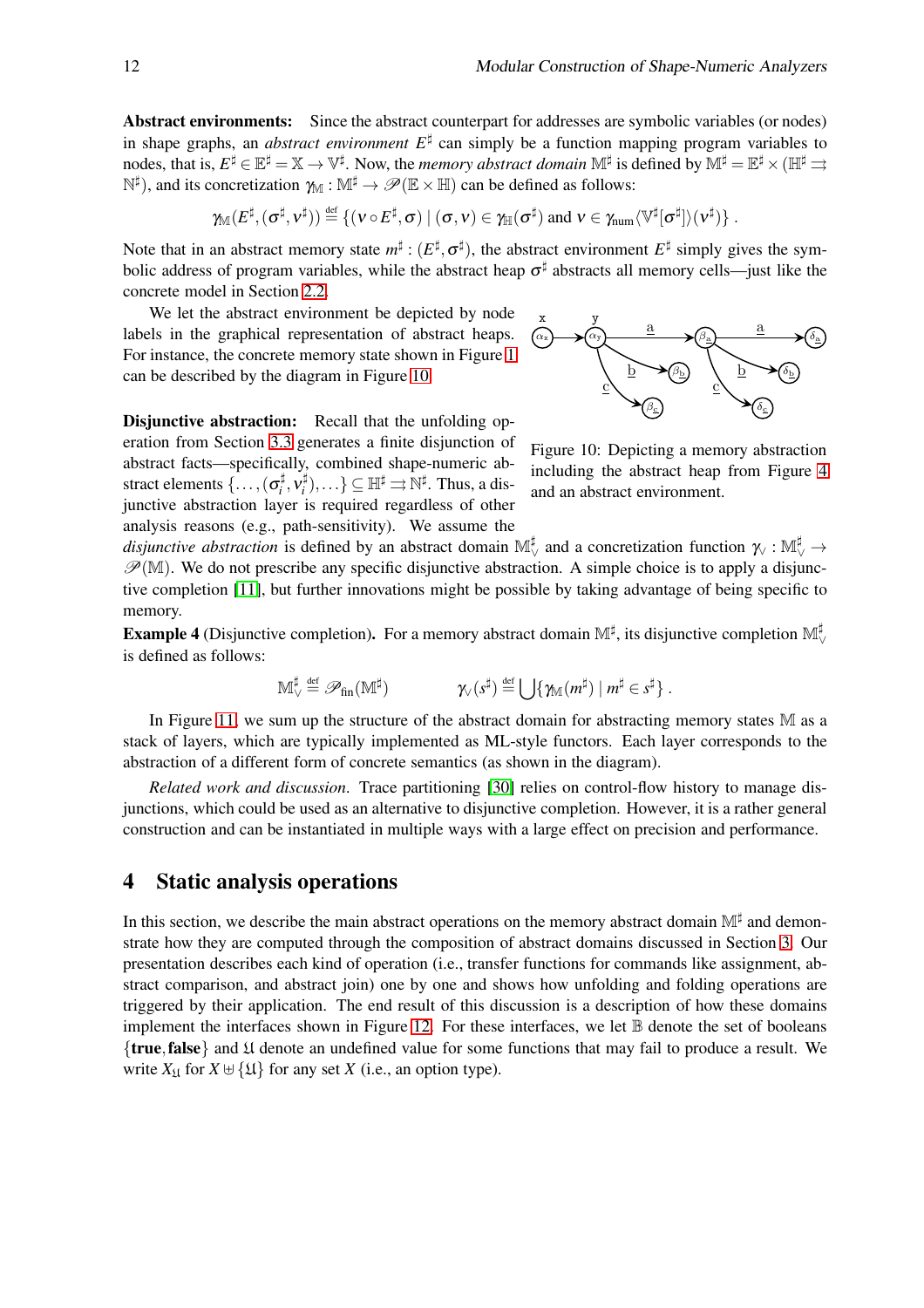Abstract environments: Since the abstract counterpart for addresses are symbolic variables (or nodes) in shape graphs, an *abstract environment*  $E^{\sharp}$  can simply be a function mapping program variables to nodes, that is,  $E^\sharp\in\mathbb{E}^\sharp=\mathbb{X}\to\mathbb{V}^\sharp.$  Now, the *memory abstract domain*  $\mathbb{M}^\sharp$  is defined by  $\mathbb{M}^\sharp=\mathbb{E}^\sharp\times(\mathbb{H}^\sharp\rightrightarrows)$  $\mathbb{N}^{\sharp}$ ), and its concretization  $\gamma_{\mathbb{M}} : \mathbb{M}^{\sharp} \to \mathscr{P}(\mathbb{E} \times \mathbb{H})$  can be defined as follows:

$$
\gamma_{\mathbb{M}}(E^\sharp,(\sigma^\sharp,\mathsf{v}^\sharp))\stackrel{\textup{\tiny def}}{=} \{(\mathsf{v}\circ E^\sharp,\sigma)\ |\ (\sigma,\mathsf{v})\in\gamma_{\mathbb{H}}(\sigma^\sharp)\ \textup{\textup{and}}\ \mathsf{v}\in\gamma_{\textup{\textup{num}}} \langle \mathbb{V}^\sharp[\sigma^\sharp]\rangle(\mathsf{v}^\sharp)\}\ .
$$

Note that in an abstract memory state  $m^{\sharp}$  :  $(E^{\sharp}, \sigma^{\sharp})$ , the abstract environment  $E^{\sharp}$  simply gives the symbolic address of program variables, while the abstract heap  $\sigma^{\sharp}$  abstracts all memory cells—just like the concrete model in Section [2.2.](#page-3-0)

We let the abstract environment be depicted by node labels in the graphical representation of abstract heaps. For instance, the concrete memory state shown in Figure [1](#page-2-1) can be described by the diagram in Figure [10.](#page-12-1)

**Disjunctive abstraction:** Recall that the unfolding operation from Section [3.3](#page-10-0) generates a finite disjunction of abstract facts—specifically, combined shape-numeric abstract elements  $\{\ldots, (\sigma_i^{\sharp})\}$  $\frac{1}{i}$ ,  $v_i^{\sharp}$  $\mathbb{H}^\sharp$ ),...}  $\subseteq \mathbb{H}^\sharp \rightrightarrows \mathbb{N}^\sharp$ . Thus, a disjunctive abstraction layer is required regardless of other analysis reasons (e.g., path-sensitivity). We assume the



<span id="page-12-1"></span>Figure 10: Depicting a memory abstraction including the abstract heap from Figure [4](#page-6-1) and an abstract environment.

*disjunctive abstraction* is defined by an abstract domain  $\mathbb{M}_{\vee}^{\sharp}$  and a concretization function  $\gamma_{\vee} : \mathbb{M}_{\vee}^{\sharp} \to$  $\mathscr{P}(M)$ . We do not prescribe any specific disjunctive abstraction. A simple choice is to apply a disjunctive completion [\[11\]](#page-24-6), but further innovations might be possible by taking advantage of being specific to memory.

**Example 4** (Disjunctive completion). For a memory abstract domain  $\mathbb{M}^{\sharp}$ , its disjunctive completion  $\mathbb{M}^{\sharp}_{\vee}$ is defined as follows:

$$
\mathbb{M}_\vee^\sharp\stackrel{\textrm{\tiny{def}}}{=} \mathscr{P}_{\textrm{fin}}(\mathbb{M}^\sharp) \qquad \qquad \mathcal{N}(\mathcal{s}^\sharp) \stackrel{\textrm{\tiny{def}}}{=} \bigcup \{\mathcal{W}_\mathbb{M}(m^\sharp) \mid m^\sharp \in \mathcal{s}^\sharp\} \; .
$$

In Figure [11,](#page-13-0) we sum up the structure of the abstract domain for abstracting memory states M as a stack of layers, which are typically implemented as ML-style functors. Each layer corresponds to the abstraction of a different form of concrete semantics (as shown in the diagram).

*Related work and discussion*. Trace partitioning [\[30\]](#page-25-7) relies on control-flow history to manage disjunctions, which could be used as an alternative to disjunctive completion. However, it is a rather general construction and can be instantiated in multiple ways with a large effect on precision and performance.

## <span id="page-12-0"></span>4 Static analysis operations

In this section, we describe the main abstract operations on the memory abstract domain M<sup>‡</sup> and demonstrate how they are computed through the composition of abstract domains discussed in Section [3.](#page-5-0) Our presentation describes each kind of operation (i.e., transfer functions for commands like assignment, abstract comparison, and abstract join) one by one and shows how unfolding and folding operations are triggered by their application. The end result of this discussion is a description of how these domains implement the interfaces shown in Figure [12.](#page-14-0) For these interfaces, we let  $\mathbb B$  denote the set of booleans {true,false} and U denote an undefined value for some functions that may fail to produce a result. We write  $X_{\mathfrak{U}}$  for  $X \cup \{ \mathfrak{U} \}$  for any set *X* (i.e., an option type).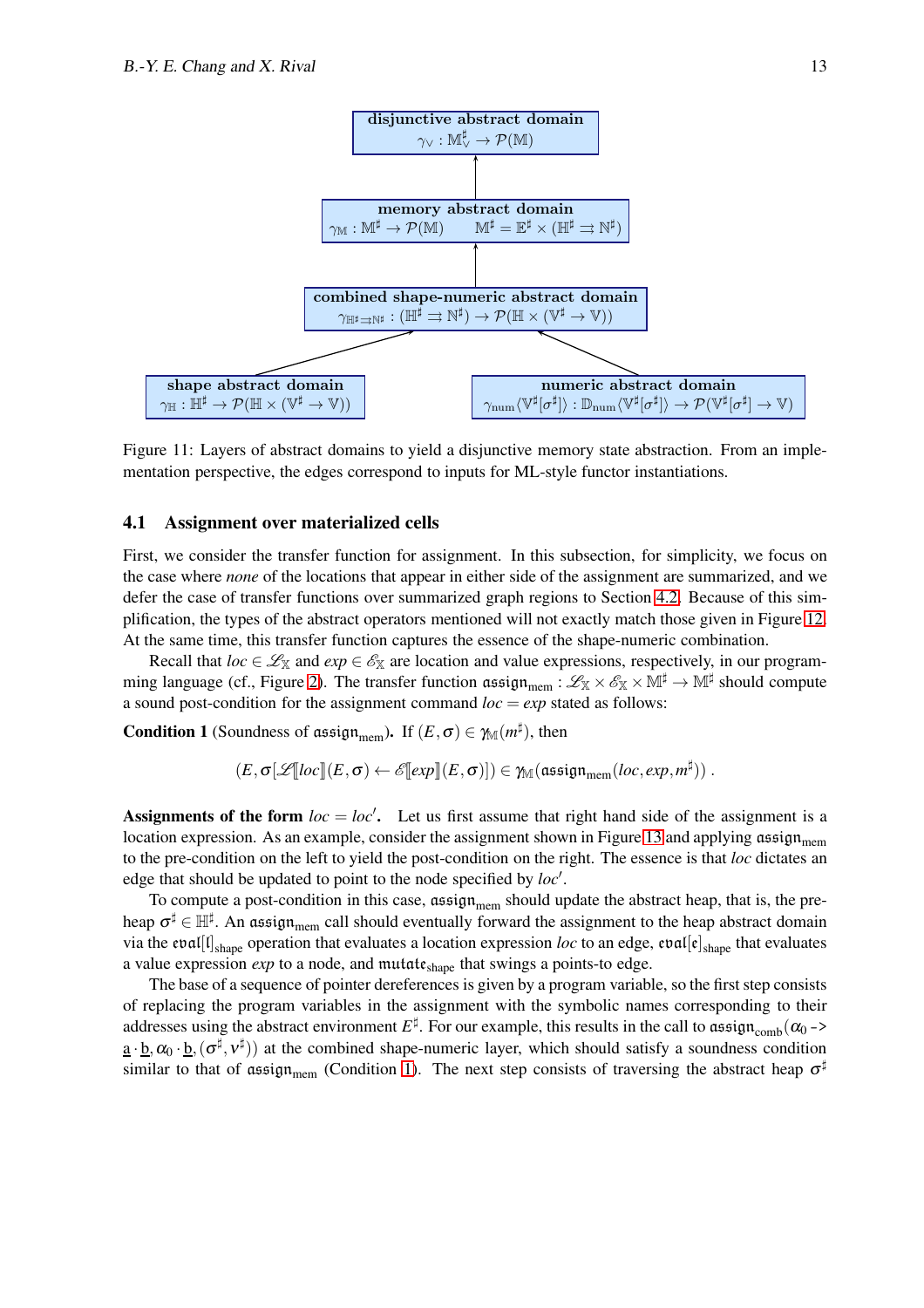

<span id="page-13-0"></span>Figure 11: Layers of abstract domains to yield a disjunctive memory state abstraction. From an implementation perspective, the edges correspond to inputs for ML-style functor instantiations.

#### <span id="page-13-2"></span>4.1 Assignment over materialized cells

First, we consider the transfer function for assignment. In this subsection, for simplicity, we focus on the case where *none* of the locations that appear in either side of the assignment are summarized, and we defer the case of transfer functions over summarized graph regions to Section [4.2.](#page-16-0) Because of this simplification, the types of the abstract operators mentioned will not exactly match those given in Figure [12.](#page-14-0) At the same time, this transfer function captures the essence of the shape-numeric combination.

Recall that  $loc \in \mathcal{L}_X$  and  $exp \in \mathcal{E}_X$  are location and value expressions, respectively, in our program-ming language (cf., Figure [2\)](#page-4-0). The transfer function  $\mathfrak{assign}_{\mathrm{mem}} : \mathscr{L}_{\mathbb{X}} \times \mathscr{E}_{\mathbb{X}} \times \mathbb{M}^{\sharp} \to \mathbb{M}^{\sharp}$  should compute a sound post-condition for the assignment command  $loc = exp$  stated as follows:

<span id="page-13-1"></span>**Condition 1** (Soundness of assign<sub>mem</sub>). If  $(E, \sigma) \in \mathcal{M}(m^{\sharp})$ , then

$$
(E,\sigma[\mathscr{L}[\![loc]\!](E,\sigma) \leftarrow \mathscr{E}[\![exp]\!](E,\sigma)]) \in \text{$\mathbb{M}$}(\text{assign}_{\text{mem}}(loc,exp,m^{\sharp}))\;.
$$

Assignments of the form  $loc = loc'$ . Let us first assume that right hand side of the assignment is a location expression. As an example, consider the assignment shown in Figure [13](#page-15-0) and applying assign<sub>mem</sub> to the pre-condition on the left to yield the post-condition on the right. The essence is that *loc* dictates an edge that should be updated to point to the node specified by *loc*′ .

To compute a post-condition in this case,  $\text{assign}_{\text{mem}}$  should update the abstract heap, that is, the preheap  $\sigma^\sharp\in\mathbb{H}^\sharp.$  An assign $_{\rm mem}$  call should eventually forward the assignment to the heap abstract domain via the evall  $[l]_{shape}$  operation that evaluates a location expression *loc* to an edge, evallel  $_s$ <sub>hape</sub> that evaluates a value expression *exp* to a node, and mutate<sub>shape</sub> that swings a points-to edge.

The base of a sequence of pointer dereferences is given by a program variable, so the first step consists of replacing the program variables in the assignment with the symbolic names corresponding to their addresses using the abstract environment  $E^{\sharp}$ . For our example, this results in the call to  $\mathfrak{assign}_{\mathrm{comb}}(\alpha_0 \rightarrow$  $\underline{a} \cdot \underline{b}, \alpha_0 \cdot \underline{b}, (\sigma^{\sharp}, v^{\sharp})$  at the combined shape-numeric layer, which should satisfy a soundness condition similar to that of assign<sub>mem</sub> (Condition [1\)](#page-13-1). The next step consists of traversing the abstract heap  $\sigma^{\sharp}$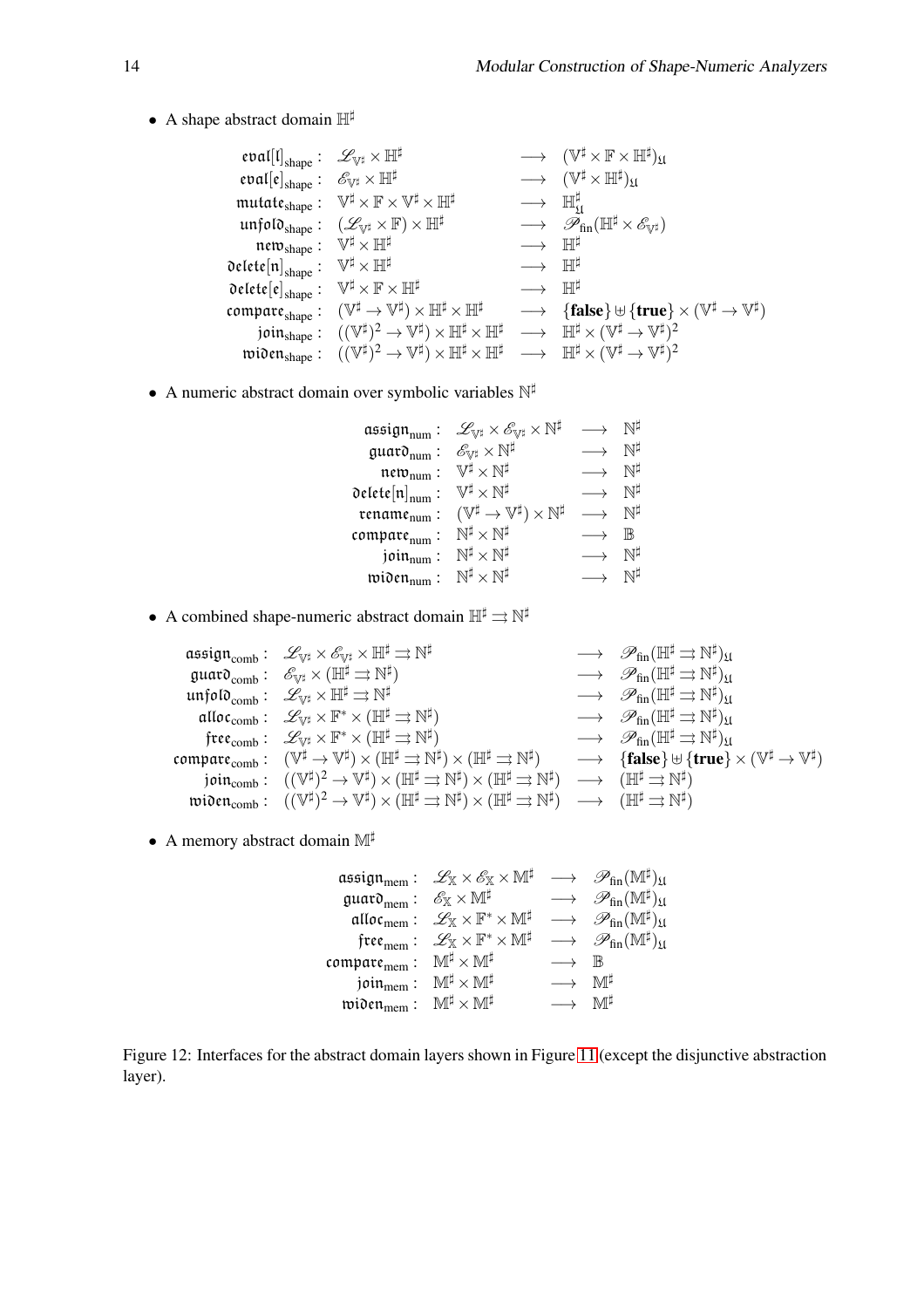• A shape abstract domain  $\mathbb{H}^{\sharp}$ 

```
eval\left[\mathfrak{l}\right]_{\text{shape}}: \mathscr{L}_{\mathbb{V}^{\sharp}}\times \mathbb{H}^{\sharp} \hspace{1cm}\longrightarrow \hspace{1cm}(\mathbb{V}% _{\text{shape}})\times \mathbb{H}^{\sharp}^{\sharp}\times\mathbb{F}\times\mathbb{H}^{\sharp})_{\mathfrak{U}}eval[e]_{shape}: \mathscr{E}_{\mathbb{V}^{\sharp}} \times \mathbb{H}^{\sharp} \longrightarrow (\mathbb{V})‡ \times \mathbb{H}^{\sharp})_{\mathfrak{U}}\mathfrak{mutate}_{\text{shape}}: \ \ \mathbb{V}^{\sharp} \times \mathbb{F} \times \mathbb{V}^{\sharp} \times \mathbb{H}^{\sharp} \hspace{.5in} \longrightarrow \ \ \mathbb{H}♯
                                                                                                                                                                                      \mathfrak{U}\text{unfolo}_{\text{shape}}: (\mathscr{L}_{\mathbb{V}^{\sharp}} \times \mathbb{F}) \times \mathbb{H}^{\sharp} \longrightarrow \mathscr{P}_{\text{fin}}(\mathbb{H}^{\sharp} \times \mathscr{E}_{\mathbb{V}^{\sharp}})\mathfrak{new}_{\text{shape}}: \ \ \mathbb{V}^{\sharp} \times \mathbb{H}^{\sharp}\longrightarrow \mathbb{H}^{\sharp}delete\left[\mathfrak{n}\right]_{\text{shape}}: \;\; \mathbb{V}\longrightarrow \mathbb{H}^{\sharp}\mathsf{Delete}[\mathfrak{e}]_{\mathsf{shape}}: \hspace{0.2cm} \mathbb{V}^{\sharp} \times \mathbb{F} \times \mathbb{H}^{\sharp} \hspace{1.5cm} \longrightarrow \hspace{0.2cm} \mathbb{H}^{\sharp}\mathfrak{compare}_\text{shape}^{\phantom{\dag}}\colon\,\,\,({\mathbb V}^\sharp\to{\mathbb V}^\sharp\phi \times \mathbb{H}^{\sharp} \times \mathbb{H}^{\sharp} \longrightarrow \{ \text{false} \} \uplus \{ \text{true} \} \times (\mathbb{V}^{\sharp} \to \mathbb{V}^{\sharp})join_{\rm shape}:\ \ \ (({\mathbb V}^\sharp)^2\to {\mathbb V}^\sharp\phi > \mathbb{H}^{\sharp} \times \mathbb{H}^{\sharp} \longrightarrow \mathbb{H}^{\sharp} \times (\mathbb{V}^{\sharp} \to \mathbb{V}^{\sharp})^2\text{wiOen}_{\text{shape}}: \ \ ((\mathbb{V}^{\sharp})^2 \rightarrow \mathbb{V}^{\sharp})\mathcal{L} \times \mathbb{H}^{\sharp} \times \mathbb{H}^{\sharp} \longrightarrow \mathbb{H}^{\sharp} \times (\mathbb{V}^{\sharp} \to \mathbb{V}^{\sharp})^2
```
• A numeric abstract domain over symbolic variables  $\mathbb{N}^{\sharp}$ 

| $\mathfrak{assign}_{\text{num}}$ : | $\mathscr{L}_{\mathbb{V}^\sharp} \times \mathscr{E}_{\mathbb{V}^\sharp} \times \mathbb{N}^\sharp$ |                   |               |
|------------------------------------|---------------------------------------------------------------------------------------------------|-------------------|---------------|
| guard <sub>num</sub> :             | $\mathscr{E}_{\mathbb{V}^{\sharp}}\times\mathbb{N}^{\sharp}$                                      |                   | Νİ            |
| $new_{num}$ :                      | $\mathbb{V}^{\sharp}\times\mathbb{N}^{\sharp}$                                                    |                   | ΝĦ            |
| delete $[n]_{\text{num}}$ :        | $\mathbb{V}^{\sharp}\times\mathbb{N}^{\sharp}$                                                    |                   | N١            |
| rename <sub>num</sub> :            | $(\mathbb{V}^{\sharp} \to \mathbb{V}^{\sharp}) \times \mathbb{N}^{\sharp}$                        |                   | N۴            |
| compare <sub>num</sub> :           | $\mathbb{N}^{\sharp}\times\mathbb{N}^{\sharp}$                                                    |                   | $_{\rm I\!R}$ |
| join <sub>num</sub> :              | $\mathbb{N}^{\sharp}\times\mathbb{N}^{\sharp}$                                                    |                   |               |
| $\mathfrak{wionem}_{\min}$ :       | $\mathbb{N}^{\sharp}\times\mathbb{N}^{\sharp}$                                                    | $\longrightarrow$ |               |

- A combined shape-numeric abstract domain  $\mathbb{H}^{\sharp} \rightrightarrows \mathbb{N}^{\sharp}$ 
	- $\mathfrak{assign}_{\mathrm{comb}}: \ \ \mathscr{L}_{\mathbb{V}^{\sharp}} \times \mathscr{E}_{\mathbb{V}^{\sharp}} \times \mathbb{H}^{\sharp} \rightrightarrows \mathbb{N}^{\sharp}$  $\quad \ \ \, \longrightarrow\ \ \, \mathscr{P}_{\textrm{fin}}(\mathbb{H}^{\sharp}\rightrightarrows\mathbb{N}^{\sharp})_{\mathfrak{U}}$ guar $\mathfrak{d}_{\text{comb}}:\;\;\mathscr{E}_{\mathbb{V}^{\sharp}}\times(\mathbb{H}^{\sharp}\rightrightarrows\mathbb{N}^{\sharp}$ )  $\longrightarrow \mathscr{P}_{fin}(\mathbb{H}^{\sharp} \rightrightarrows \mathbb{N}^{\sharp})_{\mathfrak{U}}$  $\mathfrak{u}\mathfrak{n}\mathfrak{f}$ olo $\mathfrak{g}_{\text{comb}}$ :  $\mathscr{L}_{\mathbb{V}^{\sharp}}\times \mathbb{H}^{\sharp} \rightrightarrows \mathbb{N}^{\sharp}$ ‡  $\longrightarrow \mathscr{P}_{fin}(\mathbb{H}^{\sharp} \rightrightarrows \mathbb{N}^{\sharp})_{\mathfrak{U}}$ alloc $_{\rm comb}:\;\;\mathscr{L}_{\mathbb{V}^\sharp}\times\mathbb{F}^*\times (\mathbb{H}^\sharp \rightrightarrows \mathbb{N}^\sharp$ )  $\longrightarrow \mathscr{P}_{fin}(\mathbb{H}^{\sharp} \rightrightarrows \mathbb{N}^{\sharp})_{\mathfrak{U}}$  $\mathfrak{free}_\mathrm{comb}:\;\;\mathscr{L}_{\mathbb{V}^\sharp}\times\mathbb{F}^*\times (\mathbb{H}^\sharp \rightrightarrows \mathbb{N}^\sharp$ )  $\longrightarrow \mathscr{P}_{fin}(\mathbb{H}^{\sharp} \rightrightarrows \mathbb{N}^{\sharp})_{\mathfrak{U}}$  $\mathfrak{compare}_{\mathrm{comb}}: \ \ (\mathbb{V}^{\sharp} \to \mathbb{V}^{\sharp}) \times (\mathbb{H}^{\sharp} \rightrightarrows \mathbb{N}^{\sharp}) \times (\mathbb{H}^{\sharp} \rightrightarrows \mathbb{N}^{\sharp}$ )  $\longrightarrow$  {false}  $\oplus$  {true}  $\times$  ( $\mathbb{V}^{\sharp} \to \mathbb{V}^{\sharp}$ )  $\mathfrak{join}_\mathrm{comb}:\hspace{0.3cm}((\mathbb{V}^\sharp)^2\to\mathbb{V}^\sharp)\times(\mathbb{H}^\sharp\rightrightarrows\mathbb{N}^\sharp)\times(\mathbb{H}^\sharp\rightrightarrows\mathbb{N}^\sharp)\hspace{0.3cm}\longrightarrow\hspace{0.3cm}(\mathbb{H}^\sharp\rightrightarrows\mathbb{N}^\sharp)$  $\mathfrak{wionomb}: \; \; ((\mathbb{V}^\sharp)^2 \to \mathbb{V}^\sharp) \times (\mathbb{H}^\sharp \rightrightarrows \mathbb{N}^\sharp) \times (\mathbb{H}^\sharp \rightrightarrows \mathbb{N}^\sharp) \; \; \longrightarrow \; \; (\mathbb{H}^\sharp \rightrightarrows \mathbb{N}^\sharp)$
- A memory abstract domain M<sup>‡</sup>

assign $_{\rm mem}:~~\mathscr L_{\mathbb X} \times \mathscr E_{\mathbb X} \times \mathbb M^\sharp ~~\longrightarrow~~\mathscr P_{\rm fin}(\mathbb M^\sharp)_{\mathfrak U}$ guar $\mathfrak{d}_{\mathrm{mem}}: \ \ \mathscr{E}_{\mathbb{X}}\times\mathbb{M}^{\sharp}$  $\longrightarrow \mathscr{P}_{fin}(\mathbb{M}^{\sharp})_{\mathfrak{U}}$  $\mathfrak{alloc}_{\mathrm{mem}}: \ \ \mathscr{L}_\mathbb{X} \times \mathbb{F}^* \times \mathbb{M}^\sharp \ \ \longrightarrow \ \ \mathscr{P}_\mathrm{fin}(\mathbb{M}^\sharp)_\mathfrak{U}$  $\mathfrak{free}_{\mathrm{mem}}: \ \ \mathscr{L}_\mathbb{X} \times \mathbb{F}^* \times \mathbb{M}^\sharp \quad \longrightarrow \quad \mathscr{P}_{\mathrm{fin}}(\mathbb{M}^\sharp)_\mathfrak{U}$  $\begin{array}{ccc}\n\mathsf{compare} & \mathsf{M}^\sharp \times \mathsf{M}^\sharp & \longrightarrow & \mathbb{B} \\
\mathsf{ioin}_{\mathsf{mem}} & \mathsf{M}^\sharp \times \mathsf{M}^\sharp & \longrightarrow & \mathbb{M}^\sharp\n\end{array}$  $\begin{array}{ccc} \text{join}_{\text{mem}}: & \mathbb{M}^{\sharp}\times\mathbb{M}^{\sharp} & \longrightarrow & \mathbb{M}^{\sharp} \ \text{tion}_{\text{mem}}: & \mathbb{M}^{\sharp}\times\mathbb{M}^{\sharp} & \longrightarrow & \mathbb{M}^{\sharp} \end{array}$ widen $_{\rm mem}: \;\;\mathbb{M}^{\sharp}\times\mathbb{M}^{\sharp}$ 

<span id="page-14-0"></span>Figure 12: Interfaces for the abstract domain layers shown in Figure [11](#page-13-0) (except the disjunctive abstraction layer).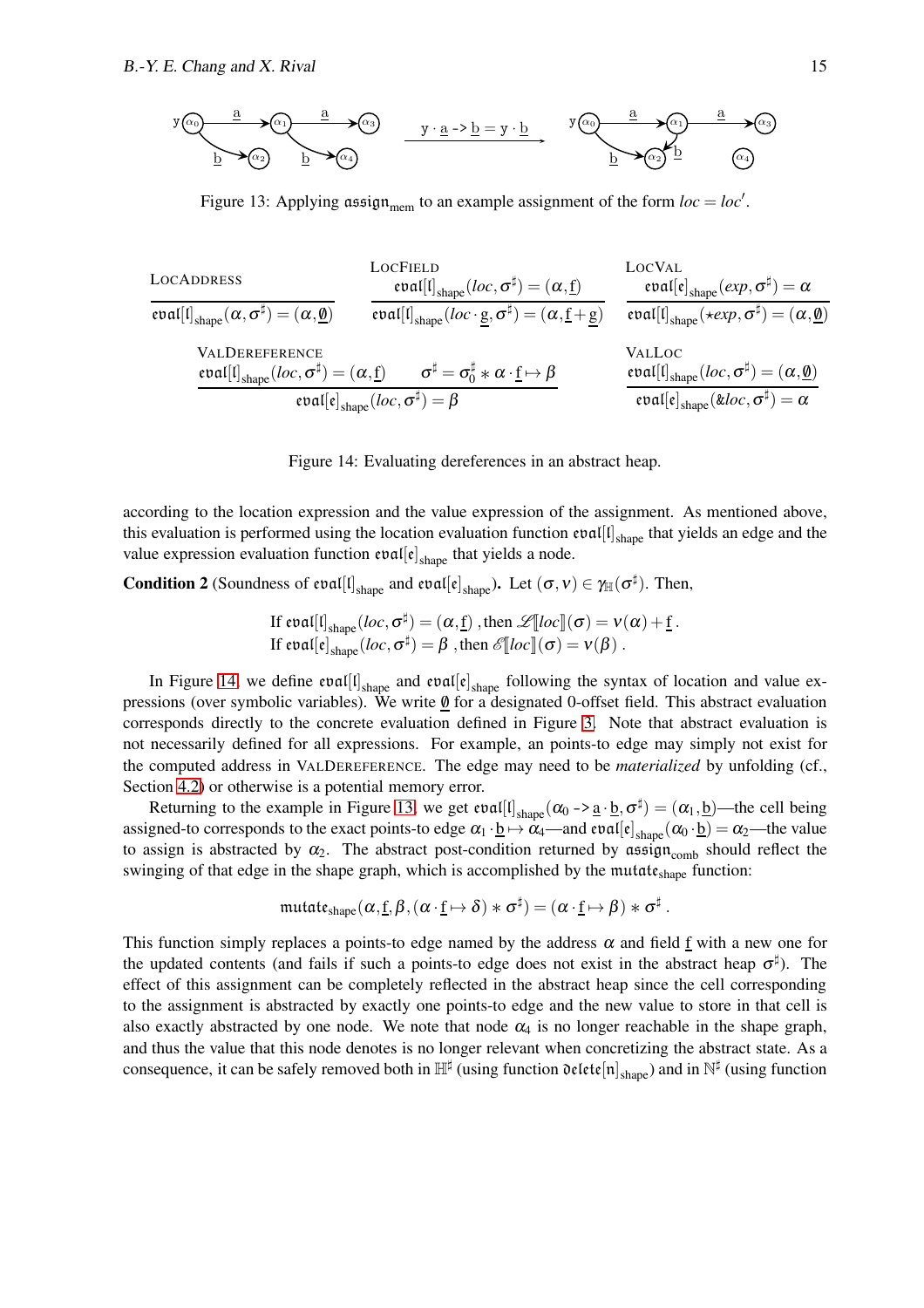$$
y(\alpha_0) \xrightarrow{\underline{a} \rightarrow (\alpha_1)} \xrightarrow{\underline{a} \rightarrow (\alpha_3)} y \cdot \underline{a} \rightarrow b = y \cdot \underline{b} \rightarrow (a_0)
$$

<span id="page-15-0"></span>Figure 13: Applying assign<sub>mem</sub> to an example assignment of the form  $loc = loc'$ .

| LocADDRESS                                                                          | LocCHELD                                                                                                     | LocVAL                                                                                 |
|-------------------------------------------------------------------------------------|--------------------------------------------------------------------------------------------------------------|----------------------------------------------------------------------------------------|
| $\text{eval}[I]_{shape}(\alpha, \sigma^{\sharp}) = (\alpha, \underline{\emptyset})$ | $\text{eval}[I]_{shape}(loc, \sigma^{\sharp}) = (\alpha, \underline{f})$                                     | $\text{eval}[e]_{shape}(exp, \sigma^{\sharp}) = \alpha$                                |
| $\text{val}[I]_{shape}(\alpha, \sigma^{\sharp}) = (\alpha, \underline{\emptyset})$  | $\text{eval}[I]_{shape}(loc \cdot \underline{\emptyset}, \sigma^{\sharp}) = (\alpha, \underline{\emptyset})$ | $\text{eval}[I]_{shape}(\star exp, \sigma^{\sharp}) = (\alpha, \underline{\emptyset})$ |
| $\text{VALDEFer}$                                                                   | $\text{ValLoc}$                                                                                              | $\text{ValLoc}$                                                                        |
| $\text{eval}[I]_{shape}(loc, \sigma^{\sharp}) = (\alpha, \underline{\emptyset})$    | $\text{eval}[e]_{shape}(loc, \sigma^{\sharp}) = (\alpha, \underline{\emptyset})$                             |                                                                                        |
| $\text{eval}[I]_{shape}(loc, \sigma^{\sharp}) = (\alpha, \underline{\emptyset})$    | $\text{eval}[e]_{shape}(loc, \sigma^{\sharp}) = (\alpha, \underline{\emptyset})$                             |                                                                                        |

<span id="page-15-1"></span>Figure 14: Evaluating dereferences in an abstract heap.

according to the location expression and the value expression of the assignment. As mentioned above, this evaluation is performed using the location evaluation function  $eval[ $\mathfrak{l}]$ <sub>shape</sub> that yields an edge and the$ value expression evaluation function  $eval[e]_{shape}$  that yields a node.

**Condition 2** (Soundness of eval[I]<sub>shape</sub> and eval[e]<sub>shape</sub>). Let  $(\sigma, v) \in \gamma_{\mathbb{H}}(\sigma^{\sharp})$ . Then,

If 
$$
\text{eval}[l]_{\text{shape}}(loc, \sigma^{\sharp}) = (\alpha, \underline{f})
$$
, then  $\mathcal{L}[[loc]](\sigma) = v(\alpha) + \underline{f}$ .  
If  $\text{eval}[e]_{\text{shape}}(loc, \sigma^{\sharp}) = \beta$ , then  $\mathcal{E}[[loc]](\sigma) = v(\beta)$ .

In Figure [14,](#page-15-1) we define  $eval[l]_{shape}$  and  $eval[e]_{shape}$  following the syntax of location and value expressions (over symbolic variables). We write  $\underline{\emptyset}$  for a designated 0-offset field. This abstract evaluation corresponds directly to the concrete evaluation defined in Figure [3.](#page-4-1) Note that abstract evaluation is not necessarily defined for all expressions. For example, an points-to edge may simply not exist for the computed address in VALDEREFERENCE. The edge may need to be *materialized* by unfolding (cf., Section [4.2\)](#page-16-0) or otherwise is a potential memory error.

Returning to the example in Figure [13,](#page-15-0) we get  $eval[ $\mathfrak{l}_{shape}(\alpha_0 \rightarrow \underline{a} \cdot \underline{b}, \sigma^{\sharp}) = (\alpha_1, \underline{b})$ —the cell being$ assigned-to corresponds to the exact points-to edge  $\alpha_1 \cdot \underline{b} \mapsto \alpha_4$ —and  $\text{eval}[\mathfrak{e}]_{\text{shape}}(\alpha_0 \cdot \underline{b}) = \alpha_2$ —the value to assign is abstracted by  $\alpha_2$ . The abstract post-condition returned by assign<sub>comb</sub> should reflect the swinging of that edge in the shape graph, which is accomplished by the mutat $\varepsilon_{shape}$  function:

$$
\mathfrak{mutate}_{\mathsf{shape}}(\alpha,\underline{f},\beta,(\alpha\cdot\underline{f}\mapsto\delta)\ast\sigma^\sharp)=(\alpha\cdot\underline{f}\mapsto\beta)\ast\sigma^\sharp\ .
$$

This function simply replaces a points-to edge named by the address  $\alpha$  and field f with a new one for the updated contents (and fails if such a points-to edge does not exist in the abstract heap  $\sigma^{\sharp}$ ). The effect of this assignment can be completely reflected in the abstract heap since the cell corresponding to the assignment is abstracted by exactly one points-to edge and the new value to store in that cell is also exactly abstracted by one node. We note that node  $\alpha_4$  is no longer reachable in the shape graph, and thus the value that this node denotes is no longer relevant when concretizing the abstract state. As a consequence, it can be safely removed both in  $\mathbb{H}^\sharp$  (using function  $\mathfrak{de}$ lete $[n]_{\text{shape}}$ ) and in  $\mathbb{N}^\sharp$  (using function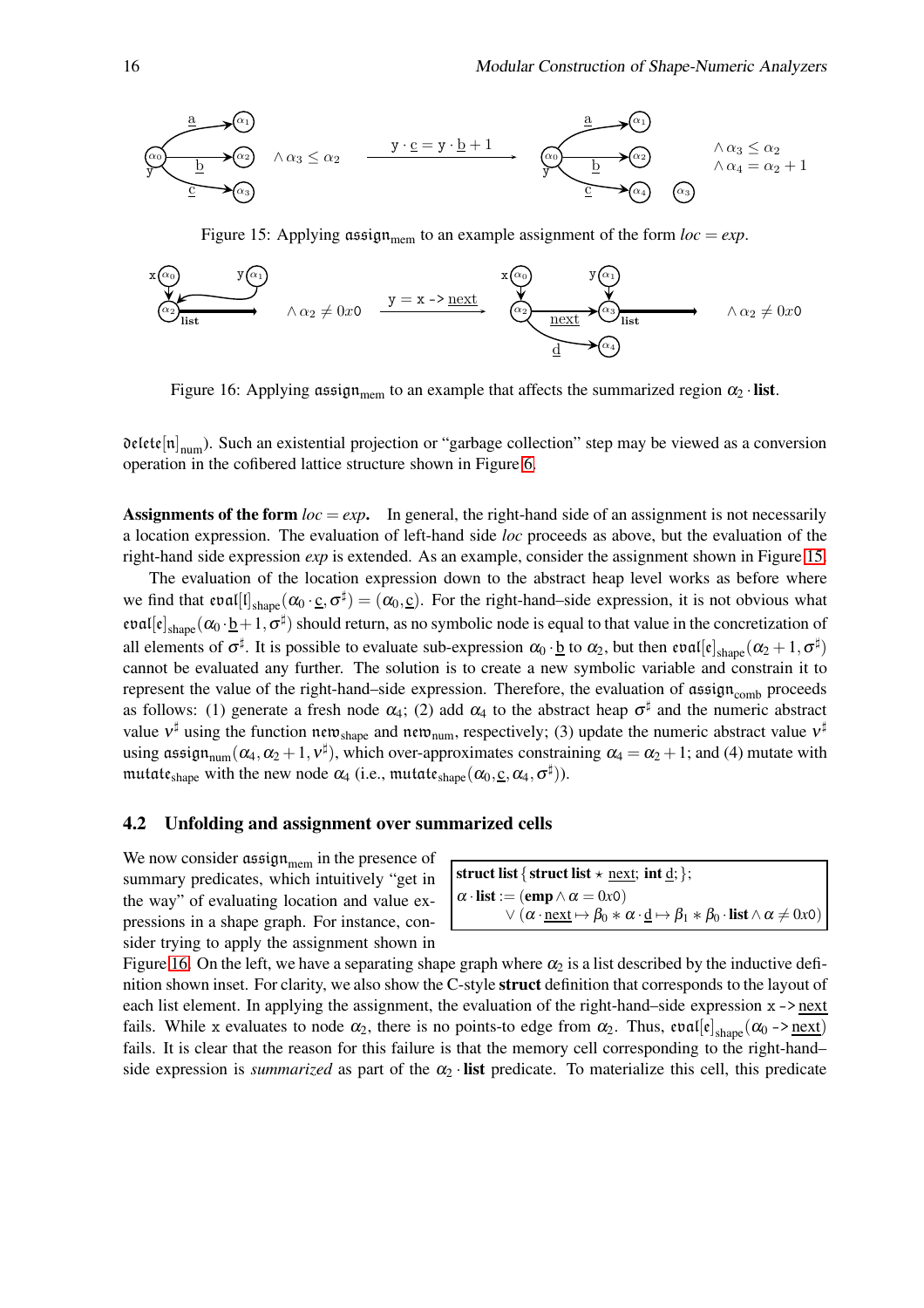$$
\underbrace{\begin{array}{c}\n\underbrace{a}_{\alpha_{1}} \\
\underbrace{b}_{\alpha_{2}}\n\end{array}}_{\alpha_{2}} \wedge \alpha_{3} \leq \alpha_{2} \xrightarrow{\begin{array}{c}\n y \cdot \underline{c} = y \cdot \underline{b} + 1 \\
\underbrace{b}_{\alpha_{1}}\n\end{array}}_{\alpha_{2}} \wedge \underbrace{\begin{array}{c}\n\underbrace{a}_{\alpha_{2}} \\
\underbrace{b}_{\alpha_{3}}\n\end{array}}_{\alpha_{3}} \wedge \alpha_{3} \leq \alpha_{2} \\
\wedge \alpha_{4} = \alpha_{2} + 1\n\end{array}
$$

<span id="page-16-1"></span>Figure 15: Applying assign<sub>mem</sub> to an example assignment of the form  $loc = exp$ .

$$
\begin{array}{c}\n\mathbf{x}(\alpha_0) \\
\hline\n\begin{array}{c}\n\alpha_1 \\
\hline\n\alpha_2\n\end{array}\n\end{array}\n\quad\n\begin{array}{c}\n\mathbf{y}(\alpha_1) \\
\hline\n\alpha_2 \neq 0 \text{ so } \n\end{array}\n\quad\n\begin{array}{c}\n\mathbf{x}(\alpha_0) \\
\hline\n\begin{array}{c}\n\mathbf{x}(\alpha_0) \\
\hline\n\alpha_2\n\end{array}\n\end{array}\n\quad\n\begin{array}{c}\n\mathbf{y}(\alpha_1) \\
\hline\n\begin{array}{c}\n\alpha_2\n\end{array}\n\end{array}\n\quad\n\begin{array}{c}\n\mathbf{x}(\alpha_1) \\
\hline\n\begin{array}{c}\n\alpha_2\n\end{array}\n\end{array}\n\quad\n\begin{array}{c}\n\mathbf{x}(\alpha_1) \\
\hline\n\begin{array}{c}\n\alpha_2\n\end{array}\n\end{array}\n\quad\n\begin{array}{c}\n\mathbf{x}(\alpha_2) \\
\hline\n\begin{array}{c}\n\alpha_1\n\end{array}\n\end{array}\n\quad\n\begin{array}{c}\n\mathbf{x}(\alpha_1) \\
\hline\n\begin{array}{c}\n\alpha_2\n\end{array}\n\end{array}\n\quad\n\begin{array}{c}\n\mathbf{x}(\alpha_1) \\
\hline\n\begin{array}{c}\n\alpha_2\n\end{array}\n\end{array}
$$

<span id="page-16-2"></span>Figure 16: Applying assign<sub>mem</sub> to an example that affects the summarized region  $\alpha_2$  · **list**.

 $\mathfrak{delta}[\mathfrak{et}[\mathfrak{n}]_{\text{num}})$ . Such an existential projection or "garbage collection" step may be viewed as a conversion operation in the cofibered lattice structure shown in Figure [6.](#page-8-0)

**Assignments of the form**  $loc = exp$ . In general, the right-hand side of an assignment is not necessarily a location expression. The evaluation of left-hand side *loc* proceeds as above, but the evaluation of the right-hand side expression *exp* is extended. As an example, consider the assignment shown in Figure [15.](#page-16-1)

The evaluation of the location expression down to the abstract heap level works as before where we find that  $eval[I]_{shape}(\alpha_0 \cdot \underline{c}, \sigma^{\sharp}) = (\alpha_0, \underline{c})$ . For the right-hand-side expression, it is not obvious what  $eval[e]_{shape}(\alpha_0 \cdot \underline{b} + 1, \sigma^{\sharp})$  should return, as no symbolic node is equal to that value in the concretization of all elements of  $\sigma^{\sharp}$ . It is possible to evaluate sub-expression  $\alpha_0 \cdot \underline{b}$  to  $\alpha_2$ , but then  $\mathfrak{eval}[\mathfrak{e}]_{shape}(\alpha_2+1, \sigma^{\sharp})$ cannot be evaluated any further. The solution is to create a new symbolic variable and constrain it to represent the value of the right-hand–side expression. Therefore, the evaluation of assign<sub>comb</sub> proceeds as follows: (1) generate a fresh node  $\alpha_4$ ; (2) add  $\alpha_4$  to the abstract heap  $\sigma^{\sharp}$  and the numeric abstract value  $v^{\sharp}$  using the function new shape and new num, respectively; (3) update the numeric abstract value  $v^{\sharp}$ using assign<sub>num</sub>  $(\alpha_4, \alpha_2 + 1, v^{\sharp})$ , which over-approximates constraining  $\alpha_4 = \alpha_2 + 1$ ; and (4) mutate with mutat $\mathfrak{e}_{\rm shape}$  with the new node  $\alpha_4$  (i.e., mutat $\mathfrak{e}_{\rm shape}(\alpha_0,\underline{\rm c},\alpha_4,\sigma^\sharp)$ ).

#### <span id="page-16-0"></span>4.2 Unfolding and assignment over summarized cells

We now consider  $\operatorname{assign}_{\text{mem}}$  in the presence of summary predicates, which intuitively "get in the way" of evaluating location and value expressions in a shape graph. For instance, consider trying to apply the assignment shown in

struct list { struct list  $\star$  <u>next;</u> int <u>d</u>; };  $\alpha \cdot$ **list** := (emp  $\land \alpha = 0x0$ )  $\vee$  ( $\alpha \cdot \text{next} \mapsto \beta_0 * \alpha \cdot \underline{d} \mapsto \beta_1 * \beta_0 \cdot \text{list} \wedge \alpha \neq 0 \times 0$ )

Figure [16.](#page-16-2) On the left, we have a separating shape graph where  $\alpha_2$  is a list described by the inductive definition shown inset. For clarity, we also show the C-style **struct** definition that corresponds to the layout of each list element. In applying the assignment, the evaluation of the right-hand–side expression  $x \rightarrow$  next fails. While x evaluates to node  $\alpha_2$ , there is no points-to edge from  $\alpha_2$ . Thus,  $eval[e]_{shape}(\alpha_0 \rightarrow \underline{next})$ fails. It is clear that the reason for this failure is that the memory cell corresponding to the right-hand– side expression is *summarized* as part of the  $\alpha_2$  · list predicate. To materialize this cell, this predicate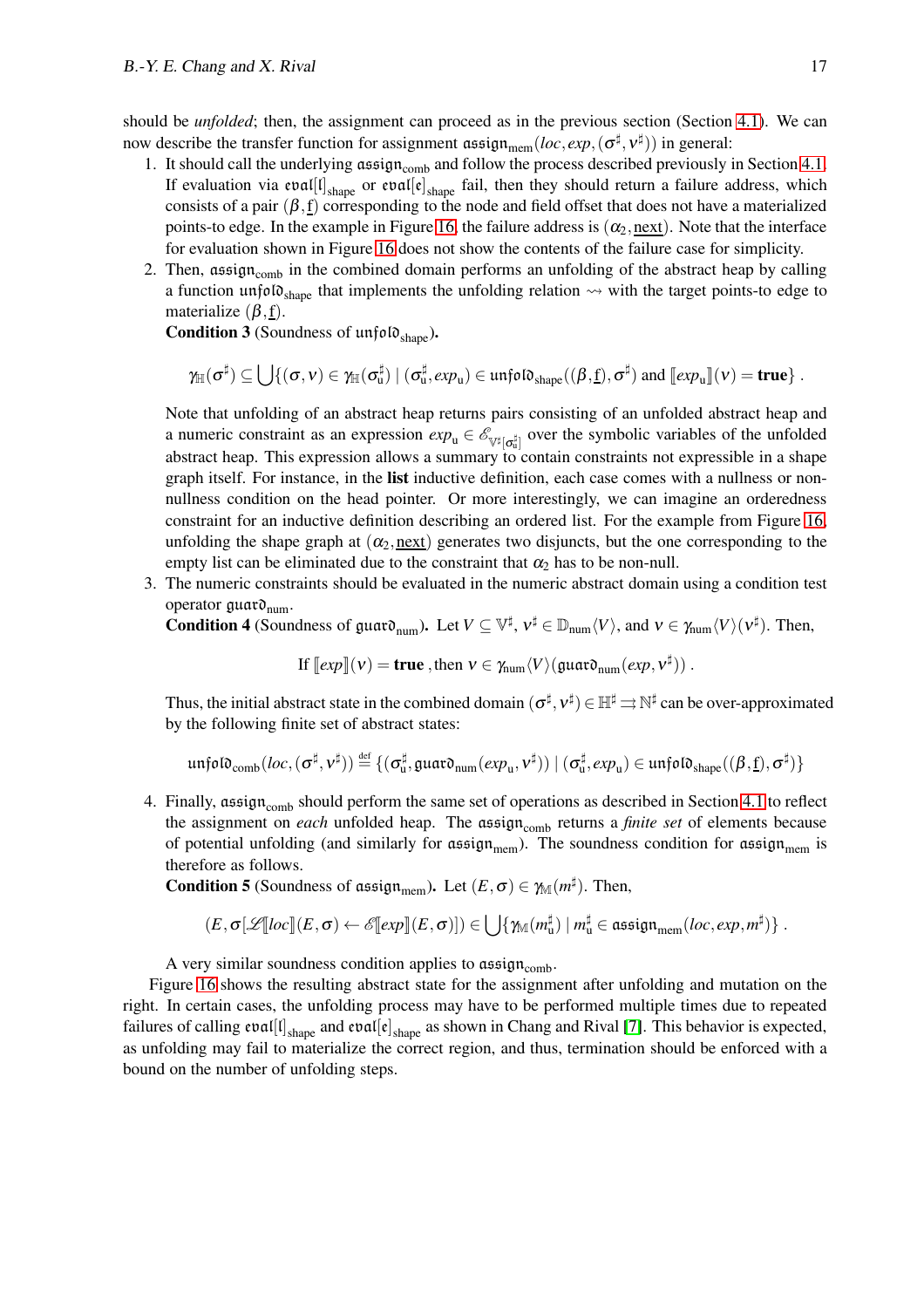should be *unfolded*; then, the assignment can proceed as in the previous section (Section [4.1\)](#page-13-2). We can now describe the transfer function for assignment  $\text{assign}_{\text{mem}}(loc, exp, (\sigma^{\sharp}, v^{\sharp}))$  in general:

- 1. It should call the underlying assign<sub>comb</sub> and follow the process described previously in Section [4.1.](#page-13-2) If evaluation via  $evall[I]_{shape}$  or  $evall[e]_{shape}$  fail, then they should return a failure address, which consists of a pair  $(\beta, f)$  corresponding to the node and field offset that does not have a materialized points-to edge. In the example in Figure [16,](#page-16-2) the failure address is  $(\alpha_2, \text{next})$ . Note that the interface for evaluation shown in Figure [16](#page-16-2) does not show the contents of the failure case for simplicity.
- 2. Then,  $\text{assign}_{\text{comb}}$  in the combined domain performs an unfolding of the abstract heap by calling a function unfolo<sub>shape</sub> that implements the unfolding relation  $\rightsquigarrow$  with the target points-to edge to materialize  $(\beta, f)$ .

**Condition 3** (Soundness of unfold  $_{\text{shape}}$ ).

$$
\gamma_{\mathbb{H}}(\sigma^{\sharp}) \subseteq \bigcup\{(\sigma,\nu)\in\gamma_{\mathbb{H}}(\sigma^{\sharp}_{u}) \mid (\sigma^{\sharp}_{u},\exp_{u})\in\mathfrak{unfold}_{\text{shape}}((\beta,\underline{f}),\sigma^{\sharp})\text{ and }\llbracket \exp_{u}\rrbracket(\nu)=\textbf{true}\}\ .
$$

Note that unfolding of an abstract heap returns pairs consisting of an unfolded abstract heap and a numeric constraint as an expression  $exp_{u} \in \mathscr{E}_{\mathbb{V}^{\sharp}[\sigma^{\sharp}_{u}]}$  over the symbolic variables of the unfolded abstract heap. This expression allows a summary to contain constraints not expressible in a shape graph itself. For instance, in the list inductive definition, each case comes with a nullness or nonnullness condition on the head pointer. Or more interestingly, we can imagine an orderedness constraint for an inductive definition describing an ordered list. For the example from Figure [16,](#page-16-2) unfolding the shape graph at  $(\alpha_2, \text{next})$  generates two disjuncts, but the one corresponding to the empty list can be eliminated due to the constraint that  $\alpha_2$  has to be non-null.

3. The numeric constraints should be evaluated in the numeric abstract domain using a condition test operator  $\mathfrak{g}$ uar $\mathfrak{d}_{\text{num}}$ .

**Condition 4** (Soundness of guar $\mathfrak{d}_{num}$ ). Let  $V \subseteq \mathbb{V}^{\sharp}$ ,  $v^{\sharp} \in \mathbb{D}_{num}\langle V \rangle$ , and  $v \in \gamma_{num}\langle V \rangle(v^{\sharp})$ . Then,

If 
$$
[\exp](v) = \text{true}
$$
, then  $v \in \gamma_{\text{num}} \langle V \rangle (\text{quard}_{\text{num}}(exp, v^{\sharp}))$ .

Thus, the initial abstract state in the combined domain  $(\sigma^\sharp,v^\sharp) \in \mathbb{H}^\sharp \rightrightarrows \mathbb{N}^\sharp$  can be over-approximated by the following finite set of abstract states:

$$
\mathfrak{unfolo}_{\mathrm{comb}}(\mathit{loc},(\sigma^\sharp,\mathit{v}^\sharp))\stackrel{\mathrm{{\scriptscriptstyle def}}}{=} \{(\sigma^\sharp_{u},\mathfrak{guaro}_{\mathrm{num}}(\mathit{exp}_{u},\mathit{v}^\sharp))\mid (\sigma^\sharp_{u},\mathit{exp}_{u})\in \mathfrak{unfolo}_{\mathrm{shape}}((\beta,\underline{f}),\sigma^\sharp)\}
$$

4. Finally,  $\alpha$ ssign<sub>comb</sub> should perform the same set of operations as described in Section [4.1](#page-13-2) to reflect the assignment on *each* unfolded heap. The assign<sub>comb</sub> returns a *finite set* of elements because of potential unfolding (and similarly for  $\text{assign}_{\text{mem}}$ ). The soundness condition for  $\text{assign}_{\text{mem}}$  is therefore as follows.

**Condition 5** (Soundness of assign<sub>mem</sub>). Let  $(E, \sigma) \in \gamma_M(m^{\sharp})$ . Then,

$$
(E,\sigma[\mathscr{L}[\![loc]\!](E,\sigma)\leftarrow \mathscr{E}[\![exp]\!](E,\sigma)])\in \bigcup \{\gamma_{\mathbb{M}}(m_{\mathbf{u}}^\sharp)\mid m_{\mathbf{u}}^\sharp\in \mathfrak{assign}_{\mathbf{mem}}(loc,exp,m^\sharp)\}\ .
$$

A very similar soundness condition applies to  $\text{assign}_{\text{comb}}$ .

Figure [16](#page-16-2) shows the resulting abstract state for the assignment after unfolding and mutation on the right. In certain cases, the unfolding process may have to be performed multiple times due to repeated failures of calling  $e\mathfrak{val}[\mathfrak{l}]_{\text{shape}}$  and  $e\mathfrak{val}[\mathfrak{e}]_{\text{shape}}$  as shown in Chang and Rival [\[7\]](#page-24-3). This behavior is expected, as unfolding may fail to materialize the correct region, and thus, termination should be enforced with a bound on the number of unfolding steps.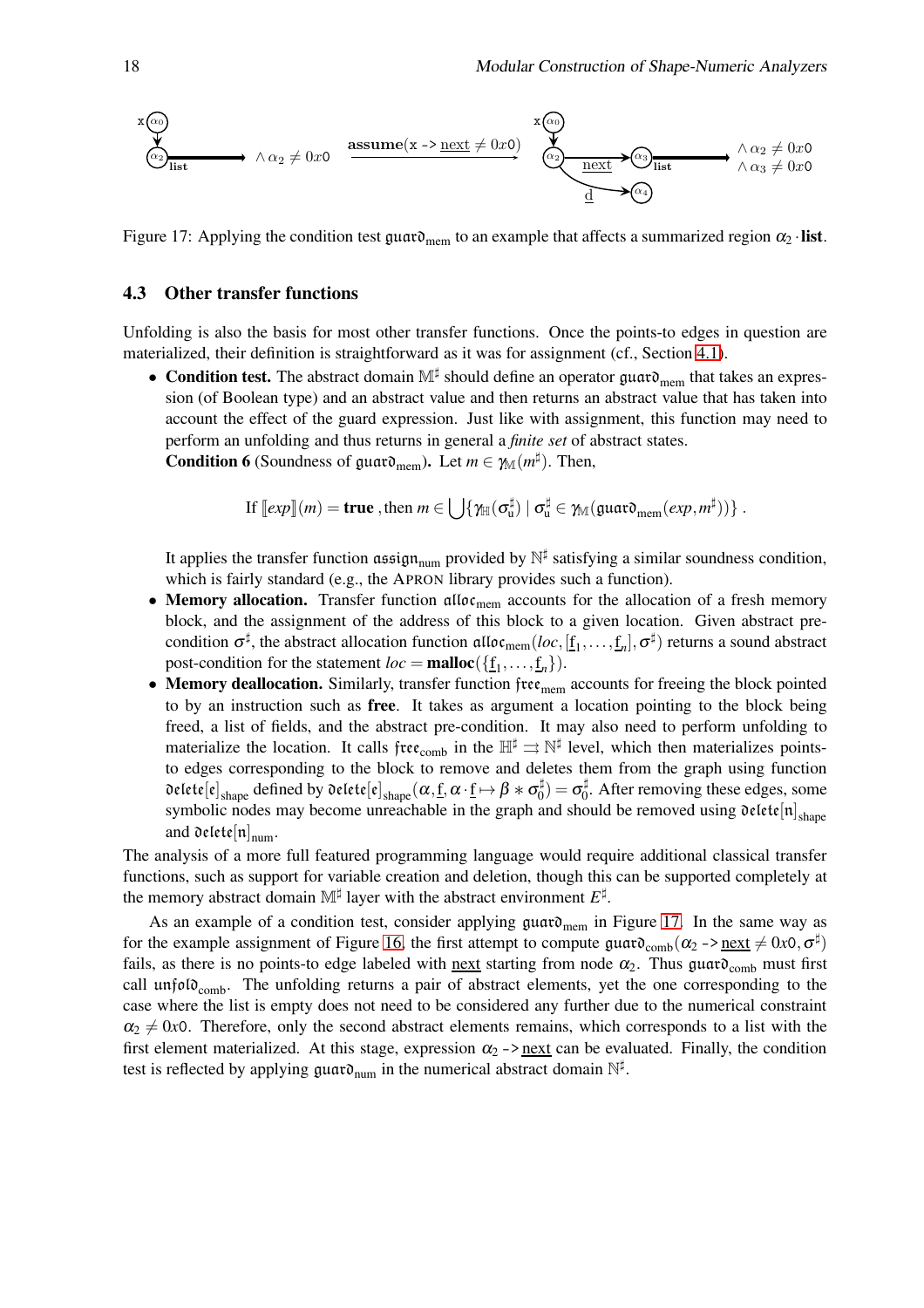$$
\begin{array}{ccc}\n\mathbf{x} & \mathbf{a} \\
\hline\n\mathbf{b} \\
\hline\n\mathbf{c} \\
\hline\n\mathbf{d} \\
\hline\n\mathbf{d}\n\end{array}\n\rightarrow \wedge \alpha_2 \neq 0 \text{ so } \mathbf{a} \\
\mathbf{x} & \mathbf{a} \\
\hline\n\mathbf{x} & \mathbf{a} \\
\hline\n\mathbf{x} & \mathbf{a} \\
\hline\n\mathbf{x} & \mathbf{a} \\
\hline\n\mathbf{x} & \mathbf{a} \\
\hline\n\mathbf{x} & \mathbf{a} \\
\hline\n\mathbf{x} & \mathbf{a} \\
\hline\n\mathbf{x} & \mathbf{a} \\
\hline\n\mathbf{x} & \mathbf{a} \\
\hline\n\mathbf{x} & \mathbf{a} \\
\hline\n\mathbf{x} & \mathbf{a} \\
\hline\n\mathbf{x} & \mathbf{a} \\
\hline\n\mathbf{x} & \mathbf{a} \\
\hline\n\mathbf{x} & \mathbf{a} \\
\hline\n\mathbf{x} & \mathbf{a} \\
\hline\n\mathbf{x} & \mathbf{a} \\
\hline\n\mathbf{x} & \mathbf{a} \\
\hline\n\mathbf{x} & \mathbf{a} \\
\hline\n\mathbf{x} & \mathbf{a} \\
\hline\n\mathbf{x} & \mathbf{a} \\
\hline\n\mathbf{x} & \mathbf{a} \\
\hline\n\mathbf{x} & \mathbf{a} \\
\hline\n\mathbf{x} & \mathbf{a} \\
\hline\n\mathbf{x} & \mathbf{a} \\
\hline\n\mathbf{x} & \mathbf{a} \\
\hline\n\mathbf{x} & \mathbf{a} \\
\hline\n\mathbf{x} & \mathbf{a} \\
\hline\n\mathbf{x} & \mathbf{a} \\
\hline\n\mathbf{x} & \mathbf{a} \\
\hline\n\mathbf{x} & \mathbf{a} \\
\hline\n\mathbf{x} & \mathbf{a} \\
\hline\n\mathbf{x} & \mathbf{a} \\
\hline\n\mathbf{x} & \mathbf{a} \\
\hline\n\mathbf{x} & \mathbf{a} \\
\hline\n\mathbf{x} & \mathbf{a} \\
\hline\n\mathbf{x} & \mathbf{a} \\
\hline\n\mathbf{x} & \mathbf{a} \\
\hline\n\mathbf{x} & \mathbf{a} \\
\hline\n\mathbf{x} & \mathbf{a} \\
\hline
$$

<span id="page-18-0"></span>Figure 17: Applying the condition test guard<sub>mem</sub> to an example that affects a summarized region  $\alpha_2$  ·list.

#### 4.3 Other transfer functions

Unfolding is also the basis for most other transfer functions. Once the points-to edges in question are materialized, their definition is straightforward as it was for assignment (cf., Section [4.1\)](#page-13-2).

• Condition test. The abstract domain  $\mathbb{M}^{\sharp}$  should define an operator guard<sub>mem</sub> that takes an expression (of Boolean type) and an abstract value and then returns an abstract value that has taken into account the effect of the guard expression. Just like with assignment, this function may need to perform an unfolding and thus returns in general a *finite set* of abstract states. **Condition 6** (Soundness of guard<sub>mem</sub>). Let  $m \in \gamma_{\mathbb{M}}(m^{\sharp})$ . Then,

If 
$$
[\ell exp](m) =
$$
 true, then  $m \in \bigcup \{ \gamma_{\mathbb{H}}(\sigma_{\mathbf{u}}^{\sharp}) \mid \sigma_{\mathbf{u}}^{\sharp} \in \gamma_{\mathbb{M}}(\text{guard}_{\text{mem}}(\ell x p, m^{\sharp})) \}$ .

It applies the transfer function assign<sub>num</sub> provided by  $\mathbb{N}^{\sharp}$  satisfying a similar soundness condition, which is fairly standard (e.g., the APRON library provides such a function).

- Memory allocation. Transfer function  $\alpha\text{II}$  accounts for the allocation of a fresh memory block, and the assignment of the address of this block to a given location. Given abstract precondition  $\sigma^{\sharp}$ , the abstract allocation function  $\mathfrak{alloc}_{\rm mem}(loc,[\underline{\mathbf{f}}_1,\ldots,\underline{\mathbf{f}}_n],\sigma^{\sharp})$  returns a sound abstract post-condition for the statement  $loc = \text{malloc}(\{\underline{f}_1, \dots, \underline{f}_n\}).$
- Memory deallocation. Similarly, transfer function  $\text{free}_{\text{mem}}$  accounts for freeing the block pointed to by an instruction such as **free**. It takes as argument a location pointing to the block being freed, a list of fields, and the abstract pre-condition. It may also need to perform unfolding to materialize the location. It calls free<sub>comb</sub> in the  $\mathbb{H}^{\sharp} \to \mathbb{N}^{\sharp}$  level, which then materializes pointsto edges corresponding to the block to remove and deletes them from the graph using function delete $[e]_{\text{shape}}$  defined by delete $[e]_{\text{shape}}(\alpha,\underline{f},\alpha\cdot\underline{f}\mapsto\beta*\sigma_0^\sharp$  $\sigma_0^\sharp$ ) =  $\sigma_0^\sharp$  $_{0}^{\#}$ . After removing these edges, some symbolic nodes may become unreachable in the graph and should be removed using  $\mathfrak{delete}[\mathfrak{n}]_{\text{shape}}$ and delete $\left[\mathfrak{n}\right]_{\mathrm{num}}$ .

The analysis of a more full featured programming language would require additional classical transfer functions, such as support for variable creation and deletion, though this can be supported completely at the memory abstract domain  $\mathbb{M}^{\sharp}$  layer with the abstract environment  $E^{\sharp}$ .

As an example of a condition test, consider applying  $\mu$ uar $\mathfrak{d}_{\text{mem}}$  in Figure [17.](#page-18-0) In the same way as for the example assignment of Figure [16,](#page-16-2) the first attempt to compute  $\text{g}_{\text{t}}(\alpha_2 \rightarrow \text{next} \neq 0 \text{x0}, \sigma^{\sharp})$ fails, as there is no points-to edge labeled with next starting from node  $\alpha_2$ . Thus guard<sub>comb</sub> must first call unfol $\mathfrak{d}_{\text{comb}}$ . The unfolding returns a pair of abstract elements, yet the one corresponding to the case where the list is empty does not need to be considered any further due to the numerical constraint  $\alpha_2 \neq 0$ *x*0. Therefore, only the second abstract elements remains, which corresponds to a list with the first element materialized. At this stage, expression  $\alpha_2 \rightarrow$  next can be evaluated. Finally, the condition test is reflected by applying  $\mathfrak{g}$ uar $\mathfrak{d}_{\text{num}}$  in the numerical abstract domain  $\mathbb{N}^{\sharp}$ .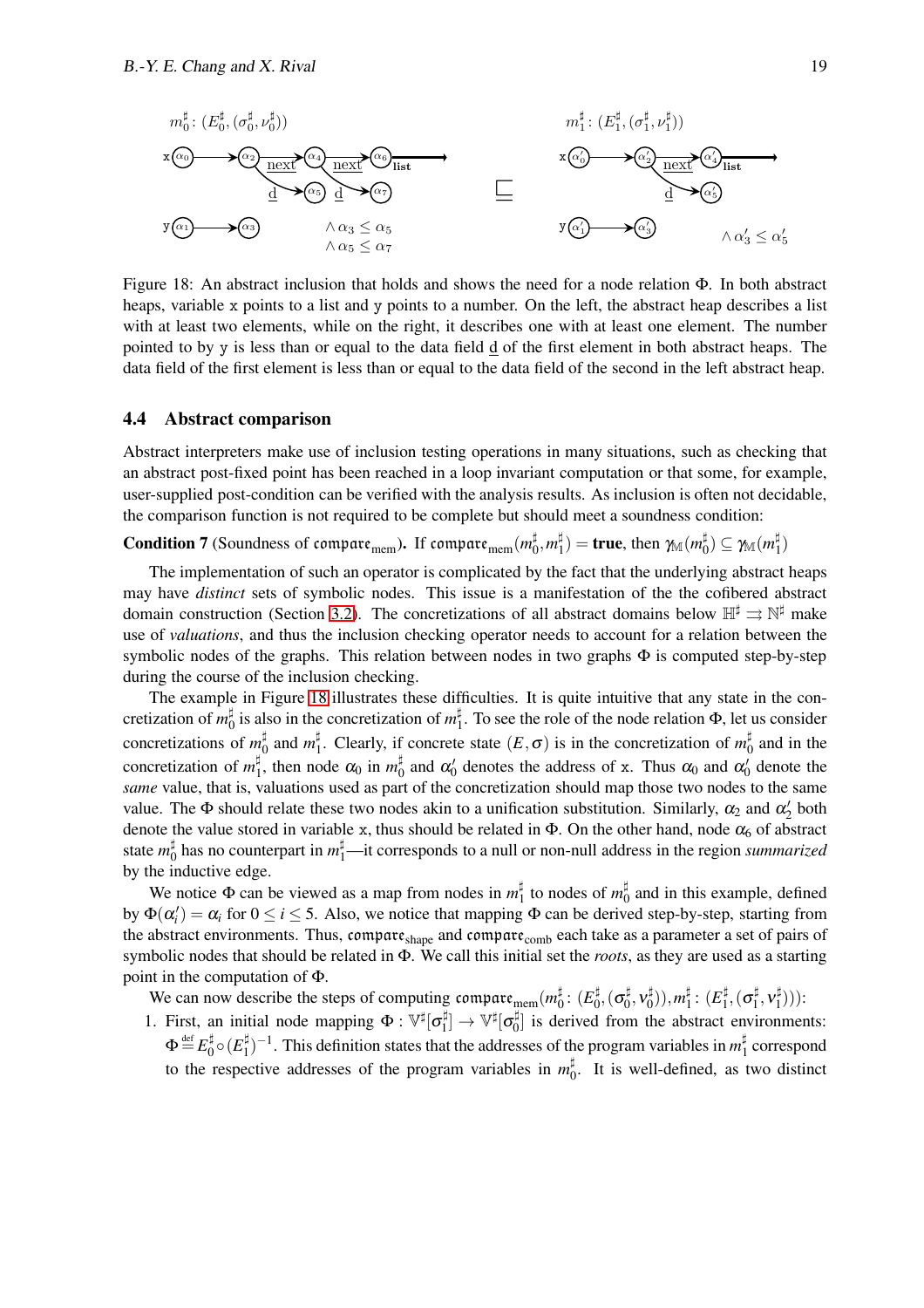

<span id="page-19-0"></span>Figure 18: An abstract inclusion that holds and shows the need for a node relation Φ. In both abstract heaps, variable x points to a list and y points to a number. On the left, the abstract heap describes a list with at least two elements, while on the right, it describes one with at least one element. The number pointed to by y is less than or equal to the data field d of the first element in both abstract heaps. The data field of the first element is less than or equal to the data field of the second in the left abstract heap.

#### 4.4 Abstract comparison

Abstract interpreters make use of inclusion testing operations in many situations, such as checking that an abstract post-fixed point has been reached in a loop invariant computation or that some, for example, user-supplied post-condition can be verified with the analysis results. As inclusion is often not decidable, the comparison function is not required to be complete but should meet a soundness condition:

 ${\bf Condition}$  7 (Soundness of compare<sub>mem</sub>). If compare $_{\rm mem}$   $(m_0^\sharp$  $\frac{1}{0}, m_1^{\sharp}$  $\sharp_1^{\sharp}) = \textbf{true}, \text{ then } \gamma_{\mathbb{M}}(m_0^{\sharp})$  $\mathfrak{g}_0^{\sharp})\subseteq \gamma_{\mathbb{M}}(m_1^{\sharp}$  $\binom{1}{1}$ 

The implementation of such an operator is complicated by the fact that the underlying abstract heaps may have *distinct* sets of symbolic nodes. This issue is a manifestation of the the cofibered abstract domain construction (Section [3.2\)](#page-7-0). The concretizations of all abstract domains below  $\mathbb{H}^{\sharp} \rightrightarrows \mathbb{N}^{\sharp}$  make use of *valuations*, and thus the inclusion checking operator needs to account for a relation between the symbolic nodes of the graphs. This relation between nodes in two graphs  $\Phi$  is computed step-by-step during the course of the inclusion checking.

The example in Figure [18](#page-19-0) illustrates these difficulties. It is quite intuitive that any state in the concretization of  $m_0^{\sharp}$  $\frac{1}{0}$  is also in the concretization of  $m_1^{\sharp}$  $\frac{1}{1}$ . To see the role of the node relation  $\Phi$ , let us consider concretizations of  $m_0^{\sharp}$  $\frac{1}{0}$  and  $m_1^{\sharp}$ <sup>‡</sup><sub>1</sub>. Clearly, if concrete state  $(E, \sigma)$  is in the concretization of  $m_0^{\sharp}$  $\frac{1}{0}$  and in the concretization of  $m_1^{\sharp}$  $\frac{1}{1}$ , then node  $\alpha_0$  in  $m_0^{\sharp}$  $\frac{1}{0}$  and  $\alpha'_0$  denotes the address of x. Thus  $\alpha_0$  and  $\alpha'_0$  denote the *same* value, that is, valuations used as part of the concretization should map those two nodes to the same value. The  $\Phi$  should relate these two nodes akin to a unification substitution. Similarly,  $\alpha_2$  and  $\alpha'_2$  both denote the value stored in variable x, thus should be related in  $\Phi$ . On the other hand, node  $\alpha_6$  of abstract state  $m_0^{\sharp}$ ‡ has no counterpart in *m*‡—it corresponds to a null or non-null address in the region *summarized* by the inductive edge.

We notice  $\Phi$  can be viewed as a map from nodes in  $m_1^{\sharp}$ <sup>‡</sup> to nodes of  $m_0^{\sharp}$  $_0^{\mu}$  and in this example, defined by  $\Phi(\alpha'_i) = \alpha_i$  for  $0 \le i \le 5$ . Also, we notice that mapping  $\Phi$  can be derived step-by-step, starting from the abstract environments. Thus, compare<sub>shape</sub> and compare<sub>comb</sub> each take as a parameter a set of pairs of symbolic nodes that should be related in Φ. We call this initial set the *roots*, as they are used as a starting point in the computation of Φ.

We can now describe the steps of computing compare<sub>mem</sub> $(m_0^{\sharp}$  $_0^\sharp\colon (E_0^\sharp$  $_0^\sharp,(\sigma_0^\sharp$  $_0^\sharp, \nu_0^\sharp$  $\binom{1}{0}), m_1^{\sharp}$  $\frac{1}{1}$ :  $(E_1^{\sharp}$  $\frac{1}{1}$ ,  $(\sigma_1^{\sharp}$  $_1^\sharp, \nu_1^\sharp$  $\binom{1}{1})$ ):

1. First, an initial node mapping  $\Phi : \mathbb{V}^{\sharp}[\sigma_{1}^{\sharp}]$  $\mathbb{P}_1^\sharp]\rightarrow\mathbb{V}^\sharp[\sigma_0^\sharp]$  $\binom{1}{0}$  is derived from the abstract environments:  $\Phi {\, \stackrel{\text{def}}{=}\, } E_0^\sharp$  $\frac{1}{0} \circ (E_1^\sharp$ ‡<sup>†</sup><sub>1</sub>)<sup>-1</sup>. This definition states that the addresses of the program variables in  $m_1^{\sharp}$  $\frac{1}{1}$  correspond to the respective addresses of the program variables in  $m_0^{\sharp}$  $_{0}^{\frac{1}{\pi}}$ . It is well-defined, as two distinct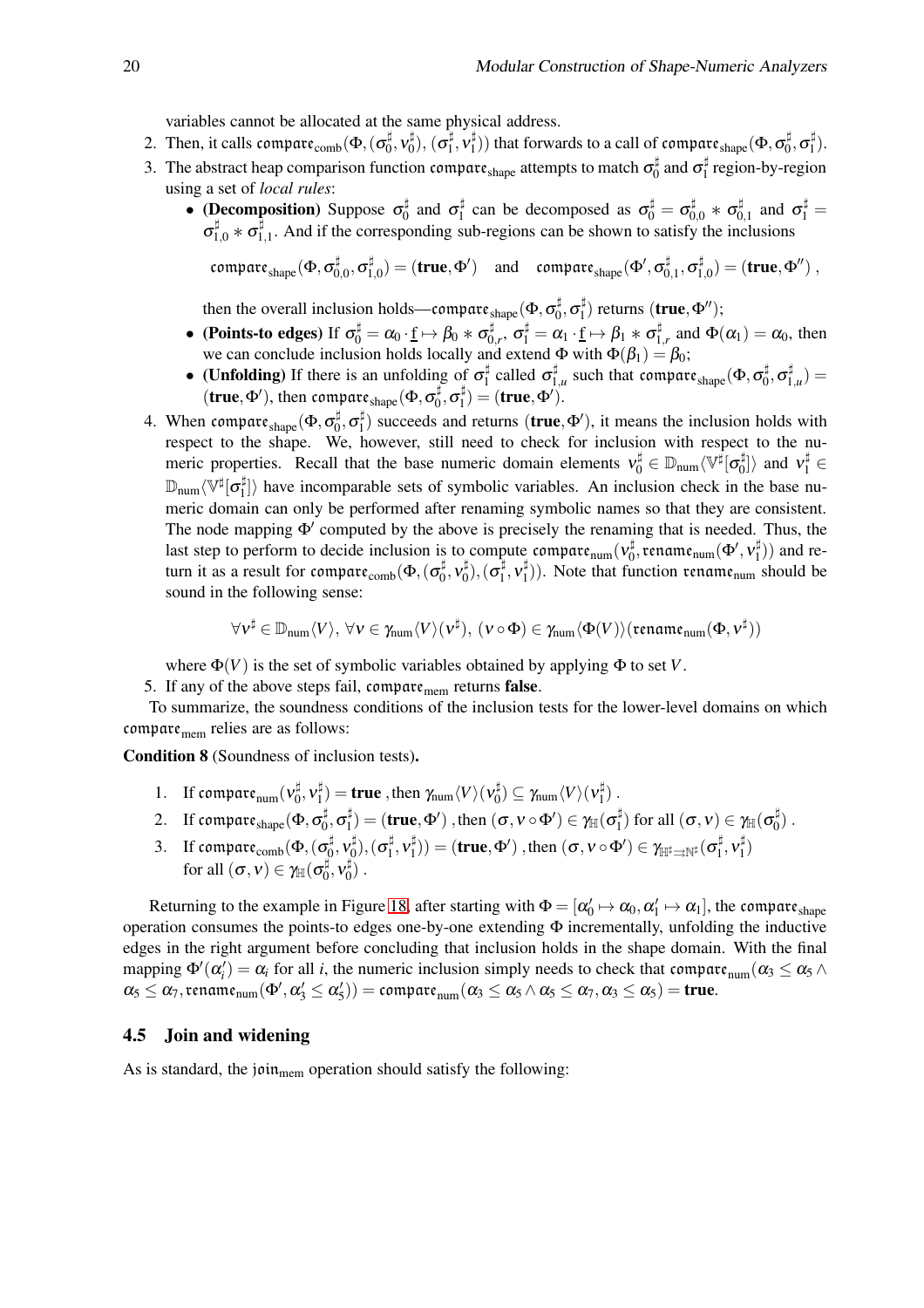variables cannot be allocated at the same physical address.

- 2. Then, it calls compare $_{\rm comb}(\Phi,(\sigma_0^\sharp$  $_0^\sharp, \nu_0^\sharp$  $\mathfrak{g}^{\sharp}),\, (\sigma_{1}^{\sharp}% ,\sigma_{2}^{\sharp})_{1},$  $\frac{1}{1}$ ,  $\mathbf{v}_{1}^{\sharp}$  $\binom{\sharp}{1})$  that forwards to a call of compare  $_{\text{shape}}(\Phi, \sigma_0^{\sharp})$  $_0^\sharp, \sigma_1^\sharp$  $_{1}^{\sharp}$ ).
- 3. The abstract heap comparison function compart s<sub>hape</sub> attempts to match  $\sigma_0^{\sharp}$  $\frac{1}{0}$  and  $\sigma_1^{\sharp}$  $\frac{1}{1}$  region-by-region using a set of *local rules*:
	- (Decomposition) Suppose  $\sigma_0^{\sharp}$  $\frac{1}{0}$  and  $\sigma_1^{\sharp}$  $\sigma_1^{\sharp}$  can be decomposed as  $\sigma_0^{\sharp} = \sigma_{0,0}^{\sharp} * \sigma_0^{\sharp}$  $\sigma_1^{\sharp}$  and  $\sigma_1^{\sharp}$  =  $\sigma_{1,0}^\sharp*\sigma_1^\sharp$  $1,1$ . And if the corresponding sub-regions can be shown to satisfy the inclusions

compare $_{\rm shape}(\Phi,\sigma_0^\sharp$  $_{0,0}^\sharp, \sigma_1^\sharp$  $\mathbf{u}_{1,0}^{\sharp}) = (\mathbf{true}, \Phi') \quad \text{and} \quad \mathsf{compare}_{\mathsf{shape}}(\Phi', \sigma_0^{\sharp})$  $\overset{\sharp}{0},_{1},\sigma_{1}^{\sharp}$  $\binom{\sharp}{1,0} = (\text{true}, \Phi'')$ ,

then the overall inclusion holds—compare  $_{\text{shape}}(\Phi, \sigma_0^{\sharp}$  $_0^\sharp, \sigma_1^\sharp$  $\binom{\sharp}{1}$  returns (**true**,  $\Phi''$ );

- (Points-to edges) If  $\sigma_0^{\sharp} = \alpha_0 \cdot \underline{\mathbf{f}} \mapsto \beta_0 * \sigma_0^{\sharp}$  $\sigma_0^\sharp,\ \sigma_1^\sharp=\alpha_1\cdot \underline{\mathrm{f}}\mapsto \beta_1\ast \sigma_1^\sharp$  $\mathbf{1}_{1,r}^{\sharp}$  and  $\Phi(\alpha_1) = \alpha_0$ , then we can conclude inclusion holds locally and extend  $\Phi$  with  $\Phi(\beta_1) = \beta_0$ ;
- (Unfolding) If there is an unfolding of  $\sigma_1^{\sharp}$  $\frac{1}{1}$  called  $\sigma_1^{\sharp}$  $\sharp_{1,u}^{\sharp}$  such that compare  $_{shape}(\Phi, \sigma_0^{\sharp})$  $_0^\sharp, \sigma_1^\sharp$  $f_{1,u}^{\mu}$ ) = (true,  $\Phi'$ ), then compare  $_{\text{shape}}(\Phi, \sigma_0^\sharp)$  $\overline{\mathfrak{g}}, \overline{\mathfrak{o}}_{1}^{\sharp}$  $\binom{1}{1}$  = (true,  $\Phi'$ ).
- 4. When compare $_{\rm shape}(\Phi, \sigma_0^\sharp$  $_0^\sharp, \sigma_1^\sharp$  $\binom{n}{1}$  succeeds and returns (**true**, $\Phi'$ ), it means the inclusion holds with respect to the shape. We, however, still need to check for inclusion with respect to the numeric properties. Recall that the base numeric domain elements  $v_0^{\sharp} \in D_{num} \langle \mathbb{V}^{\sharp}[\sigma_0^{\sharp} \rangle]$  $\begin{bmatrix} \n\downarrow \\ \n\downarrow \\ \n\end{bmatrix}$  and  $v_1^{\sharp} \in$  $\mathbb{D}_{\text{num}}\langle \mathbb{V}^\sharp[\sigma_1^\sharp]$  $\binom{n}{1}$  have incomparable sets of symbolic variables. An inclusion check in the base numeric domain can only be performed after renaming symbolic names so that they are consistent. The node mapping Φ′ computed by the above is precisely the renaming that is needed. Thus, the last step to perform to decide inclusion is to compute compare $_{\text{num}}(v_0^\sharp$  $_{0}^{\sharp},$ rename $_{\textrm{num}}(\Phi',\nu_{1}^{\sharp})$  $\binom{1}{1}$  and return it as a result for compare $_{\rm comb}(\Phi,(\sigma_0^\sharp$  $_0^\sharp, \nu_0^\sharp$  $\sigma_0^\sharp),(\sigma_1^\sharp$  $_{1}^{\ddagger},\mathbf{\nu}_{1}^{\sharp}$  $\binom{1}{1}$ ). Note that function rename<sub>num</sub> should be sound in the following sense:

$$
\forall v^{\sharp}\in \mathbb{D}_{\mathrm{num}}\langle V\rangle,\ \forall v\in\gamma_{\mathrm{num}}\langle V\rangle(v^{\sharp}),\ (v\circ\Phi)\in\gamma_{\mathrm{num}}\langle\Phi(V)\rangle(\mathfrak{rename}_{\mathrm{num}}(\Phi,v^{\sharp}))
$$

where  $\Phi(V)$  is the set of symbolic variables obtained by applying  $\Phi$  to set *V*.

5. If any of the above steps fail, compare<sub>mem</sub> returns **false**.

To summarize, the soundness conditions of the inclusion tests for the lower-level domains on which  $\mathfrak{compare}_{\text{mem}}$  relies are as follows:

Condition 8 (Soundness of inclusion tests).

- 1. If compare $_{\text{num}}(v_0^{\sharp}$  $_0^\sharp, \nu_1^\sharp$  $\binom{\sharp}{1}$  = **true** , then γ<sub>num</sub> $\langle V \rangle$  ( $v_0^{\sharp}$  $\binom{\sharp}{0}$ )  $\subseteq$  γ<sub>num</sub>  $\langle V \rangle$  ( $v^{\sharp}_{1}$  $_{1}^{\sharp}$ ).
- 2. If compare  $_{\rm shape}(\Phi, \sigma_0^\sharp$  $_0^\sharp, \sigma_1^\sharp$  $\mathbf{I}^{(1)}_1$  = (true,  $\Phi'$ ), then  $(\sigma, v \circ \Phi') \in \gamma_{\mathbb{H}}(\sigma_1^{\sharp})$  $\binom{\sharp}{1}$  for all  $(σ, v) \in \gamma_{\mathbb{H}}(\sigma_0^{\sharp})$  $_{0}^{\ddag})$  .
- 3. If compare $_{\rm comb}(\Phi,(\sigma_0^\sharp$  $_0^\sharp, \nu_0^\sharp$  $\sigma_0^\sharp),(\sigma_1^\sharp$  $_1^\sharp, \nu_1^\sharp$  $\bm{1}_{1}^{(\sharp)})=(\textbf{true},\Phi')$  , then  $(\sigma,\mathsf{v}\circ\Phi')\in\gamma_{\mathbb{H}^{\sharp}\rightrightarrows\mathbb{N}^{\sharp}}(\sigma_{1}^{\sharp})$  $_1^\sharp, \nu_1^\sharp$  $\binom{1}{1}$ for all  $(\sigma,v)\in\gamma_{\mathbb{H}}(\sigma_0^\sharp)$  $_0^\sharp, \nu_0^\sharp$  $\binom{1}{0}$  .

Returning to the example in Figure [18,](#page-19-0) after starting with  $\Phi = [\alpha'_0 \mapsto \alpha_0, \alpha'_1 \mapsto \alpha_1]$ , the compare<sub>shape</sub> operation consumes the points-to edges one-by-one extending  $\Phi$  incrementally, unfolding the inductive edges in the right argument before concluding that inclusion holds in the shape domain. With the final mapping  $\Phi'(\alpha'_i) = \alpha_i$  for all *i*, the numeric inclusion simply needs to check that compare<sub>num</sub> $(\alpha_3 \le \alpha_5 \wedge$  $\alpha_5\leq\alpha_7,$ rename $_{\rm num}(\Phi',\alpha_3'\leq\alpha_5'))=$  compare $_{\rm num}(\alpha_3\leq\alpha_5\wedge\alpha_5\leq\alpha_7,\alpha_3\leq\alpha_5) =$  true.

#### 4.5 Join and widening

As is standard, the join<sub>mem</sub> operation should satisfy the following: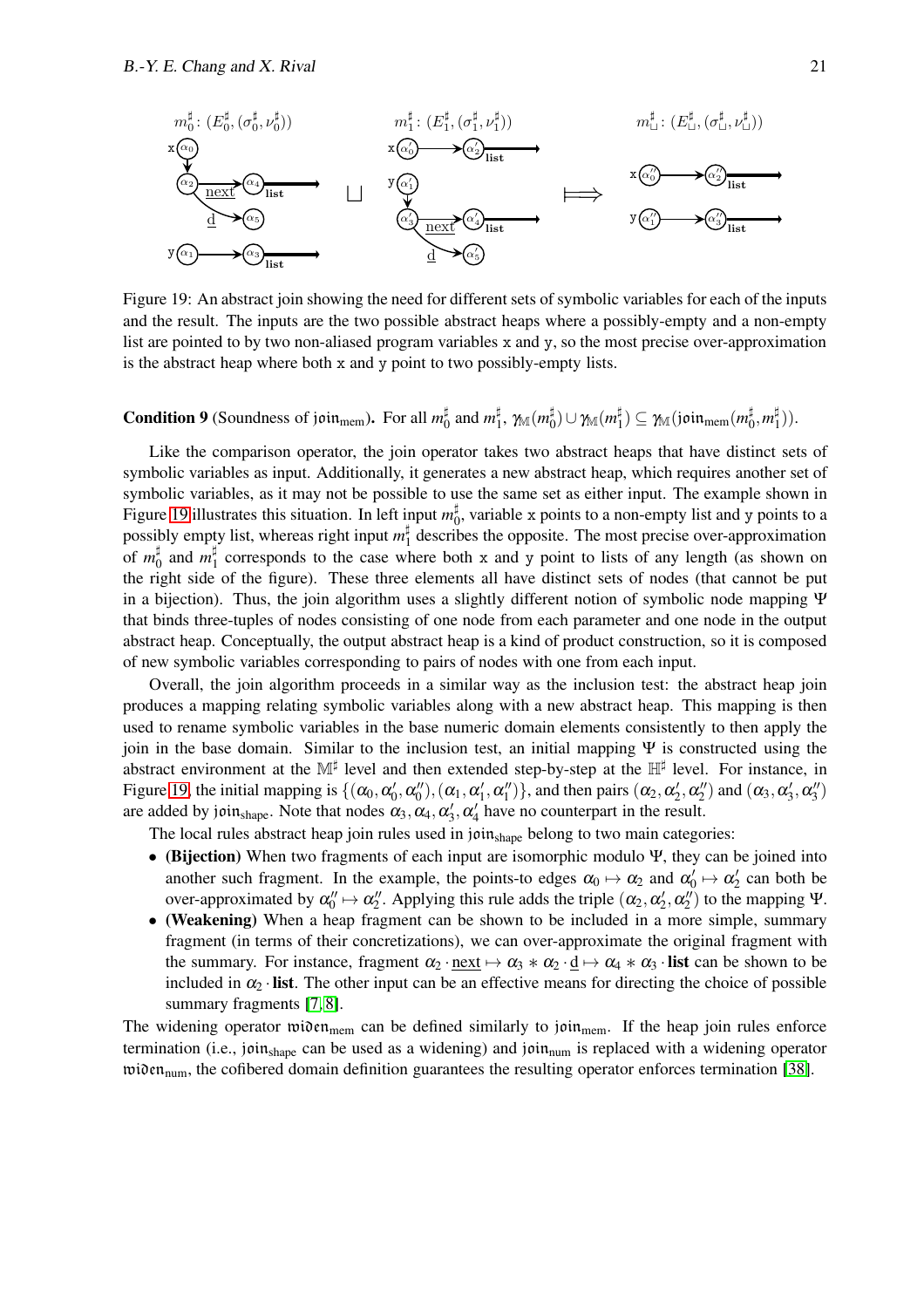

<span id="page-21-0"></span>Figure 19: An abstract join showing the need for different sets of symbolic variables for each of the inputs and the result. The inputs are the two possible abstract heaps where a possibly-empty and a non-empty list are pointed to by two non-aliased program variables x and y, so the most precise over-approximation is the abstract heap where both x and y point to two possibly-empty lists.

**Condition 9** (Soundness of join<sub>mem</sub>). For all  $m_{\text{C}}^{\sharp}$  $\frac{1}{0}$  and  $m_1^{\sharp}$  $_{1}^{\sharp},\,\gamma_{\mathbb{M}}(m_{0}^{\sharp}% ,\mathbb{R}_{n})$  $_{0}^{\sharp})\cup\gamma_{\mathbb{M}}(m_{1}^{\sharp}% ,\mathbb{R}_{+}^{\sharp})=0$  $\H_1^\sharp) \subseteq \gamma_{\mathbb{M}}(\mathfrak{join}_{\mathsf{mem}}(m_0^\sharp))$  $\frac{1}{0}, m_1^{\sharp}$  $_{1}^{\mu}$ )).

Like the comparison operator, the join operator takes two abstract heaps that have distinct sets of symbolic variables as input. Additionally, it generates a new abstract heap, which requires another set of symbolic variables, as it may not be possible to use the same set as either input. The example shown in Figure [19](#page-21-0) illustrates this situation. In left input  $m_0^{\sharp}$  $_{0}^{\mu}$ , variable x points to a non-empty list and y points to a possibly empty list, whereas right input  $m_1^{\sharp}$  $\frac{1}{1}$  describes the opposite. The most precise over-approximation  $\circ$ f *m*<sup> $\sharp$ </sup>  $\frac{1}{0}$  and  $m_1^{\sharp}$  $\frac{1}{1}$  corresponds to the case where both x and y point to lists of any length (as shown on the right side of the figure). These three elements all have distinct sets of nodes (that cannot be put in a bijection). Thus, the join algorithm uses a slightly different notion of symbolic node mapping Ψ that binds three-tuples of nodes consisting of one node from each parameter and one node in the output abstract heap. Conceptually, the output abstract heap is a kind of product construction, so it is composed of new symbolic variables corresponding to pairs of nodes with one from each input.

Overall, the join algorithm proceeds in a similar way as the inclusion test: the abstract heap join produces a mapping relating symbolic variables along with a new abstract heap. This mapping is then used to rename symbolic variables in the base numeric domain elements consistently to then apply the join in the base domain. Similar to the inclusion test, an initial mapping  $\Psi$  is constructed using the abstract environment at the M<sup>‡</sup> level and then extended step-by-step at the H<sup>‡</sup> level. For instance, in Figure [19,](#page-21-0) the initial mapping is  $\{(\alpha_0, \alpha'_0, \alpha''_0), (\alpha_1, \alpha'_1, \alpha''_1)\}$ , and then pairs  $(\alpha_2, \alpha'_2, \alpha''_2)$  and  $(\alpha_3, \alpha'_3, \alpha''_3)$ are added by join<sub>shape</sub>. Note that nodes  $\alpha_3, \alpha_4, \alpha'_3, \alpha'_4$  have no counterpart in the result.

The local rules abstract heap join rules used in joinshape belong to two main categories:

- (Bijection) When two fragments of each input are isomorphic modulo Ψ, they can be joined into another such fragment. In the example, the points-to edges  $\alpha_0 \mapsto \alpha_2$  and  $\alpha'_0 \mapsto \alpha'_2$  can both be over-approximated by  $\alpha_0'' \mapsto \alpha_2''$ . Applying this rule adds the triple  $(\alpha_2, \alpha_2', \alpha_2'')$  to the mapping  $\Psi$ .
- (Weakening) When a heap fragment can be shown to be included in a more simple, summary fragment (in terms of their concretizations), we can over-approximate the original fragment with the summary. For instance, fragment  $\alpha_2 \cdot$  next  $\mapsto \alpha_3 \cdot \alpha_2 \cdot d \mapsto \alpha_4 \cdot \alpha_3 \cdot$  list can be shown to be included in  $\alpha_2$  · list. The other input can be an effective means for directing the choice of possible summary fragments [\[7,](#page-24-3) [8\]](#page-24-4).

The widening operator widen<sub>mem</sub> can be defined similarly to join<sub>mem</sub>. If the heap join rules enforce termination (i.e., joinshape can be used as a widening) and join<sub>num</sub> is replaced with a widening operator  $\text{twin}_{num}$ , the cofibered domain definition guarantees the resulting operator enforces termination [\[38\]](#page-25-11).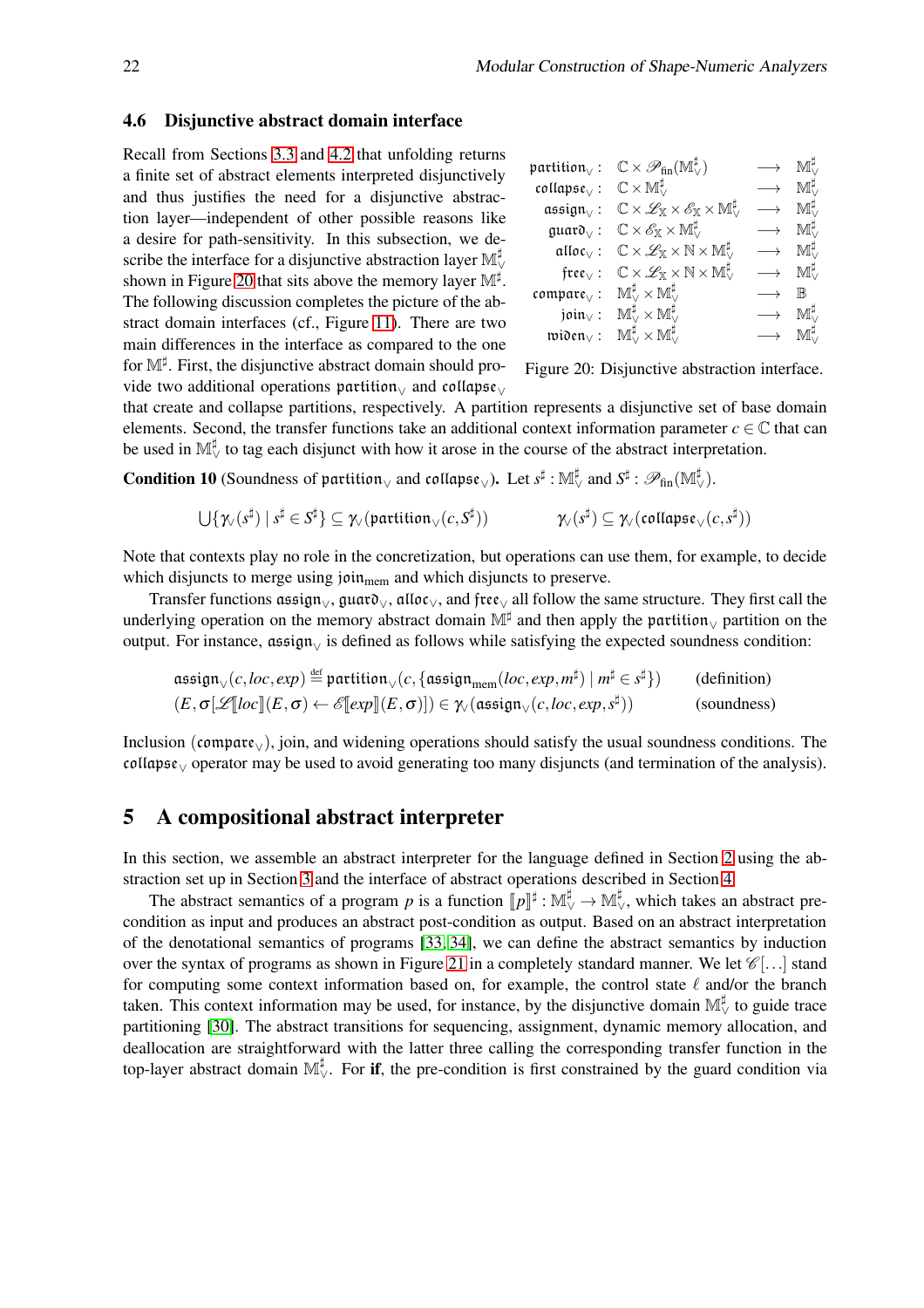#### 4.6 Disjunctive abstract domain interface

Recall from Sections [3.3](#page-10-0) and [4.2](#page-16-0) that unfolding returns a finite set of abstract elements interpreted disjunctively and thus justifies the need for a disjunctive abstraction layer—independent of other possible reasons like a desire for path-sensitivity. In this subsection, we describe the interface for a disjunctive abstraction layer  $\mathbb{M}^\sharp_\vee$ shown in Figure [20](#page-22-1) that sits above the memory layer  $\mathbb{M}^{\sharp}$ . The following discussion completes the picture of the abstract domain interfaces (cf., Figure [11\)](#page-13-0). There are two main differences in the interface as compared to the one for M<sup>‡</sup>. First, the disjunctive abstract domain should provide two additional operations partition $\sqrt{ }$  and collapse $\sqrt{ }$ 

| $partition_{\vee}$ :          | $\mathbb{C}\times \mathscr{P}_{\textrm{fin}}(\mathbb{M}^{\sharp}_{\vee})$                   | Мť,                   |
|-------------------------------|---------------------------------------------------------------------------------------------|-----------------------|
| $\text{collapse}_{\vee}$ :    | $\mathbb{C}\times\mathbb{M}^\sharp_\vee$                                                    | $\mathbb{M}^{\sharp}$ |
| assign $\sqrt{ }$ :           | $\mathbb{C}\times\mathscr{L}_\mathbb{X}\times\mathscr{E}_\mathbb{X}\times\mathbb{M}^\sharp$ | Мť,                   |
| quato <sub>0</sub> :          | $\mathbb{C}\times\mathscr{E}_{\mathbb{X}}\times\mathbb{M}^{\sharp}_{\vee}$                  | $\mathbb{M}^{\sharp}$ |
| alloc $\vee$ :                | $\mathbb{C}\times\mathscr{L}_\mathbb{X}\times\mathbb{N}\times\mathbb{M}^{\sharp}$           | $\mathbb{M}^{\sharp}$ |
| free $_{\vee}$ :              | $\mathbb{C}\times\mathscr{L}_\mathbb{X}\times\mathbb{N}\times\mathbb{M}^\sharp_\vee$        | $\mathbb{M}^{\sharp}$ |
| $\mathfrak{compare}_{\vee}$ : | $\mathbb{M}^\sharp_\vee\times\mathbb{M}^\sharp_\vee$                                        | ℝ                     |
| join $\sqrt{ }$ :             | $\mathbb{M}^\sharp_\vee\times \mathbb{M}^\sharp_\vee$                                       | $\mathbb{M}^{\sharp}$ |
| $\mathfrak{wion}_\vee$ :      | $\mathbb{M}^\sharp_\vee\times\mathbb{M}^\sharp_\vee$                                        |                       |
|                               |                                                                                             |                       |

<span id="page-22-1"></span>Figure 20: Disjunctive abstraction interface.

that create and collapse partitions, respectively. A partition represents a disjunctive set of base domain elements. Second, the transfer functions take an additional context information parameter  $c \in \mathbb{C}$  that can be used in  $\mathbb{M}^{\sharp}_{\vee}$  to tag each disjunct with how it arose in the course of the abstract interpretation.

Condition 10 (Soundness of partition<sub>∨</sub> and collapse<sub>∨</sub>). Let  $s^\sharp : \mathbb{M}_\vee^\sharp$  and  $S^\sharp : \mathscr{P}_\textrm{fin}(\mathbb{M}_\vee^\sharp)$ .

$$
\bigcup \{ \chi_{\mathbf{v}}(s^{\sharp}) \mid s^{\sharp} \in S^{\sharp} \} \subseteq \chi_{\mathbf{v}}(\mathfrak{partition}_{\mathbf{v}}(c,S^{\sharp})) \qquad \qquad \chi_{\mathbf{v}}(s^{\sharp}) \subseteq \chi_{\mathbf{v}}(\mathfrak{collapse}_{\mathbf{v}}(c,s^{\sharp}))
$$

Note that contexts play no role in the concretization, but operations can use them, for example, to decide which disjuncts to merge using join<sub>mem</sub> and which disjuncts to preserve.

Transfer functions assign<sub> $\vee$ </sub>, guar $\mathfrak{d}_{\vee}$ , alloc $\vee$ , and free $\vee$  all follow the same structure. They first call the underlying operation on the memory abstract domain  $\mathbb{M}^{\sharp}$  and then apply the partition<sub> $\vee$ </sub> partition on the output. For instance, assign<sub>√</sub> is defined as follows while satisfying the expected soundness condition:

$$
\mathfrak{assign}_{\vee}(c, loc, exp) \stackrel{\text{def}}{=} \mathfrak{partition}_{\vee}(c, \{ \mathfrak{assign}_{mem}(loc, exp, m^{\sharp}) \mid m^{\sharp} \in s^{\sharp} \}) \qquad \text{(definition)}\\ (E, \sigma[\mathscr{L}[[loc]](E, \sigma) \leftarrow \mathscr{E}[[exp]](E, \sigma)]) \in \mathcal{W}(\mathfrak{assign}_{\vee}(c, loc, exp, s^{\sharp})) \qquad \text{(soundness)}
$$

Inclusion (compare∨), join, and widening operations should satisfy the usual soundness conditions. The collapse<sup>∨</sup> operator may be used to avoid generating too many disjuncts (and termination of the analysis).

## <span id="page-22-0"></span>5 A compositional abstract interpreter

In this section, we assemble an abstract interpreter for the language defined in Section [2](#page-2-0) using the abstraction set up in Section [3](#page-5-0) and the interface of abstract operations described in Section [4.](#page-12-0)

The abstract semantics of a program *p* is a function  $[\![p]\!]^{\sharp}: \mathbb{M}_{\vee}^{\sharp} \to \mathbb{M}_{\vee}^{\sharp}$ , which takes an abstract precondition as input and produces an abstract post-condition as output. Based on an abstract interpretation of the denotational semantics of programs [\[33,](#page-25-21) [34\]](#page-25-6), we can define the abstract semantics by induction over the syntax of programs as shown in Figure [21](#page-23-0) in a completely standard manner. We let  $\mathscr{C}[...]$  stand for computing some context information based on, for example, the control state  $\ell$  and/or the branch taken. This context information may be used, for instance, by the disjunctive domain  $\mathbb{M}_{\vee}^{\sharp}$  to guide trace partitioning [\[30\]](#page-25-7). The abstract transitions for sequencing, assignment, dynamic memory allocation, and deallocation are straightforward with the latter three calling the corresponding transfer function in the top-layer abstract domain  $\mathbb{M}_{\vee}^{\sharp}$ . For if, the pre-condition is first constrained by the guard condition via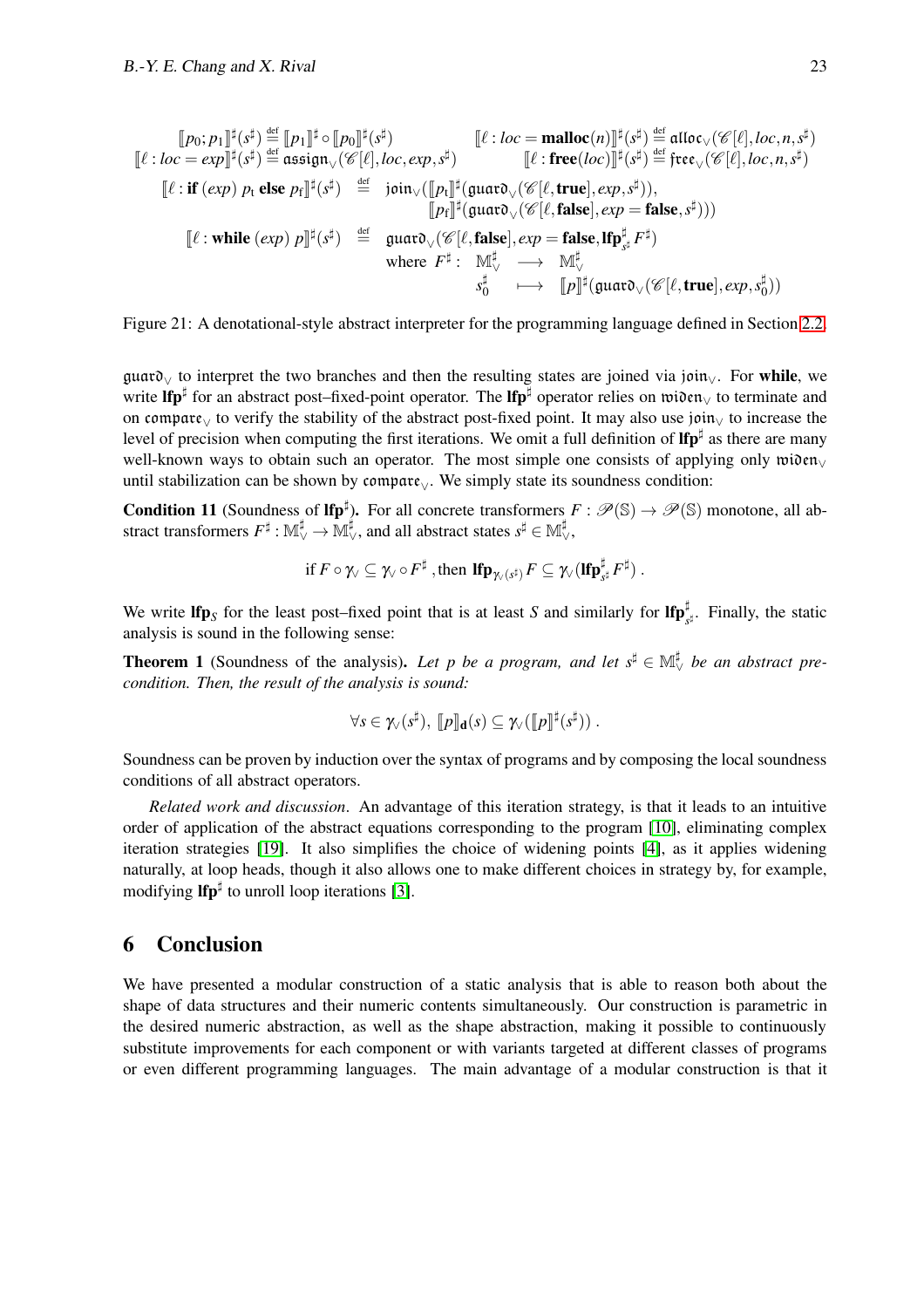$$
\llbracket p_0; p_1 \rrbracket^{\sharp}(s^{\sharp}) \stackrel{\text{def}}{=} \llbracket p_1 \rrbracket^{\sharp} \circ \llbracket p_0 \rrbracket^{\sharp}(s^{\sharp}) \right. & \llbracket \ell : loc = \text{malloc}(n) \rrbracket^{\sharp}(s^{\sharp}) \stackrel{\text{def}}{=} \text{affloc}_{\vee}(\mathscr{C}[\ell], loc, n, s^{\sharp}) \llbracket \ell : loc = \text{smalloc}(\mathscr{C}[\ell], loc, n, s^{\sharp}) \llbracket \ell : \text{free}(loc) \rrbracket^{\sharp}(s^{\sharp}) \stackrel{\text{def}}{=} \text{free}_{\vee}(\mathscr{C}[\ell], loc, n, s^{\sharp}) \llbracket \ell : \text{free}(loc) \rrbracket^{\sharp}(s^{\sharp}) \stackrel{\text{def}}{=} \text{free}_{\vee}(\mathscr{C}[\ell], loc, n, s^{\sharp}) \llbracket \ell : \text{free}(loc) \rrbracket^{\sharp}(s^{\sharp}) \stackrel{\text{def}}{=} \text{free}_{\vee}(\mathscr{C}[\ell], loc, n, s^{\sharp}) \llbracket \ell : \text{free}(loc) \rrbracket^{\sharp}(s^{\sharp}) \stackrel{\text{def}}{=} \text{giut}_{\vee}(\mathscr{C}[\ell, true], exp, s^{\sharp})),
$$
  

$$
\llbracket \ell : \text{while} (exp) p \rrbracket^{\sharp}(s^{\sharp}) \stackrel{\text{def}}{=} \text{guat}_{\vee}(\mathscr{C}[\ell, false], exp = \text{false}, \text{lip}_{s^{\sharp}}^{\sharp} F^{\sharp}) \llbracket \ell : \text{while} (exp) p \rrbracket^{\sharp}(s^{\sharp}) \stackrel{\text{def}}{=} \text{guat}_{\vee}(\mathscr{C}[\ell, false], exp = \text{false}, \text{lip}_{s^{\sharp}}^{\sharp} F^{\sharp}) \llbracket \ell : \text{while} (exp) p \rrbracket^{\sharp}(s^{\sharp}) \stackrel{\text{def}}{=} \text{guat}_{\vee}(\mathscr{C}[\ell, false], exp = \text{false}, \text{lip}_{s^{\sharp}}^{\sharp} F^{\sharp}) \llbracket \ell : \text{while} (exp) p \rrbracket^{\sharp}(s^{\sharp}) \stackrel{\text{def}}{=} \text{guat}_{\vee}(\mathscr{C}[\ell, false
$$

<span id="page-23-0"></span>Figure 21: A denotational-style abstract interpreter for the programming language defined in Section [2.2.](#page-3-0)

guard<sup>∨</sup> to interpret the two branches and then the resulting states are joined via join∨. For while, we write lfp<sup>‡</sup> for an abstract post–fixed-point operator. The lfp<sup>‡</sup> operator relies on widen<sub>V</sub> to terminate and on compare<sup>∨</sup> to verify the stability of the abstract post-fixed point. It may also use join<sup>∨</sup> to increase the level of precision when computing the first iterations. We omit a full definition of  $\text{Ifp}^{\sharp}$  as there are many well-known ways to obtain such an operator. The most simple one consists of applying only widen<sub>∨</sub> until stabilization can be shown by compare<sub>∨</sub>. We simply state its soundness condition:

**Condition 11** (Soundness of  $\mathbf{lfp}^{\sharp}$ ). For all concrete transformers  $F : \mathcal{P}(\mathbb{S}) \to \mathcal{P}(\mathbb{S})$  monotone, all abstract transformers  $F^\sharp: \mathbb{M}_\vee^\sharp \to \bar{\mathbb{M}}_\vee^\sharp,$  and all abstract states  $s^\sharp \in \mathbb{M}_\vee^\sharp,$ 

$$
\text{if } F\circ \gamma_{\vee}\subseteq \gamma_{\vee}\circ F^{\sharp}\text{ , then }\text{Ifp}_{\gamma_{\vee}(s^{\sharp})}F\subseteq \gamma_{\vee}(\text{Ifp}_{s^{\sharp}}^{\sharp}F^{\sharp})\text{ .}
$$

We write  $\text{If } p_S$  for the least post–fixed point that is at least *S* and similarly for  $\text{If } p_{s^{\sharp}}^{\sharp}$ . Finally, the static analysis is sound in the following sense:

**Theorem 1** (Soundness of the analysis). Let p be a program, and let  $s^{\sharp} \in M_{\vee}^{\sharp}$  be an abstract pre*condition. Then, the result of the analysis is sound:*

$$
\forall s \in \gamma_{\vee}(s^{\sharp}), \; [\![p]\!]_{\mathbf{d}}(s) \subseteq \gamma_{\vee}([\![p]\!]^{\sharp}(s^{\sharp})) \; .
$$

Soundness can be proven by induction over the syntax of programs and by composing the local soundness conditions of all abstract operators.

*Related work and discussion*. An advantage of this iteration strategy, is that it leads to an intuitive order of application of the abstract equations corresponding to the program [\[10\]](#page-24-0), eliminating complex iteration strategies [\[19\]](#page-25-22). It also simplifies the choice of widening points [\[4\]](#page-24-13), as it applies widening naturally, at loop heads, though it also allows one to make different choices in strategy by, for example, modifying  $\mathbf{lfp}^{\sharp}$  to unroll loop iterations [\[3\]](#page-24-14).

## 6 Conclusion

We have presented a modular construction of a static analysis that is able to reason both about the shape of data structures and their numeric contents simultaneously. Our construction is parametric in the desired numeric abstraction, as well as the shape abstraction, making it possible to continuously substitute improvements for each component or with variants targeted at different classes of programs or even different programming languages. The main advantage of a modular construction is that it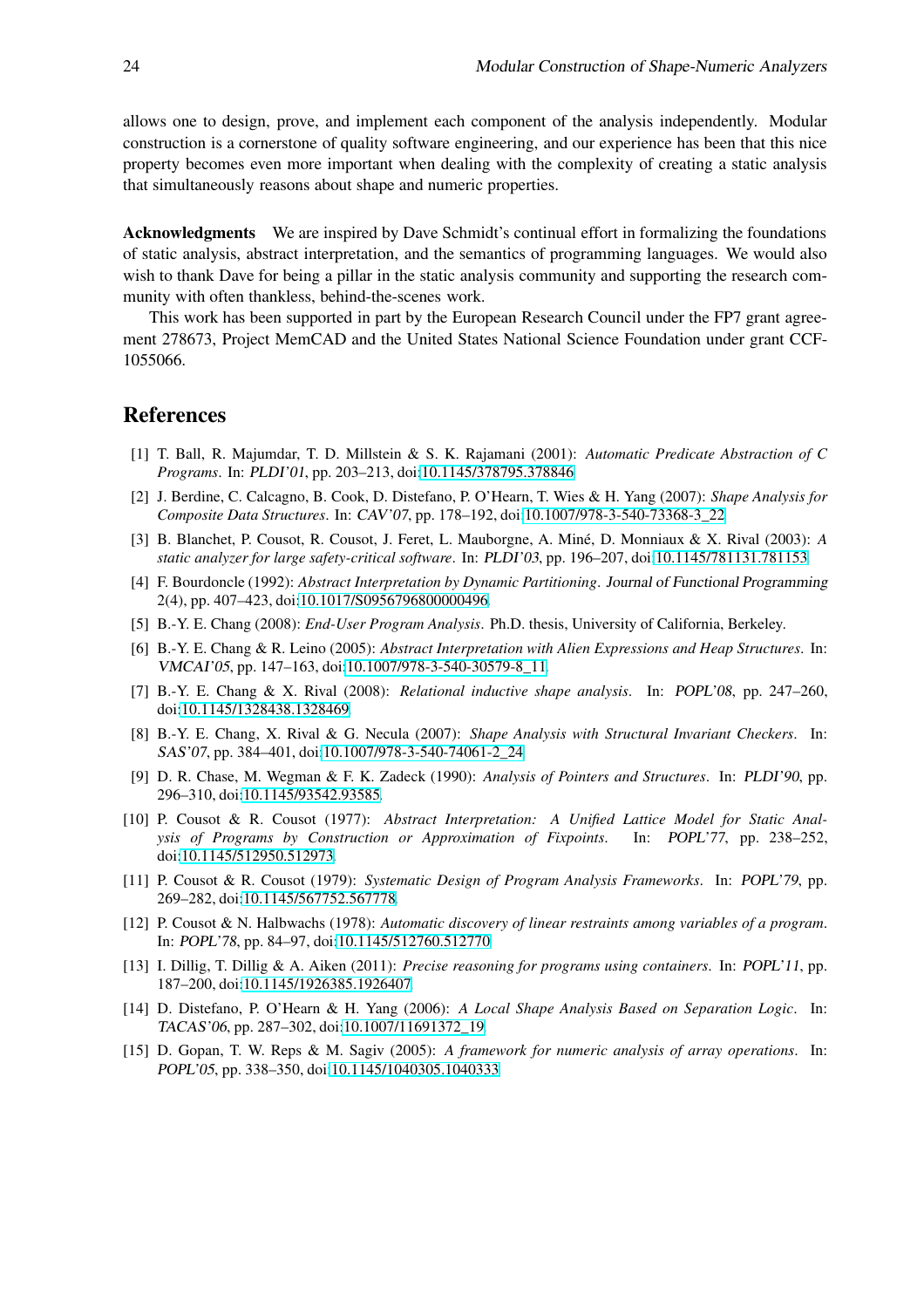allows one to design, prove, and implement each component of the analysis independently. Modular construction is a cornerstone of quality software engineering, and our experience has been that this nice property becomes even more important when dealing with the complexity of creating a static analysis that simultaneously reasons about shape and numeric properties.

Acknowledgments We are inspired by Dave Schmidt's continual effort in formalizing the foundations of static analysis, abstract interpretation, and the semantics of programming languages. We would also wish to thank Dave for being a pillar in the static analysis community and supporting the research community with often thankless, behind-the-scenes work.

This work has been supported in part by the European Research Council under the FP7 grant agreement 278673, Project MemCAD and the United States National Science Foundation under grant CCF-1055066.

## <span id="page-24-8"></span>References

- [1] T. Ball, R. Majumdar, T. D. Millstein & S. K. Rajamani (2001): *Automatic Predicate Abstraction of C Programs*. In: PLDI'01, pp. 203–213, doi[:10.1145/378795.378846.](http://dx.doi.org/10.1145/378795.378846)
- <span id="page-24-9"></span>[2] J. Berdine, C. Calcagno, B. Cook, D. Distefano, P. O'Hearn, T. Wies & H. Yang (2007): *Shape Analysis for Composite Data Structures*. In: CAV'07, pp. 178–192, doi[:10.1007/978-3-540-73368-3\\_22.](http://dx.doi.org/10.1007/978-3-540-73368-3_22)
- <span id="page-24-14"></span>[3] B. Blanchet, P. Cousot, R. Cousot, J. Feret, L. Mauborgne, A. Miné, D. Monniaux & X. Rival (2003): *A static analyzer for large safety-critical software*. In: PLDI'03, pp. 196–207, doi[:10.1145/781131.781153.](http://dx.doi.org/10.1145/781131.781153)
- <span id="page-24-13"></span>[4] F. Bourdoncle (1992): *Abstract Interpretation by Dynamic Partitioning*. Journal of Functional Programming 2(4), pp. 407–423, doi[:10.1017/S0956796800000496.](http://dx.doi.org/10.1017/S0956796800000496)
- <span id="page-24-7"></span><span id="page-24-2"></span>[5] B.-Y. E. Chang (2008): *End-User Program Analysis*. Ph.D. thesis, University of California, Berkeley.
- [6] B.-Y. E. Chang & R. Leino (2005): *Abstract Interpretation with Alien Expressions and Heap Structures*. In: VMCAI'05, pp. 147–163, doi[:10.1007/978-3-540-30579-8\\_11.](http://dx.doi.org/10.1007/978-3-540-30579-8_11)
- <span id="page-24-3"></span>[7] B.-Y. E. Chang & X. Rival (2008): *Relational inductive shape analysis*. In: POPL'08, pp. 247–260, doi[:10.1145/1328438.1328469.](http://dx.doi.org/10.1145/1328438.1328469)
- <span id="page-24-4"></span>[8] B.-Y. E. Chang, X. Rival & G. Necula (2007): *Shape Analysis with Structural Invariant Checkers*. In: SAS'07, pp. 384–401, doi[:10.1007/978-3-540-74061-2\\_24.](http://dx.doi.org/10.1007/978-3-540-74061-2_24)
- <span id="page-24-5"></span>[9] D. R. Chase, M. Wegman & F. K. Zadeck (1990): *Analysis of Pointers and Structures*. In: PLDI'90, pp. 296–310, doi[:10.1145/93542.93585.](http://dx.doi.org/10.1145/93542.93585)
- <span id="page-24-0"></span>[10] P. Cousot & R. Cousot (1977): *Abstract Interpretation: A Unified Lattice Model for Static Analysis of Programs by Construction or Approximation of Fixpoints*. In: POPL'77, pp. 238–252, doi[:10.1145/512950.512973.](http://dx.doi.org/10.1145/512950.512973)
- <span id="page-24-6"></span>[11] P. Cousot & R. Cousot (1979): *Systematic Design of Program Analysis Frameworks*. In: POPL'79, pp. 269–282, doi[:10.1145/567752.567778.](http://dx.doi.org/10.1145/567752.567778)
- <span id="page-24-1"></span>[12] P. Cousot & N. Halbwachs (1978): *Automatic discovery of linear restraints among variables of a program*. In: POPL'78, pp. 84–97, doi[:10.1145/512760.512770.](http://dx.doi.org/10.1145/512760.512770)
- <span id="page-24-12"></span>[13] I. Dillig, T. Dillig & A. Aiken (2011): *Precise reasoning for programs using containers*. In: POPL'11, pp. 187–200, doi[:10.1145/1926385.1926407.](http://dx.doi.org/10.1145/1926385.1926407)
- <span id="page-24-10"></span>[14] D. Distefano, P. O'Hearn & H. Yang (2006): *A Local Shape Analysis Based on Separation Logic*. In: TACAS'06, pp. 287–302, doi[:10.1007/11691372\\_19.](http://dx.doi.org/10.1007/11691372_19)
- <span id="page-24-11"></span>[15] D. Gopan, T. W. Reps & M. Sagiv (2005): *A framework for numeric analysis of array operations*. In: POPL'05, pp. 338–350, doi[:10.1145/1040305.1040333.](http://dx.doi.org/10.1145/1040305.1040333)